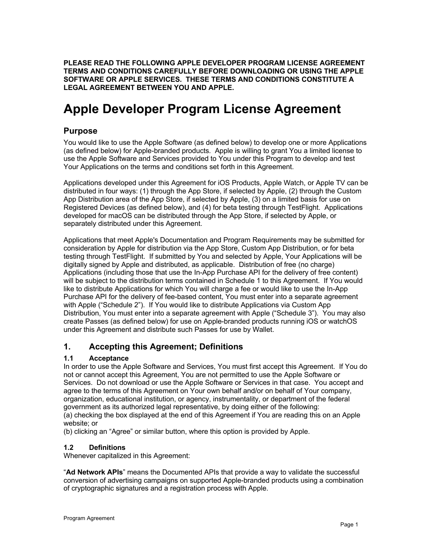**PLEASE READ THE FOLLOWING APPLE DEVELOPER PROGRAM LICENSE AGREEMENT TERMS AND CONDITIONS CAREFULLY BEFORE DOWNLOADING OR USING THE APPLE SOFTWARE OR APPLE SERVICES. THESE TERMS AND CONDITIONS CONSTITUTE A LEGAL AGREEMENT BETWEEN YOU AND APPLE.** 

# **Apple Developer Program License Agreement**

# **Purpose**

You would like to use the Apple Software (as defined below) to develop one or more Applications (as defined below) for Apple-branded products. Apple is willing to grant You a limited license to use the Apple Software and Services provided to You under this Program to develop and test Your Applications on the terms and conditions set forth in this Agreement.

Applications developed under this Agreement for iOS Products, Apple Watch, or Apple TV can be distributed in four ways: (1) through the App Store, if selected by Apple, (2) through the Custom App Distribution area of the App Store, if selected by Apple, (3) on a limited basis for use on Registered Devices (as defined below), and (4) for beta testing through TestFlight. Applications developed for macOS can be distributed through the App Store, if selected by Apple, or separately distributed under this Agreement.

Applications that meet Apple's Documentation and Program Requirements may be submitted for consideration by Apple for distribution via the App Store, Custom App Distribution, or for beta testing through TestFlight. If submitted by You and selected by Apple, Your Applications will be digitally signed by Apple and distributed, as applicable. Distribution of free (no charge) Applications (including those that use the In-App Purchase API for the delivery of free content) will be subject to the distribution terms contained in Schedule 1 to this Agreement. If You would like to distribute Applications for which You will charge a fee or would like to use the In-App Purchase API for the delivery of fee-based content, You must enter into a separate agreement with Apple ("Schedule 2"). If You would like to distribute Applications via Custom App Distribution, You must enter into a separate agreement with Apple ("Schedule 3"). You may also create Passes (as defined below) for use on Apple-branded products running iOS or watchOS under this Agreement and distribute such Passes for use by Wallet.

# **1. Accepting this Agreement; Definitions**

# **1.1 Acceptance**

In order to use the Apple Software and Services, You must first accept this Agreement. If You do not or cannot accept this Agreement, You are not permitted to use the Apple Software or Services. Do not download or use the Apple Software or Services in that case. You accept and agree to the terms of this Agreement on Your own behalf and/or on behalf of Your company, organization, educational institution, or agency, instrumentality, or department of the federal government as its authorized legal representative, by doing either of the following: (a) checking the box displayed at the end of this Agreement if You are reading this on an Apple

website; or (b) clicking an "Agree" or similar button, where this option is provided by Apple.

# **1.2 Definitions**

Whenever capitalized in this Agreement:

"**Ad Network APIs**" means the Documented APIs that provide a way to validate the successful conversion of advertising campaigns on supported Apple-branded products using a combination of cryptographic signatures and a registration process with Apple.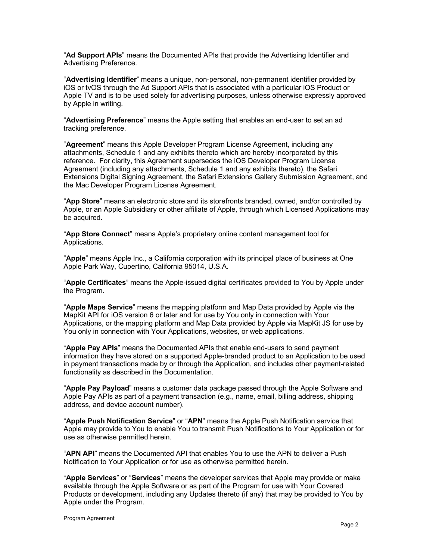"**Ad Support APIs**" means the Documented APIs that provide the Advertising Identifier and Advertising Preference.

"**Advertising Identifier**" means a unique, non-personal, non-permanent identifier provided by iOS or tvOS through the Ad Support APIs that is associated with a particular iOS Product or Apple TV and is to be used solely for advertising purposes, unless otherwise expressly approved by Apple in writing.

"**Advertising Preference**" means the Apple setting that enables an end-user to set an ad tracking preference.

"**Agreement**" means this Apple Developer Program License Agreement, including any attachments, Schedule 1 and any exhibits thereto which are hereby incorporated by this reference. For clarity, this Agreement supersedes the iOS Developer Program License Agreement (including any attachments, Schedule 1 and any exhibits thereto), the Safari Extensions Digital Signing Agreement, the Safari Extensions Gallery Submission Agreement, and the Mac Developer Program License Agreement.

"**App Store**" means an electronic store and its storefronts branded, owned, and/or controlled by Apple, or an Apple Subsidiary or other affiliate of Apple, through which Licensed Applications may be acquired.

"**App Store Connect**" means Apple's proprietary online content management tool for Applications.

"**Apple**" means Apple Inc., a California corporation with its principal place of business at One Apple Park Way, Cupertino, California 95014, U.S.A.

"**Apple Certificates**" means the Apple-issued digital certificates provided to You by Apple under the Program.

"**Apple Maps Service**" means the mapping platform and Map Data provided by Apple via the MapKit API for iOS version 6 or later and for use by You only in connection with Your Applications, or the mapping platform and Map Data provided by Apple via MapKit JS for use by You only in connection with Your Applications, websites, or web applications.

"**Apple Pay APIs**" means the Documented APIs that enable end-users to send payment information they have stored on a supported Apple-branded product to an Application to be used in payment transactions made by or through the Application, and includes other payment-related functionality as described in the Documentation.

"**Apple Pay Payload**" means a customer data package passed through the Apple Software and Apple Pay APIs as part of a payment transaction (e.g., name, email, billing address, shipping address, and device account number).

"**Apple Push Notification Service**" or "**APN**" means the Apple Push Notification service that Apple may provide to You to enable You to transmit Push Notifications to Your Application or for use as otherwise permitted herein.

"**APN API**" means the Documented API that enables You to use the APN to deliver a Push Notification to Your Application or for use as otherwise permitted herein.

"**Apple Services**" or "**Services**" means the developer services that Apple may provide or make available through the Apple Software or as part of the Program for use with Your Covered Products or development, including any Updates thereto (if any) that may be provided to You by Apple under the Program.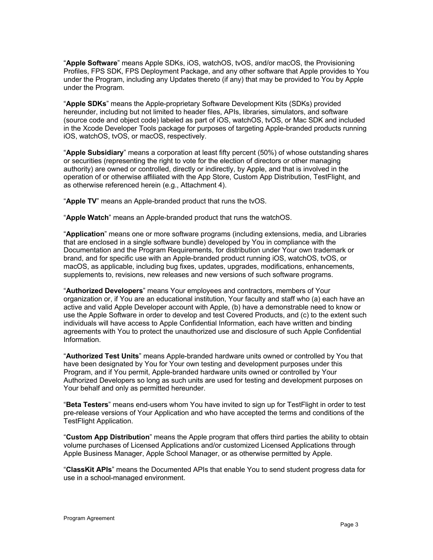"**Apple Software**" means Apple SDKs, iOS, watchOS, tvOS, and/or macOS, the Provisioning Profiles, FPS SDK, FPS Deployment Package, and any other software that Apple provides to You under the Program, including any Updates thereto (if any) that may be provided to You by Apple under the Program.

"**Apple SDKs**" means the Apple-proprietary Software Development Kits (SDKs) provided hereunder, including but not limited to header files, APIs, libraries, simulators, and software (source code and object code) labeled as part of iOS, watchOS, tvOS, or Mac SDK and included in the Xcode Developer Tools package for purposes of targeting Apple-branded products running iOS, watchOS, tvOS, or macOS, respectively.

"**Apple Subsidiary**" means a corporation at least fifty percent (50%) of whose outstanding shares or securities (representing the right to vote for the election of directors or other managing authority) are owned or controlled, directly or indirectly, by Apple, and that is involved in the operation of or otherwise affiliated with the App Store, Custom App Distribution, TestFlight, and as otherwise referenced herein (e.g., Attachment 4).

"**Apple TV**" means an Apple-branded product that runs the tvOS.

"**Apple Watch**" means an Apple-branded product that runs the watchOS.

"**Application**" means one or more software programs (including extensions, media, and Libraries that are enclosed in a single software bundle) developed by You in compliance with the Documentation and the Program Requirements, for distribution under Your own trademark or brand, and for specific use with an Apple-branded product running iOS, watchOS, tvOS, or macOS, as applicable, including bug fixes, updates, upgrades, modifications, enhancements, supplements to, revisions, new releases and new versions of such software programs.

"**Authorized Developers**" means Your employees and contractors, members of Your organization or, if You are an educational institution, Your faculty and staff who (a) each have an active and valid Apple Developer account with Apple, (b) have a demonstrable need to know or use the Apple Software in order to develop and test Covered Products, and (c) to the extent such individuals will have access to Apple Confidential Information, each have written and binding agreements with You to protect the unauthorized use and disclosure of such Apple Confidential Information.

"**Authorized Test Units**" means Apple-branded hardware units owned or controlled by You that have been designated by You for Your own testing and development purposes under this Program, and if You permit, Apple-branded hardware units owned or controlled by Your Authorized Developers so long as such units are used for testing and development purposes on Your behalf and only as permitted hereunder.

"**Beta Testers**" means end-users whom You have invited to sign up for TestFlight in order to test pre-release versions of Your Application and who have accepted the terms and conditions of the TestFlight Application.

"**Custom App Distribution**" means the Apple program that offers third parties the ability to obtain volume purchases of Licensed Applications and/or customized Licensed Applications through Apple Business Manager, Apple School Manager, or as otherwise permitted by Apple.

"**ClassKit APIs**" means the Documented APIs that enable You to send student progress data for use in a school-managed environment.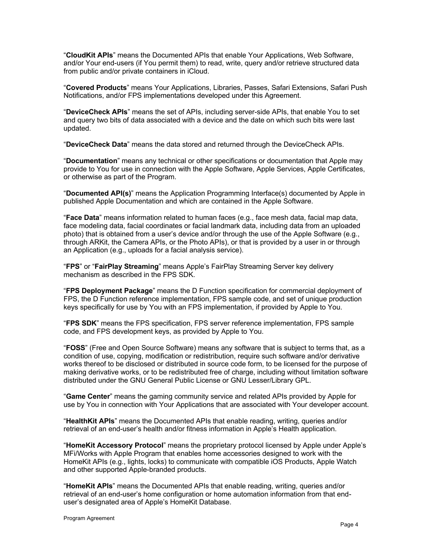"**CloudKit APIs**" means the Documented APIs that enable Your Applications, Web Software, and/or Your end-users (if You permit them) to read, write, query and/or retrieve structured data from public and/or private containers in iCloud.

"**Covered Products**" means Your Applications, Libraries, Passes, Safari Extensions, Safari Push Notifications, and/or FPS implementations developed under this Agreement.

"**DeviceCheck APIs**" means the set of APIs, including server-side APIs, that enable You to set and query two bits of data associated with a device and the date on which such bits were last updated.

"**DeviceCheck Data**" means the data stored and returned through the DeviceCheck APIs.

"**Documentation**" means any technical or other specifications or documentation that Apple may provide to You for use in connection with the Apple Software, Apple Services, Apple Certificates, or otherwise as part of the Program.

"**Documented API(s)**" means the Application Programming Interface(s) documented by Apple in published Apple Documentation and which are contained in the Apple Software.

"**Face Data**" means information related to human faces (e.g., face mesh data, facial map data, face modeling data, facial coordinates or facial landmark data, including data from an uploaded photo) that is obtained from a user's device and/or through the use of the Apple Software (e.g., through ARKit, the Camera APIs, or the Photo APIs), or that is provided by a user in or through an Application (e.g., uploads for a facial analysis service).

"**FPS**" or "**FairPlay Streaming**" means Apple's FairPlay Streaming Server key delivery mechanism as described in the FPS SDK.

"**FPS Deployment Package**" means the D Function specification for commercial deployment of FPS, the D Function reference implementation, FPS sample code, and set of unique production keys specifically for use by You with an FPS implementation, if provided by Apple to You.

"**FPS SDK**" means the FPS specification, FPS server reference implementation, FPS sample code, and FPS development keys, as provided by Apple to You.

"**FOSS**" (Free and Open Source Software) means any software that is subject to terms that, as a condition of use, copying, modification or redistribution, require such software and/or derivative works thereof to be disclosed or distributed in source code form, to be licensed for the purpose of making derivative works, or to be redistributed free of charge, including without limitation software distributed under the GNU General Public License or GNU Lesser/Library GPL.

"**Game Center**" means the gaming community service and related APIs provided by Apple for use by You in connection with Your Applications that are associated with Your developer account.

"**HealthKit APIs**" means the Documented APIs that enable reading, writing, queries and/or retrieval of an end-user's health and/or fitness information in Apple's Health application.

"**HomeKit Accessory Protocol**" means the proprietary protocol licensed by Apple under Apple's MFi/Works with Apple Program that enables home accessories designed to work with the HomeKit APIs (e.g., lights, locks) to communicate with compatible iOS Products, Apple Watch and other supported Apple-branded products.

"**HomeKit APIs**" means the Documented APIs that enable reading, writing, queries and/or retrieval of an end-user's home configuration or home automation information from that enduser's designated area of Apple's HomeKit Database.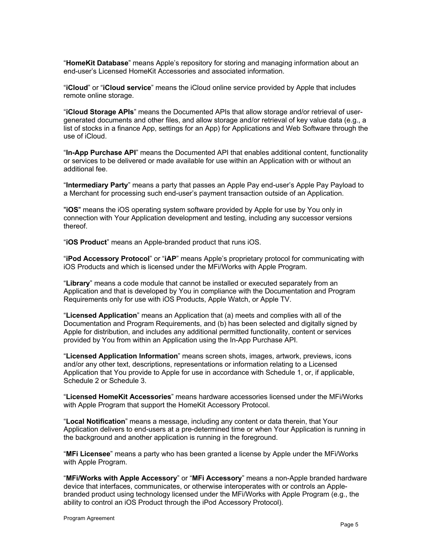"**HomeKit Database**" means Apple's repository for storing and managing information about an end-user's Licensed HomeKit Accessories and associated information.

"**iCloud**" or "**iCloud service**" means the iCloud online service provided by Apple that includes remote online storage.

"**iCloud Storage APIs**" means the Documented APIs that allow storage and/or retrieval of usergenerated documents and other files, and allow storage and/or retrieval of key value data (e.g., a list of stocks in a finance App, settings for an App) for Applications and Web Software through the use of iCloud.

"**In-App Purchase API**" means the Documented API that enables additional content, functionality or services to be delivered or made available for use within an Application with or without an additional fee.

"**Intermediary Party**" means a party that passes an Apple Pay end-user's Apple Pay Payload to a Merchant for processing such end-user's payment transaction outside of an Application.

"**iOS**" means the iOS operating system software provided by Apple for use by You only in connection with Your Application development and testing, including any successor versions thereof.

"**iOS Product**" means an Apple-branded product that runs iOS.

"**iPod Accessory Protocol**" or "**iAP**" means Apple's proprietary protocol for communicating with iOS Products and which is licensed under the MFi/Works with Apple Program.

"**Library**" means a code module that cannot be installed or executed separately from an Application and that is developed by You in compliance with the Documentation and Program Requirements only for use with iOS Products, Apple Watch, or Apple TV.

"**Licensed Application**" means an Application that (a) meets and complies with all of the Documentation and Program Requirements, and (b) has been selected and digitally signed by Apple for distribution, and includes any additional permitted functionality, content or services provided by You from within an Application using the In-App Purchase API.

"**Licensed Application Information**" means screen shots, images, artwork, previews, icons and/or any other text, descriptions, representations or information relating to a Licensed Application that You provide to Apple for use in accordance with Schedule 1, or, if applicable, Schedule 2 or Schedule 3.

"**Licensed HomeKit Accessories**" means hardware accessories licensed under the MFi/Works with Apple Program that support the HomeKit Accessory Protocol.

"**Local Notification**" means a message, including any content or data therein, that Your Application delivers to end-users at a pre-determined time or when Your Application is running in the background and another application is running in the foreground.

"**MFi Licensee**" means a party who has been granted a license by Apple under the MFi/Works with Apple Program.

"**MFi/Works with Apple Accessory**" or "**MFi Accessory**" means a non-Apple branded hardware device that interfaces, communicates, or otherwise interoperates with or controls an Applebranded product using technology licensed under the MFi/Works with Apple Program (e.g., the ability to control an iOS Product through the iPod Accessory Protocol).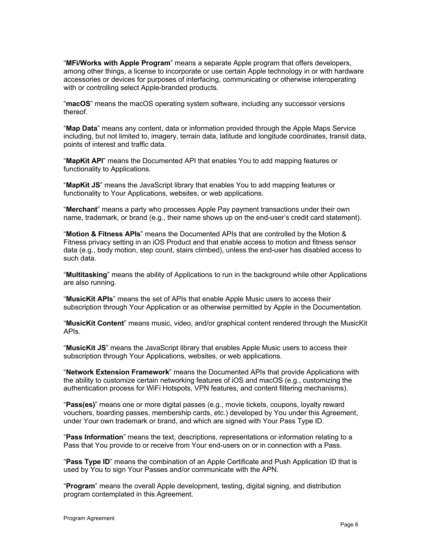"**MFi/Works with Apple Program**" means a separate Apple program that offers developers, among other things, a license to incorporate or use certain Apple technology in or with hardware accessories or devices for purposes of interfacing, communicating or otherwise interoperating with or controlling select Apple-branded products.

"**macOS**" means the macOS operating system software, including any successor versions thereof.

"**Map Data**" means any content, data or information provided through the Apple Maps Service including, but not limited to, imagery, terrain data, latitude and longitude coordinates, transit data, points of interest and traffic data.

"**MapKit API**" means the Documented API that enables You to add mapping features or functionality to Applications.

"**MapKit JS**" means the JavaScript library that enables You to add mapping features or functionality to Your Applications, websites, or web applications.

"**Merchant**" means a party who processes Apple Pay payment transactions under their own name, trademark, or brand (e.g., their name shows up on the end-user's credit card statement).

"**Motion & Fitness APIs**" means the Documented APIs that are controlled by the Motion & Fitness privacy setting in an iOS Product and that enable access to motion and fitness sensor data (e.g., body motion, step count, stairs climbed), unless the end-user has disabled access to such data.

"**Multitasking**" means the ability of Applications to run in the background while other Applications are also running.

"**MusicKit APIs**" means the set of APIs that enable Apple Music users to access their subscription through Your Application or as otherwise permitted by Apple in the Documentation.

"**MusicKit Content**" means music, video, and/or graphical content rendered through the MusicKit APIs.

"**MusicKit JS**" means the JavaScript library that enables Apple Music users to access their subscription through Your Applications, websites, or web applications.

"**Network Extension Framework**" means the Documented APIs that provide Applications with the ability to customize certain networking features of iOS and macOS (e.g., customizing the authentication process for WiFi Hotspots, VPN features, and content filtering mechanisms).

"**Pass(es)**" means one or more digital passes (e.g., movie tickets, coupons, loyalty reward vouchers, boarding passes, membership cards, etc.) developed by You under this Agreement, under Your own trademark or brand, and which are signed with Your Pass Type ID.

"**Pass Information**" means the text, descriptions, representations or information relating to a Pass that You provide to or receive from Your end-users on or in connection with a Pass.

"**Pass Type ID**" means the combination of an Apple Certificate and Push Application ID that is used by You to sign Your Passes and/or communicate with the APN.

"**Program**" means the overall Apple development, testing, digital signing, and distribution program contemplated in this Agreement.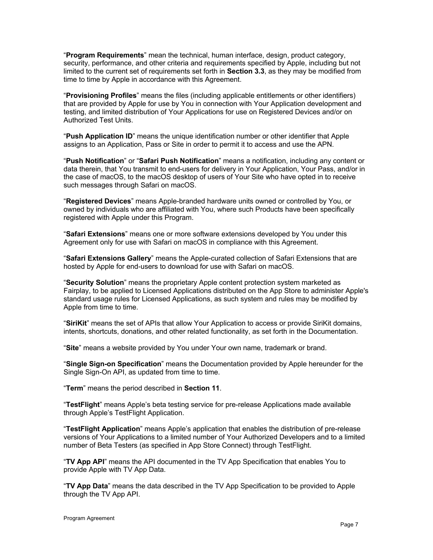"**Program Requirements**" mean the technical, human interface, design, product category, security, performance, and other criteria and requirements specified by Apple, including but not limited to the current set of requirements set forth in **Section 3.3**, as they may be modified from time to time by Apple in accordance with this Agreement.

"**Provisioning Profiles**" means the files (including applicable entitlements or other identifiers) that are provided by Apple for use by You in connection with Your Application development and testing, and limited distribution of Your Applications for use on Registered Devices and/or on Authorized Test Units.

"**Push Application ID**" means the unique identification number or other identifier that Apple assigns to an Application, Pass or Site in order to permit it to access and use the APN.

"**Push Notification**" or "**Safari Push Notification**" means a notification, including any content or data therein, that You transmit to end-users for delivery in Your Application, Your Pass, and/or in the case of macOS, to the macOS desktop of users of Your Site who have opted in to receive such messages through Safari on macOS.

"**Registered Devices**" means Apple-branded hardware units owned or controlled by You, or owned by individuals who are affiliated with You, where such Products have been specifically registered with Apple under this Program.

"**Safari Extensions**" means one or more software extensions developed by You under this Agreement only for use with Safari on macOS in compliance with this Agreement.

"**Safari Extensions Gallery**" means the Apple-curated collection of Safari Extensions that are hosted by Apple for end-users to download for use with Safari on macOS.

"**Security Solution**" means the proprietary Apple content protection system marketed as Fairplay, to be applied to Licensed Applications distributed on the App Store to administer Apple's standard usage rules for Licensed Applications, as such system and rules may be modified by Apple from time to time.

"**SiriKit**" means the set of APIs that allow Your Application to access or provide SiriKit domains, intents, shortcuts, donations, and other related functionality, as set forth in the Documentation.

"**Site**" means a website provided by You under Your own name, trademark or brand.

"**Single Sign-on Specification**" means the Documentation provided by Apple hereunder for the Single Sign-On API, as updated from time to time.

"**Term**" means the period described in **Section 11**.

"**TestFlight**" means Apple's beta testing service for pre-release Applications made available through Apple's TestFlight Application.

"**TestFlight Application**" means Apple's application that enables the distribution of pre-release versions of Your Applications to a limited number of Your Authorized Developers and to a limited number of Beta Testers (as specified in App Store Connect) through TestFlight.

"**TV App API**" means the API documented in the TV App Specification that enables You to provide Apple with TV App Data.

"**TV App Data**" means the data described in the TV App Specification to be provided to Apple through the TV App API.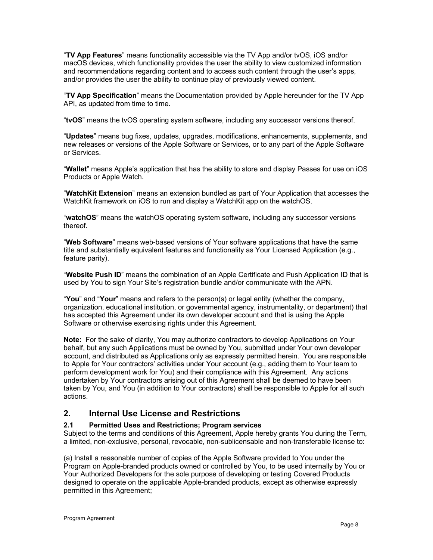"**TV App Features**" means functionality accessible via the TV App and/or tvOS, iOS and/or macOS devices, which functionality provides the user the ability to view customized information and recommendations regarding content and to access such content through the user's apps, and/or provides the user the ability to continue play of previously viewed content.

"**TV App Specification**" means the Documentation provided by Apple hereunder for the TV App API, as updated from time to time.

"**tvOS**" means the tvOS operating system software, including any successor versions thereof.

"**Updates**" means bug fixes, updates, upgrades, modifications, enhancements, supplements, and new releases or versions of the Apple Software or Services, or to any part of the Apple Software or Services.

"**Wallet**" means Apple's application that has the ability to store and display Passes for use on iOS Products or Apple Watch.

"**WatchKit Extension**" means an extension bundled as part of Your Application that accesses the WatchKit framework on iOS to run and display a WatchKit app on the watchOS.

"**watchOS**" means the watchOS operating system software, including any successor versions thereof.

"**Web Software**" means web-based versions of Your software applications that have the same title and substantially equivalent features and functionality as Your Licensed Application (e.g., feature parity).

"**Website Push ID**" means the combination of an Apple Certificate and Push Application ID that is used by You to sign Your Site's registration bundle and/or communicate with the APN.

"**You**" and "**Your**" means and refers to the person(s) or legal entity (whether the company, organization, educational institution, or governmental agency, instrumentality, or department) that has accepted this Agreement under its own developer account and that is using the Apple Software or otherwise exercising rights under this Agreement.

**Note:** For the sake of clarity, You may authorize contractors to develop Applications on Your behalf, but any such Applications must be owned by You, submitted under Your own developer account, and distributed as Applications only as expressly permitted herein. You are responsible to Apple for Your contractors' activities under Your account (e.g., adding them to Your team to perform development work for You) and their compliance with this Agreement. Any actions undertaken by Your contractors arising out of this Agreement shall be deemed to have been taken by You, and You (in addition to Your contractors) shall be responsible to Apple for all such actions.

# **2. Internal Use License and Restrictions**

# **2.1 Permitted Uses and Restrictions; Program services**

Subject to the terms and conditions of this Agreement, Apple hereby grants You during the Term, a limited, non-exclusive, personal, revocable, non-sublicensable and non-transferable license to:

(a) Install a reasonable number of copies of the Apple Software provided to You under the Program on Apple-branded products owned or controlled by You, to be used internally by You or Your Authorized Developers for the sole purpose of developing or testing Covered Products designed to operate on the applicable Apple-branded products, except as otherwise expressly permitted in this Agreement;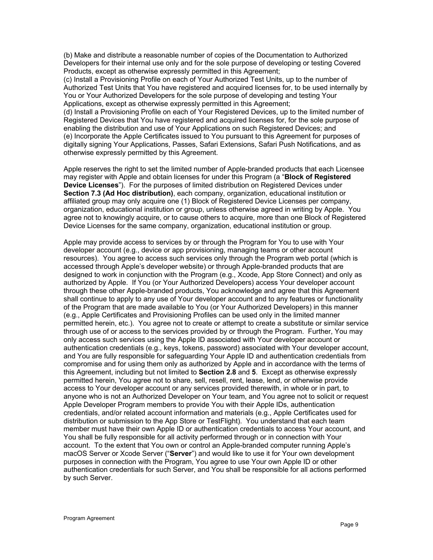(b) Make and distribute a reasonable number of copies of the Documentation to Authorized Developers for their internal use only and for the sole purpose of developing or testing Covered Products, except as otherwise expressly permitted in this Agreement;

(c) Install a Provisioning Profile on each of Your Authorized Test Units, up to the number of Authorized Test Units that You have registered and acquired licenses for, to be used internally by You or Your Authorized Developers for the sole purpose of developing and testing Your Applications, except as otherwise expressly permitted in this Agreement;

(d) Install a Provisioning Profile on each of Your Registered Devices, up to the limited number of Registered Devices that You have registered and acquired licenses for, for the sole purpose of enabling the distribution and use of Your Applications on such Registered Devices; and (e) Incorporate the Apple Certificates issued to You pursuant to this Agreement for purposes of digitally signing Your Applications, Passes, Safari Extensions, Safari Push Notifications, and as otherwise expressly permitted by this Agreement.

Apple reserves the right to set the limited number of Apple-branded products that each Licensee may register with Apple and obtain licenses for under this Program (a "**Block of Registered Device Licenses**"). For the purposes of limited distribution on Registered Devices under **Section 7.3 (Ad Hoc distribution)**, each company, organization, educational institution or affiliated group may only acquire one (1) Block of Registered Device Licenses per company, organization, educational institution or group, unless otherwise agreed in writing by Apple. You agree not to knowingly acquire, or to cause others to acquire, more than one Block of Registered Device Licenses for the same company, organization, educational institution or group.

Apple may provide access to services by or through the Program for You to use with Your developer account (e.g., device or app provisioning, managing teams or other account resources). You agree to access such services only through the Program web portal (which is accessed through Apple's developer website) or through Apple-branded products that are designed to work in conjunction with the Program (e.g., Xcode, App Store Connect) and only as authorized by Apple. If You (or Your Authorized Developers) access Your developer account through these other Apple-branded products, You acknowledge and agree that this Agreement shall continue to apply to any use of Your developer account and to any features or functionality of the Program that are made available to You (or Your Authorized Developers) in this manner (e.g., Apple Certificates and Provisioning Profiles can be used only in the limited manner permitted herein, etc.). You agree not to create or attempt to create a substitute or similar service through use of or access to the services provided by or through the Program. Further, You may only access such services using the Apple ID associated with Your developer account or authentication credentials (e.g., keys, tokens, password) associated with Your developer account, and You are fully responsible for safeguarding Your Apple ID and authentication credentials from compromise and for using them only as authorized by Apple and in accordance with the terms of this Agreement, including but not limited to **Section 2.8** and **5**. Except as otherwise expressly permitted herein, You agree not to share, sell, resell, rent, lease, lend, or otherwise provide access to Your developer account or any services provided therewith, in whole or in part, to anyone who is not an Authorized Developer on Your team, and You agree not to solicit or request Apple Developer Program members to provide You with their Apple IDs, authentication credentials, and/or related account information and materials (e.g., Apple Certificates used for distribution or submission to the App Store or TestFlight). You understand that each team member must have their own Apple ID or authentication credentials to access Your account, and You shall be fully responsible for all activity performed through or in connection with Your account. To the extent that You own or control an Apple-branded computer running Apple's macOS Server or Xcode Server ("**Server**") and would like to use it for Your own development purposes in connection with the Program, You agree to use Your own Apple ID or other authentication credentials for such Server, and You shall be responsible for all actions performed by such Server.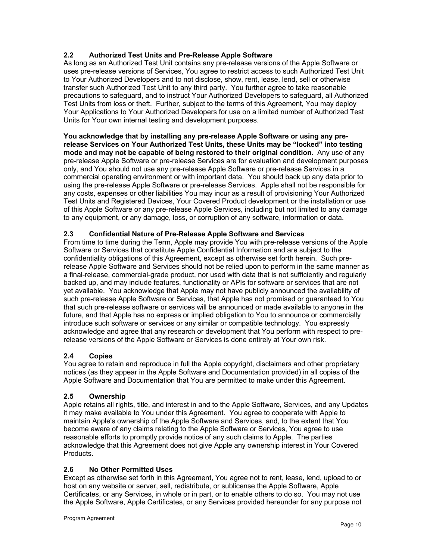# **2.2 Authorized Test Units and Pre-Release Apple Software**

As long as an Authorized Test Unit contains any pre-release versions of the Apple Software or uses pre-release versions of Services, You agree to restrict access to such Authorized Test Unit to Your Authorized Developers and to not disclose, show, rent, lease, lend, sell or otherwise transfer such Authorized Test Unit to any third party. You further agree to take reasonable precautions to safeguard, and to instruct Your Authorized Developers to safeguard, all Authorized Test Units from loss or theft. Further, subject to the terms of this Agreement, You may deploy Your Applications to Your Authorized Developers for use on a limited number of Authorized Test Units for Your own internal testing and development purposes.

**You acknowledge that by installing any pre-release Apple Software or using any prerelease Services on Your Authorized Test Units, these Units may be "locked" into testing mode and may not be capable of being restored to their original condition.** Any use of any pre-release Apple Software or pre-release Services are for evaluation and development purposes only, and You should not use any pre-release Apple Software or pre-release Services in a commercial operating environment or with important data. You should back up any data prior to using the pre-release Apple Software or pre-release Services. Apple shall not be responsible for any costs, expenses or other liabilities You may incur as a result of provisioning Your Authorized Test Units and Registered Devices, Your Covered Product development or the installation or use of this Apple Software or any pre-release Apple Services, including but not limited to any damage to any equipment, or any damage, loss, or corruption of any software, information or data.

# **2.3 Confidential Nature of Pre-Release Apple Software and Services**

From time to time during the Term, Apple may provide You with pre-release versions of the Apple Software or Services that constitute Apple Confidential Information and are subject to the confidentiality obligations of this Agreement, except as otherwise set forth herein. Such prerelease Apple Software and Services should not be relied upon to perform in the same manner as a final-release, commercial-grade product, nor used with data that is not sufficiently and regularly backed up, and may include features, functionality or APIs for software or services that are not yet available. You acknowledge that Apple may not have publicly announced the availability of such pre-release Apple Software or Services, that Apple has not promised or guaranteed to You that such pre-release software or services will be announced or made available to anyone in the future, and that Apple has no express or implied obligation to You to announce or commercially introduce such software or services or any similar or compatible technology. You expressly acknowledge and agree that any research or development that You perform with respect to prerelease versions of the Apple Software or Services is done entirely at Your own risk.

# **2.4 Copies**

You agree to retain and reproduce in full the Apple copyright, disclaimers and other proprietary notices (as they appear in the Apple Software and Documentation provided) in all copies of the Apple Software and Documentation that You are permitted to make under this Agreement.

# **2.5 Ownership**

Apple retains all rights, title, and interest in and to the Apple Software, Services, and any Updates it may make available to You under this Agreement. You agree to cooperate with Apple to maintain Apple's ownership of the Apple Software and Services, and, to the extent that You become aware of any claims relating to the Apple Software or Services, You agree to use reasonable efforts to promptly provide notice of any such claims to Apple. The parties acknowledge that this Agreement does not give Apple any ownership interest in Your Covered Products.

#### **2.6 No Other Permitted Uses**

Except as otherwise set forth in this Agreement, You agree not to rent, lease, lend, upload to or host on any website or server, sell, redistribute, or sublicense the Apple Software, Apple Certificates, or any Services, in whole or in part, or to enable others to do so. You may not use the Apple Software, Apple Certificates, or any Services provided hereunder for any purpose not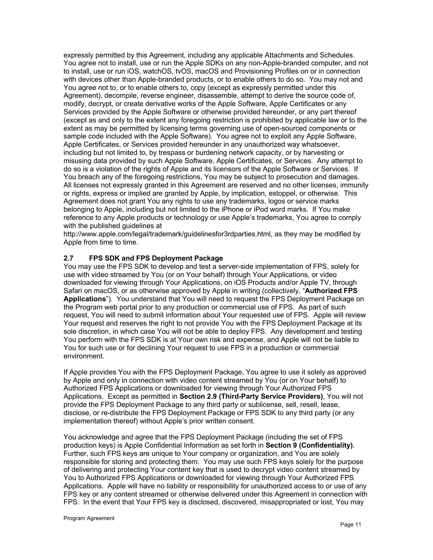expressly permitted by this Agreement, including any applicable Attachments and Schedules. You agree not to install, use or run the Apple SDKs on any non-Apple-branded computer, and not to install, use or run iOS, watchOS, tvOS, macOS and Provisioning Profiles on or in connection with devices other than Apple-branded products, or to enable others to do so. You may not and You agree not to, or to enable others to, copy (except as expressly permitted under this Agreement), decompile, reverse engineer, disassemble, attempt to derive the source code of, modify, decrypt, or create derivative works of the Apple Software, Apple Certificates or any Services provided by the Apple Software or otherwise provided hereunder, or any part thereof (except as and only to the extent any foregoing restriction is prohibited by applicable law or to the extent as may be permitted by licensing terms governing use of open-sourced components or sample code included with the Apple Software). You agree not to exploit any Apple Software, Apple Certificates, or Services provided hereunder in any unauthorized way whatsoever, including but not limited to, by trespass or burdening network capacity, or by harvesting or misusing data provided by such Apple Software, Apple Certificates, or Services. Any attempt to do so is a violation of the rights of Apple and its licensors of the Apple Software or Services. If You breach any of the foregoing restrictions, You may be subject to prosecution and damages. All licenses not expressly granted in this Agreement are reserved and no other licenses, immunity or rights, express or implied are granted by Apple, by implication, estoppel, or otherwise. This Agreement does not grant You any rights to use any trademarks, logos or service marks belonging to Apple, including but not limited to the iPhone or iPod word marks. If You make reference to any Apple products or technology or use Apple's trademarks, You agree to comply with the published guidelines at

http://www.apple.com/legal/trademark/guidelinesfor3rdparties.html, as they may be modified by Apple from time to time.

# **2.7 FPS SDK and FPS Deployment Package**

You may use the FPS SDK to develop and test a server-side implementation of FPS, solely for use with video streamed by You (or on Your behalf) through Your Applications, or video downloaded for viewing through Your Applications, on iOS Products and/or Apple TV, through Safari on macOS, or as otherwise approved by Apple in writing (collectively, "**Authorized FPS Applications**"). You understand that You will need to request the FPS Deployment Package on the Program web portal prior to any production or commercial use of FPS. As part of such request, You will need to submit information about Your requested use of FPS. Apple will review Your request and reserves the right to not provide You with the FPS Deployment Package at its sole discretion, in which case You will not be able to deploy FPS. Any development and testing You perform with the FPS SDK is at Your own risk and expense, and Apple will not be liable to You for such use or for declining Your request to use FPS in a production or commercial environment.

If Apple provides You with the FPS Deployment Package, You agree to use it solely as approved by Apple and only in connection with video content streamed by You (or on Your behalf) to Authorized FPS Applications or downloaded for viewing through Your Authorized FPS Applications. Except as permitted in **Section 2.9 (Third-Party Service Providers)**, You will not provide the FPS Deployment Package to any third party or sublicense, sell, resell, lease, disclose, or re-distribute the FPS Deployment Package or FPS SDK to any third party (or any implementation thereof) without Apple's prior written consent.

You acknowledge and agree that the FPS Deployment Package (including the set of FPS production keys) is Apple Confidential Information as set forth in **Section 9 (Confidentiality)**. Further, such FPS keys are unique to Your company or organization, and You are solely responsible for storing and protecting them. You may use such FPS keys solely for the purpose of delivering and protecting Your content key that is used to decrypt video content streamed by You to Authorized FPS Applications or downloaded for viewing through Your Authorized FPS Applications. Apple will have no liability or responsibility for unauthorized access to or use of any FPS key or any content streamed or otherwise delivered under this Agreement in connection with FPS. In the event that Your FPS key is disclosed, discovered, misappropriated or lost, You may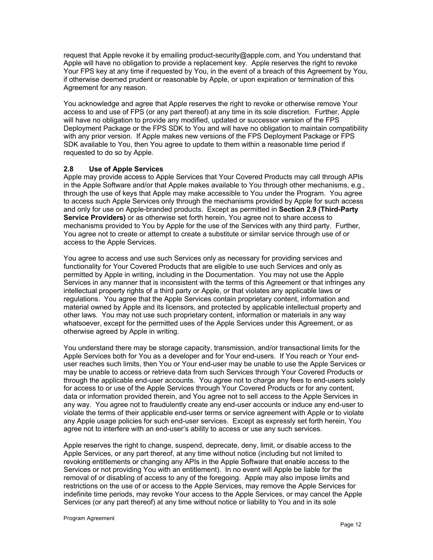request that Apple revoke it by emailing product-security@apple.com, and You understand that Apple will have no obligation to provide a replacement key. Apple reserves the right to revoke Your FPS key at any time if requested by You, in the event of a breach of this Agreement by You, if otherwise deemed prudent or reasonable by Apple, or upon expiration or termination of this Agreement for any reason.

You acknowledge and agree that Apple reserves the right to revoke or otherwise remove Your access to and use of FPS (or any part thereof) at any time in its sole discretion. Further, Apple will have no obligation to provide any modified, updated or successor version of the FPS Deployment Package or the FPS SDK to You and will have no obligation to maintain compatibility with any prior version. If Apple makes new versions of the FPS Deployment Package or FPS SDK available to You, then You agree to update to them within a reasonable time period if requested to do so by Apple.

# **2.8 Use of Apple Services**

Apple may provide access to Apple Services that Your Covered Products may call through APIs in the Apple Software and/or that Apple makes available to You through other mechanisms, e.g., through the use of keys that Apple may make accessible to You under the Program. You agree to access such Apple Services only through the mechanisms provided by Apple for such access and only for use on Apple-branded products. Except as permitted in **Section 2.9 (Third-Party Service Providers)** or as otherwise set forth herein, You agree not to share access to mechanisms provided to You by Apple for the use of the Services with any third party. Further, You agree not to create or attempt to create a substitute or similar service through use of or access to the Apple Services.

You agree to access and use such Services only as necessary for providing services and functionality for Your Covered Products that are eligible to use such Services and only as permitted by Apple in writing, including in the Documentation. You may not use the Apple Services in any manner that is inconsistent with the terms of this Agreement or that infringes any intellectual property rights of a third party or Apple, or that violates any applicable laws or regulations. You agree that the Apple Services contain proprietary content, information and material owned by Apple and its licensors, and protected by applicable intellectual property and other laws. You may not use such proprietary content, information or materials in any way whatsoever, except for the permitted uses of the Apple Services under this Agreement, or as otherwise agreed by Apple in writing.

You understand there may be storage capacity, transmission, and/or transactional limits for the Apple Services both for You as a developer and for Your end-users. If You reach or Your enduser reaches such limits, then You or Your end-user may be unable to use the Apple Services or may be unable to access or retrieve data from such Services through Your Covered Products or through the applicable end-user accounts. You agree not to charge any fees to end-users solely for access to or use of the Apple Services through Your Covered Products or for any content, data or information provided therein, and You agree not to sell access to the Apple Services in any way. You agree not to fraudulently create any end-user accounts or induce any end-user to violate the terms of their applicable end-user terms or service agreement with Apple or to violate any Apple usage policies for such end-user services. Except as expressly set forth herein, You agree not to interfere with an end-user's ability to access or use any such services.

Apple reserves the right to change, suspend, deprecate, deny, limit, or disable access to the Apple Services, or any part thereof, at any time without notice (including but not limited to revoking entitlements or changing any APIs in the Apple Software that enable access to the Services or not providing You with an entitlement). In no event will Apple be liable for the removal of or disabling of access to any of the foregoing. Apple may also impose limits and restrictions on the use of or access to the Apple Services, may remove the Apple Services for indefinite time periods, may revoke Your access to the Apple Services, or may cancel the Apple Services (or any part thereof) at any time without notice or liability to You and in its sole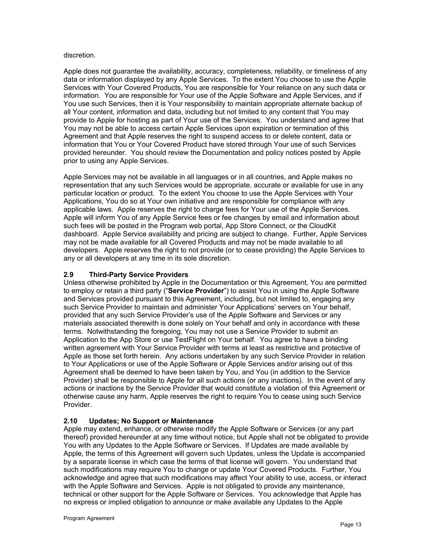#### discretion.

Apple does not guarantee the availability, accuracy, completeness, reliability, or timeliness of any data or information displayed by any Apple Services. To the extent You choose to use the Apple Services with Your Covered Products, You are responsible for Your reliance on any such data or information. You are responsible for Your use of the Apple Software and Apple Services, and if You use such Services, then it is Your responsibility to maintain appropriate alternate backup of all Your content, information and data, including but not limited to any content that You may provide to Apple for hosting as part of Your use of the Services. You understand and agree that You may not be able to access certain Apple Services upon expiration or termination of this Agreement and that Apple reserves the right to suspend access to or delete content, data or information that You or Your Covered Product have stored through Your use of such Services provided hereunder. You should review the Documentation and policy notices posted by Apple prior to using any Apple Services.

Apple Services may not be available in all languages or in all countries, and Apple makes no representation that any such Services would be appropriate, accurate or available for use in any particular location or product. To the extent You choose to use the Apple Services with Your Applications, You do so at Your own initiative and are responsible for compliance with any applicable laws. Apple reserves the right to charge fees for Your use of the Apple Services. Apple will inform You of any Apple Service fees or fee changes by email and information about such fees will be posted in the Program web portal, App Store Connect, or the CloudKit dashboard. Apple Service availability and pricing are subject to change. Further, Apple Services may not be made available for all Covered Products and may not be made available to all developers. Apple reserves the right to not provide (or to cease providing) the Apple Services to any or all developers at any time in its sole discretion.

# **2.9 Third-Party Service Providers**

Unless otherwise prohibited by Apple in the Documentation or this Agreement, You are permitted to employ or retain a third party ("**Service Provider**") to assist You in using the Apple Software and Services provided pursuant to this Agreement, including, but not limited to, engaging any such Service Provider to maintain and administer Your Applications' servers on Your behalf, provided that any such Service Provider's use of the Apple Software and Services or any materials associated therewith is done solely on Your behalf and only in accordance with these terms. Notwithstanding the foregoing, You may not use a Service Provider to submit an Application to the App Store or use TestFlight on Your behalf. You agree to have a binding written agreement with Your Service Provider with terms at least as restrictive and protective of Apple as those set forth herein. Any actions undertaken by any such Service Provider in relation to Your Applications or use of the Apple Software or Apple Services and/or arising out of this Agreement shall be deemed to have been taken by You, and You (in addition to the Service Provider) shall be responsible to Apple for all such actions (or any inactions). In the event of any actions or inactions by the Service Provider that would constitute a violation of this Agreement or otherwise cause any harm, Apple reserves the right to require You to cease using such Service Provider.

#### **2.10 Updates; No Support or Maintenance**

Apple may extend, enhance, or otherwise modify the Apple Software or Services (or any part thereof) provided hereunder at any time without notice, but Apple shall not be obligated to provide You with any Updates to the Apple Software or Services. If Updates are made available by Apple, the terms of this Agreement will govern such Updates, unless the Update is accompanied by a separate license in which case the terms of that license will govern. You understand that such modifications may require You to change or update Your Covered Products. Further, You acknowledge and agree that such modifications may affect Your ability to use, access, or interact with the Apple Software and Services. Apple is not obligated to provide any maintenance, technical or other support for the Apple Software or Services. You acknowledge that Apple has no express or implied obligation to announce or make available any Updates to the Apple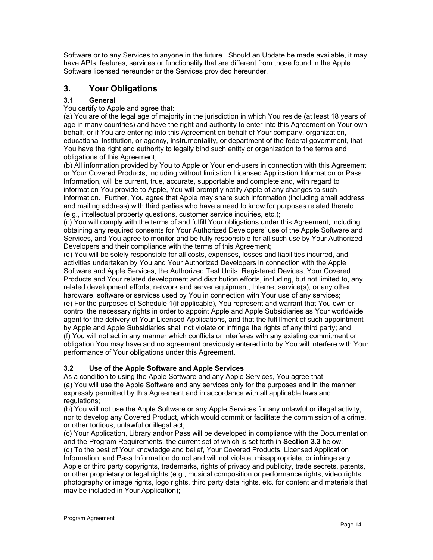Software or to any Services to anyone in the future. Should an Update be made available, it may have APIs, features, services or functionality that are different from those found in the Apple Software licensed hereunder or the Services provided hereunder.

# **3. Your Obligations**

# **3.1 General**

You certify to Apple and agree that:

(a) You are of the legal age of majority in the jurisdiction in which You reside (at least 18 years of age in many countries) and have the right and authority to enter into this Agreement on Your own behalf, or if You are entering into this Agreement on behalf of Your company, organization, educational institution, or agency, instrumentality, or department of the federal government, that You have the right and authority to legally bind such entity or organization to the terms and obligations of this Agreement;

(b) All information provided by You to Apple or Your end-users in connection with this Agreement or Your Covered Products, including without limitation Licensed Application Information or Pass Information, will be current, true, accurate, supportable and complete and, with regard to information You provide to Apple, You will promptly notify Apple of any changes to such information. Further, You agree that Apple may share such information (including email address and mailing address) with third parties who have a need to know for purposes related thereto (e.g., intellectual property questions, customer service inquiries, etc.);

(c) You will comply with the terms of and fulfill Your obligations under this Agreement, including obtaining any required consents for Your Authorized Developers' use of the Apple Software and Services, and You agree to monitor and be fully responsible for all such use by Your Authorized Developers and their compliance with the terms of this Agreement;

(d) You will be solely responsible for all costs, expenses, losses and liabilities incurred, and activities undertaken by You and Your Authorized Developers in connection with the Apple Software and Apple Services, the Authorized Test Units, Registered Devices, Your Covered Products and Your related development and distribution efforts, including, but not limited to, any related development efforts, network and server equipment, Internet service(s), or any other hardware, software or services used by You in connection with Your use of any services; (e) For the purposes of Schedule 1(if applicable), You represent and warrant that You own or control the necessary rights in order to appoint Apple and Apple Subsidiaries as Your worldwide agent for the delivery of Your Licensed Applications, and that the fulfillment of such appointment by Apple and Apple Subsidiaries shall not violate or infringe the rights of any third party; and (f) You will not act in any manner which conflicts or interferes with any existing commitment or obligation You may have and no agreement previously entered into by You will interfere with Your performance of Your obligations under this Agreement.

# **3.2 Use of the Apple Software and Apple Services**

As a condition to using the Apple Software and any Apple Services, You agree that: (a) You will use the Apple Software and any services only for the purposes and in the manner expressly permitted by this Agreement and in accordance with all applicable laws and regulations;

(b) You will not use the Apple Software or any Apple Services for any unlawful or illegal activity, nor to develop any Covered Product, which would commit or facilitate the commission of a crime, or other tortious, unlawful or illegal act;

(c) Your Application, Library and/or Pass will be developed in compliance with the Documentation and the Program Requirements, the current set of which is set forth in **Section 3.3** below; (d) To the best of Your knowledge and belief, Your Covered Products, Licensed Application Information, and Pass Information do not and will not violate, misappropriate, or infringe any Apple or third party copyrights, trademarks, rights of privacy and publicity, trade secrets, patents, or other proprietary or legal rights (e.g., musical composition or performance rights, video rights, photography or image rights, logo rights, third party data rights, etc. for content and materials that may be included in Your Application);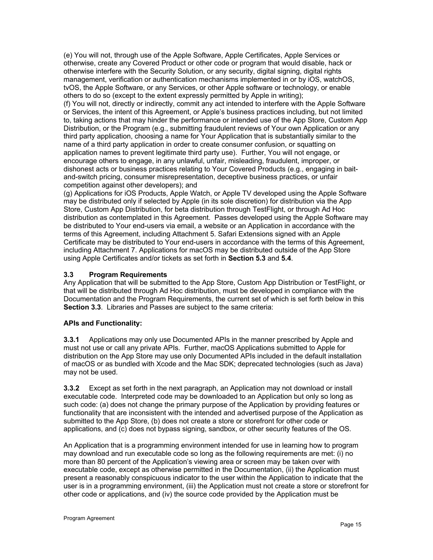(e) You will not, through use of the Apple Software, Apple Certificates, Apple Services or otherwise, create any Covered Product or other code or program that would disable, hack or otherwise interfere with the Security Solution, or any security, digital signing, digital rights management, verification or authentication mechanisms implemented in or by iOS, watchOS, tvOS, the Apple Software, or any Services, or other Apple software or technology, or enable others to do so (except to the extent expressly permitted by Apple in writing);

(f) You will not, directly or indirectly, commit any act intended to interfere with the Apple Software or Services, the intent of this Agreement, or Apple's business practices including, but not limited to, taking actions that may hinder the performance or intended use of the App Store, Custom App Distribution, or the Program (e.g., submitting fraudulent reviews of Your own Application or any third party application, choosing a name for Your Application that is substantially similar to the name of a third party application in order to create consumer confusion, or squatting on application names to prevent legitimate third party use). Further, You will not engage, or encourage others to engage, in any unlawful, unfair, misleading, fraudulent, improper, or dishonest acts or business practices relating to Your Covered Products (e.g., engaging in baitand-switch pricing, consumer misrepresentation, deceptive business practices, or unfair competition against other developers); and

(g) Applications for iOS Products, Apple Watch, or Apple TV developed using the Apple Software may be distributed only if selected by Apple (in its sole discretion) for distribution via the App Store, Custom App Distribution, for beta distribution through TestFlight, or through Ad Hoc distribution as contemplated in this Agreement. Passes developed using the Apple Software may be distributed to Your end-users via email, a website or an Application in accordance with the terms of this Agreement, including Attachment 5. Safari Extensions signed with an Apple Certificate may be distributed to Your end-users in accordance with the terms of this Agreement, including Attachment 7. Applications for macOS may be distributed outside of the App Store using Apple Certificates and/or tickets as set forth in **Section 5.3** and **5.4**.

# **3.3 Program Requirements**

Any Application that will be submitted to the App Store, Custom App Distribution or TestFlight, or that will be distributed through Ad Hoc distribution, must be developed in compliance with the Documentation and the Program Requirements, the current set of which is set forth below in this **Section 3.3**. Libraries and Passes are subject to the same criteria:

#### **APIs and Functionality:**

**3.3.1** Applications may only use Documented APIs in the manner prescribed by Apple and must not use or call any private APIs. Further, macOS Applications submitted to Apple for distribution on the App Store may use only Documented APIs included in the default installation of macOS or as bundled with Xcode and the Mac SDK; deprecated technologies (such as Java) may not be used.

**3.3.2** Except as set forth in the next paragraph, an Application may not download or install executable code. Interpreted code may be downloaded to an Application but only so long as such code: (a) does not change the primary purpose of the Application by providing features or functionality that are inconsistent with the intended and advertised purpose of the Application as submitted to the App Store, (b) does not create a store or storefront for other code or applications, and (c) does not bypass signing, sandbox, or other security features of the OS.

An Application that is a programming environment intended for use in learning how to program may download and run executable code so long as the following requirements are met: (i) no more than 80 percent of the Application's viewing area or screen may be taken over with executable code, except as otherwise permitted in the Documentation, (ii) the Application must present a reasonably conspicuous indicator to the user within the Application to indicate that the user is in a programming environment, (iii) the Application must not create a store or storefront for other code or applications, and (iv) the source code provided by the Application must be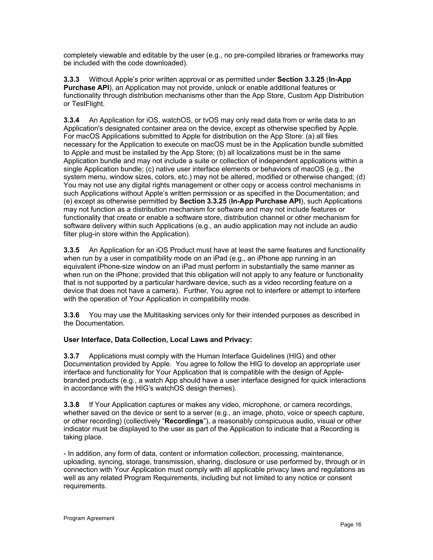completely viewable and editable by the user (e.g., no pre-compiled libraries or frameworks may be included with the code downloaded).

**3.3.3** Without Apple's prior written approval or as permitted under **Section 3.3.25** (**In-App Purchase API**), an Application may not provide, unlock or enable additional features or functionality through distribution mechanisms other than the App Store, Custom App Distribution or TestFlight.

**3.3.4** An Application for iOS, watchOS, or tvOS may only read data from or write data to an Application's designated container area on the device, except as otherwise specified by Apple. For macOS Applications submitted to Apple for distribution on the App Store: (a) all files necessary for the Application to execute on macOS must be in the Application bundle submitted to Apple and must be installed by the App Store; (b) all localizations must be in the same Application bundle and may not include a suite or collection of independent applications within a single Application bundle; (c) native user interface elements or behaviors of macOS (e.g., the system menu, window sizes, colors, etc.) may not be altered, modified or otherwise changed; (d) You may not use any digital rights management or other copy or access control mechanisms in such Applications without Apple's written permission or as specified in the Documentation; and (e) except as otherwise permitted by **Section 3.3.25** (**In-App Purchase API**), such Applications may not function as a distribution mechanism for software and may not include features or functionality that create or enable a software store, distribution channel or other mechanism for software delivery within such Applications (e.g., an audio application may not include an audio filter plug-in store within the Application).

**3.3.5** An Application for an iOS Product must have at least the same features and functionality when run by a user in compatibility mode on an iPad (e.g., an iPhone app running in an equivalent iPhone-size window on an iPad must perform in substantially the same manner as when run on the iPhone; provided that this obligation will not apply to any feature or functionality that is not supported by a particular hardware device, such as a video recording feature on a device that does not have a camera). Further, You agree not to interfere or attempt to interfere with the operation of Your Application in compatibility mode.

**3.3.6** You may use the Multitasking services only for their intended purposes as described in the Documentation.

# **User Interface, Data Collection, Local Laws and Privacy:**

**3.3.7** Applications must comply with the Human Interface Guidelines (HIG) and other Documentation provided by Apple. You agree to follow the HIG to develop an appropriate user interface and functionality for Your Application that is compatible with the design of Applebranded products (e.g., a watch App should have a user interface designed for quick interactions in accordance with the HIG's watchOS design themes).

**3.3.8** If Your Application captures or makes any video, microphone, or camera recordings, whether saved on the device or sent to a server (e.g., an image, photo, voice or speech capture, or other recording) (collectively "**Recordings**"), a reasonably conspicuous audio, visual or other indicator must be displayed to the user as part of the Application to indicate that a Recording is taking place.

- In addition, any form of data, content or information collection, processing, maintenance, uploading, syncing, storage, transmission, sharing, disclosure or use performed by, through or in connection with Your Application must comply with all applicable privacy laws and regulations as well as any related Program Requirements, including but not limited to any notice or consent requirements.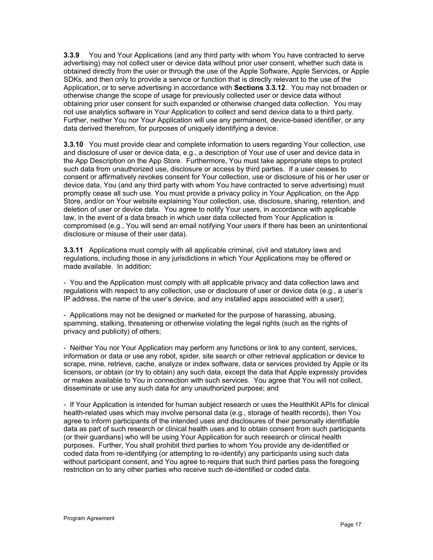**3.3.9** You and Your Applications (and any third party with whom You have contracted to serve advertising) may not collect user or device data without prior user consent, whether such data is obtained directly from the user or through the use of the Apple Software, Apple Services, or Apple SDKs, and then only to provide a service or function that is directly relevant to the use of the Application, or to serve advertising in accordance with **Sections 3.3.12**. You may not broaden or otherwise change the scope of usage for previously collected user or device data without obtaining prior user consent for such expanded or otherwise changed data collection. You may not use analytics software in Your Application to collect and send device data to a third party. Further, neither You nor Your Application will use any permanent, device-based identifier, or any data derived therefrom, for purposes of uniquely identifying a device.

**3.3.10** You must provide clear and complete information to users regarding Your collection, use and disclosure of user or device data, e.g., a description of Your use of user and device data in the App Description on the App Store. Furthermore, You must take appropriate steps to protect such data from unauthorized use, disclosure or access by third parties. If a user ceases to consent or affirmatively revokes consent for Your collection, use or disclosure of his or her user or device data, You (and any third party with whom You have contracted to serve advertising) must promptly cease all such use. You must provide a privacy policy in Your Application, on the App Store, and/or on Your website explaining Your collection, use, disclosure, sharing, retention, and deletion of user or device data. You agree to notify Your users, in accordance with applicable law, in the event of a data breach in which user data collected from Your Application is compromised (e.g., You will send an email notifying Your users if there has been an unintentional disclosure or misuse of their user data).

**3.3.11** Applications must comply with all applicable criminal, civil and statutory laws and regulations, including those in any jurisdictions in which Your Applications may be offered or made available. In addition:

- You and the Application must comply with all applicable privacy and data collection laws and regulations with respect to any collection, use or disclosure of user or device data (e.g., a user's IP address, the name of the user's device, and any installed apps associated with a user);

- Applications may not be designed or marketed for the purpose of harassing, abusing, spamming, stalking, threatening or otherwise violating the legal rights (such as the rights of privacy and publicity) of others;

- Neither You nor Your Application may perform any functions or link to any content, services, information or data or use any robot, spider, site search or other retrieval application or device to scrape, mine, retrieve, cache, analyze or index software, data or services provided by Apple or its licensors, or obtain (or try to obtain) any such data, except the data that Apple expressly provides or makes available to You in connection with such services. You agree that You will not collect, disseminate or use any such data for any unauthorized purpose; and

- If Your Application is intended for human subject research or uses the HealthKit APIs for clinical health-related uses which may involve personal data (e.g., storage of health records), then You agree to inform participants of the intended uses and disclosures of their personally identifiable data as part of such research or clinical health uses and to obtain consent from such participants (or their guardians) who will be using Your Application for such research or clinical health purposes. Further, You shall prohibit third parties to whom You provide any de-identified or coded data from re-identifying (or attempting to re-identify) any participants using such data without participant consent, and You agree to require that such third parties pass the foregoing restriction on to any other parties who receive such de-identified or coded data.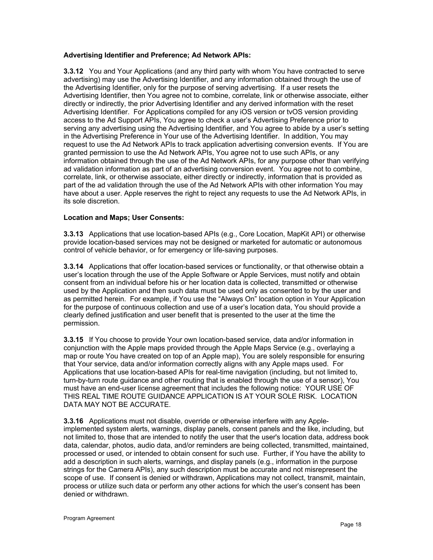# **Advertising Identifier and Preference; Ad Network APIs:**

**3.3.12** You and Your Applications (and any third party with whom You have contracted to serve advertising) may use the Advertising Identifier, and any information obtained through the use of the Advertising Identifier, only for the purpose of serving advertising. If a user resets the Advertising Identifier, then You agree not to combine, correlate, link or otherwise associate, either directly or indirectly, the prior Advertising Identifier and any derived information with the reset Advertising Identifier. For Applications compiled for any iOS version or tvOS version providing access to the Ad Support APIs, You agree to check a user's Advertising Preference prior to serving any advertising using the Advertising Identifier, and You agree to abide by a user's setting in the Advertising Preference in Your use of the Advertising Identifier. In addition, You may request to use the Ad Network APIs to track application advertising conversion events. If You are granted permission to use the Ad Network APIs, You agree not to use such APIs, or any information obtained through the use of the Ad Network APIs, for any purpose other than verifying ad validation information as part of an advertising conversion event. You agree not to combine, correlate, link, or otherwise associate, either directly or indirectly, information that is provided as part of the ad validation through the use of the Ad Network APIs with other information You may have about a user. Apple reserves the right to reject any requests to use the Ad Network APIs, in its sole discretion.

# **Location and Maps; User Consents:**

**3.3.13** Applications that use location-based APIs (e.g., Core Location, MapKit API) or otherwise provide location-based services may not be designed or marketed for automatic or autonomous control of vehicle behavior, or for emergency or life-saving purposes.

**3.3.14** Applications that offer location-based services or functionality, or that otherwise obtain a user's location through the use of the Apple Software or Apple Services, must notify and obtain consent from an individual before his or her location data is collected, transmitted or otherwise used by the Application and then such data must be used only as consented to by the user and as permitted herein. For example, if You use the "Always On" location option in Your Application for the purpose of continuous collection and use of a user's location data, You should provide a clearly defined justification and user benefit that is presented to the user at the time the permission.

**3.3.15** If You choose to provide Your own location-based service, data and/or information in conjunction with the Apple maps provided through the Apple Maps Service (e.g., overlaying a map or route You have created on top of an Apple map), You are solely responsible for ensuring that Your service, data and/or information correctly aligns with any Apple maps used. For Applications that use location-based APIs for real-time navigation (including, but not limited to, turn-by-turn route guidance and other routing that is enabled through the use of a sensor), You must have an end-user license agreement that includes the following notice: YOUR USE OF THIS REAL TIME ROUTE GUIDANCE APPLICATION IS AT YOUR SOLE RISK. LOCATION DATA MAY NOT BE ACCURATE.

**3.3.16** Applications must not disable, override or otherwise interfere with any Appleimplemented system alerts, warnings, display panels, consent panels and the like, including, but not limited to, those that are intended to notify the user that the user's location data, address book data, calendar, photos, audio data, and/or reminders are being collected, transmitted, maintained, processed or used, or intended to obtain consent for such use. Further, if You have the ability to add a description in such alerts, warnings, and display panels (e.g., information in the purpose strings for the Camera APIs), any such description must be accurate and not misrepresent the scope of use. If consent is denied or withdrawn, Applications may not collect, transmit, maintain, process or utilize such data or perform any other actions for which the user's consent has been denied or withdrawn.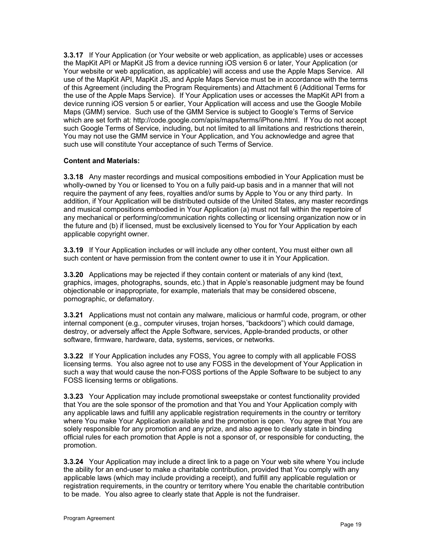**3.3.17** If Your Application (or Your website or web application, as applicable) uses or accesses the MapKit API or MapKit JS from a device running iOS version 6 or later, Your Application (or Your website or web application, as applicable) will access and use the Apple Maps Service. All use of the MapKit API, MapKit JS, and Apple Maps Service must be in accordance with the terms of this Agreement (including the Program Requirements) and Attachment 6 (Additional Terms for the use of the Apple Maps Service). If Your Application uses or accesses the MapKit API from a device running iOS version 5 or earlier, Your Application will access and use the Google Mobile Maps (GMM) service. Such use of the GMM Service is subject to Google's Terms of Service which are set forth at: http://code.google.com/apis/maps/terms/iPhone.html. If You do not accept such Google Terms of Service, including, but not limited to all limitations and restrictions therein, You may not use the GMM service in Your Application, and You acknowledge and agree that such use will constitute Your acceptance of such Terms of Service.

# **Content and Materials:**

**3.3.18** Any master recordings and musical compositions embodied in Your Application must be wholly-owned by You or licensed to You on a fully paid-up basis and in a manner that will not require the payment of any fees, royalties and/or sums by Apple to You or any third party. In addition, if Your Application will be distributed outside of the United States, any master recordings and musical compositions embodied in Your Application (a) must not fall within the repertoire of any mechanical or performing/communication rights collecting or licensing organization now or in the future and (b) if licensed, must be exclusively licensed to You for Your Application by each applicable copyright owner.

**3.3.19** If Your Application includes or will include any other content, You must either own all such content or have permission from the content owner to use it in Your Application.

**3.3.20** Applications may be rejected if they contain content or materials of any kind (text, graphics, images, photographs, sounds, etc.) that in Apple's reasonable judgment may be found objectionable or inappropriate, for example, materials that may be considered obscene, pornographic, or defamatory.

**3.3.21** Applications must not contain any malware, malicious or harmful code, program, or other internal component (e.g., computer viruses, trojan horses, "backdoors") which could damage, destroy, or adversely affect the Apple Software, services, Apple-branded products, or other software, firmware, hardware, data, systems, services, or networks.

**3.3.22** If Your Application includes any FOSS, You agree to comply with all applicable FOSS licensing terms. You also agree not to use any FOSS in the development of Your Application in such a way that would cause the non-FOSS portions of the Apple Software to be subject to any FOSS licensing terms or obligations.

**3.3.23** Your Application may include promotional sweepstake or contest functionality provided that You are the sole sponsor of the promotion and that You and Your Application comply with any applicable laws and fulfill any applicable registration requirements in the country or territory where You make Your Application available and the promotion is open. You agree that You are solely responsible for any promotion and any prize, and also agree to clearly state in binding official rules for each promotion that Apple is not a sponsor of, or responsible for conducting, the promotion.

**3.3.24** Your Application may include a direct link to a page on Your web site where You include the ability for an end-user to make a charitable contribution, provided that You comply with any applicable laws (which may include providing a receipt), and fulfill any applicable regulation or registration requirements, in the country or territory where You enable the charitable contribution to be made. You also agree to clearly state that Apple is not the fundraiser.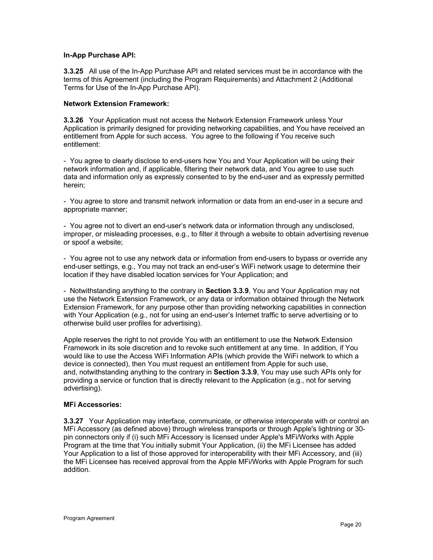#### **In-App Purchase API:**

**3.3.25** All use of the In-App Purchase API and related services must be in accordance with the terms of this Agreement (including the Program Requirements) and Attachment 2 (Additional Terms for Use of the In-App Purchase API).

#### **Network Extension Framework:**

**3.3.26** Your Application must not access the Network Extension Framework unless Your Application is primarily designed for providing networking capabilities, and You have received an entitlement from Apple for such access. You agree to the following if You receive such entitlement:

- You agree to clearly disclose to end-users how You and Your Application will be using their network information and, if applicable, filtering their network data, and You agree to use such data and information only as expressly consented to by the end-user and as expressly permitted herein;

- You agree to store and transmit network information or data from an end-user in a secure and appropriate manner;

- You agree not to divert an end-user's network data or information through any undisclosed, improper, or misleading processes, e.g., to filter it through a website to obtain advertising revenue or spoof a website;

- You agree not to use any network data or information from end-users to bypass or override any end-user settings, e.g., You may not track an end-user's WiFi network usage to determine their location if they have disabled location services for Your Application; and

- Notwithstanding anything to the contrary in **Section 3.3.9**, You and Your Application may not use the Network Extension Framework, or any data or information obtained through the Network Extension Framework, for any purpose other than providing networking capabilities in connection with Your Application (e.g., not for using an end-user's Internet traffic to serve advertising or to otherwise build user profiles for advertising).

Apple reserves the right to not provide You with an entitlement to use the Network Extension Framework in its sole discretion and to revoke such entitlement at any time. In addition, if You would like to use the Access WiFi Information APIs (which provide the WiFi network to which a device is connected), then You must request an entitlement from Apple for such use, and, notwithstanding anything to the contrary in **Section 3.3.9**, You may use such APIs only for providing a service or function that is directly relevant to the Application (e.g., not for serving advertising).

#### **MFi Accessories:**

**3.3.27** Your Application may interface, communicate, or otherwise interoperate with or control an MFi Accessory (as defined above) through wireless transports or through Apple's lightning or 30 pin connectors only if (i) such MFi Accessory is licensed under Apple's MFi/Works with Apple Program at the time that You initially submit Your Application, (ii) the MFi Licensee has added Your Application to a list of those approved for interoperability with their MFi Accessory, and (iii) the MFi Licensee has received approval from the Apple MFi/Works with Apple Program for such addition.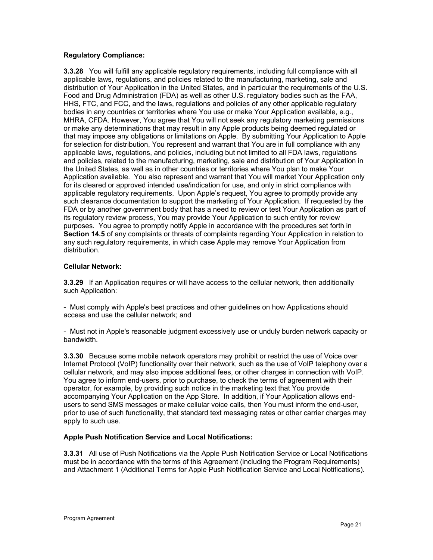# **Regulatory Compliance:**

**3.3.28** You will fulfill any applicable regulatory requirements, including full compliance with all applicable laws, regulations, and policies related to the manufacturing, marketing, sale and distribution of Your Application in the United States, and in particular the requirements of the U.S. Food and Drug Administration (FDA) as well as other U.S. regulatory bodies such as the FAA, HHS, FTC, and FCC, and the laws, regulations and policies of any other applicable regulatory bodies in any countries or territories where You use or make Your Application available, e.g., MHRA, CFDA. However, You agree that You will not seek any regulatory marketing permissions or make any determinations that may result in any Apple products being deemed regulated or that may impose any obligations or limitations on Apple. By submitting Your Application to Apple for selection for distribution, You represent and warrant that You are in full compliance with any applicable laws, regulations, and policies, including but not limited to all FDA laws, regulations and policies, related to the manufacturing, marketing, sale and distribution of Your Application in the United States, as well as in other countries or territories where You plan to make Your Application available. You also represent and warrant that You will market Your Application only for its cleared or approved intended use/indication for use, and only in strict compliance with applicable regulatory requirements. Upon Apple's request, You agree to promptly provide any such clearance documentation to support the marketing of Your Application. If requested by the FDA or by another government body that has a need to review or test Your Application as part of its regulatory review process, You may provide Your Application to such entity for review purposes. You agree to promptly notify Apple in accordance with the procedures set forth in **Section 14.5** of any complaints or threats of complaints regarding Your Application in relation to any such regulatory requirements, in which case Apple may remove Your Application from distribution.

# **Cellular Network:**

**3.3.29** If an Application requires or will have access to the cellular network, then additionally such Application:

- Must comply with Apple's best practices and other guidelines on how Applications should access and use the cellular network; and

- Must not in Apple's reasonable judgment excessively use or unduly burden network capacity or bandwidth.

**3.3.30** Because some mobile network operators may prohibit or restrict the use of Voice over Internet Protocol (VoIP) functionality over their network, such as the use of VoIP telephony over a cellular network, and may also impose additional fees, or other charges in connection with VoIP. You agree to inform end-users, prior to purchase, to check the terms of agreement with their operator, for example, by providing such notice in the marketing text that You provide accompanying Your Application on the App Store. In addition, if Your Application allows endusers to send SMS messages or make cellular voice calls, then You must inform the end-user, prior to use of such functionality, that standard text messaging rates or other carrier charges may apply to such use.

#### **Apple Push Notification Service and Local Notifications:**

**3.3.31** All use of Push Notifications via the Apple Push Notification Service or Local Notifications must be in accordance with the terms of this Agreement (including the Program Requirements) and Attachment 1 (Additional Terms for Apple Push Notification Service and Local Notifications).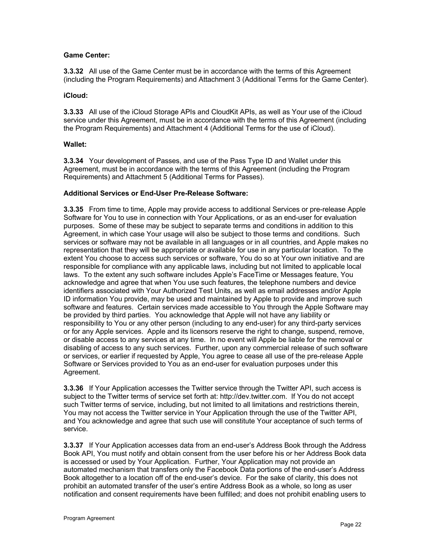# **Game Center:**

**3.3.32** All use of the Game Center must be in accordance with the terms of this Agreement (including the Program Requirements) and Attachment 3 (Additional Terms for the Game Center).

#### **iCloud:**

**3.3.33** All use of the iCloud Storage APIs and CloudKit APIs, as well as Your use of the iCloud service under this Agreement, must be in accordance with the terms of this Agreement (including the Program Requirements) and Attachment 4 (Additional Terms for the use of iCloud).

# **Wallet:**

**3.3.34** Your development of Passes, and use of the Pass Type ID and Wallet under this Agreement, must be in accordance with the terms of this Agreement (including the Program Requirements) and Attachment 5 (Additional Terms for Passes).

# **Additional Services or End-User Pre-Release Software:**

**3.3.35** From time to time, Apple may provide access to additional Services or pre-release Apple Software for You to use in connection with Your Applications, or as an end-user for evaluation purposes. Some of these may be subject to separate terms and conditions in addition to this Agreement, in which case Your usage will also be subject to those terms and conditions. Such services or software may not be available in all languages or in all countries, and Apple makes no representation that they will be appropriate or available for use in any particular location. To the extent You choose to access such services or software, You do so at Your own initiative and are responsible for compliance with any applicable laws, including but not limited to applicable local laws. To the extent any such software includes Apple's FaceTime or Messages feature, You acknowledge and agree that when You use such features, the telephone numbers and device identifiers associated with Your Authorized Test Units, as well as email addresses and/or Apple ID information You provide, may be used and maintained by Apple to provide and improve such software and features. Certain services made accessible to You through the Apple Software may be provided by third parties. You acknowledge that Apple will not have any liability or responsibility to You or any other person (including to any end-user) for any third-party services or for any Apple services. Apple and its licensors reserve the right to change, suspend, remove, or disable access to any services at any time. In no event will Apple be liable for the removal or disabling of access to any such services. Further, upon any commercial release of such software or services, or earlier if requested by Apple, You agree to cease all use of the pre-release Apple Software or Services provided to You as an end-user for evaluation purposes under this Agreement.

**3.3.36** If Your Application accesses the Twitter service through the Twitter API, such access is subject to the Twitter terms of service set forth at: http://dev.twitter.com. If You do not accept such Twitter terms of service, including, but not limited to all limitations and restrictions therein, You may not access the Twitter service in Your Application through the use of the Twitter API, and You acknowledge and agree that such use will constitute Your acceptance of such terms of service.

**3.3.37** If Your Application accesses data from an end-user's Address Book through the Address Book API, You must notify and obtain consent from the user before his or her Address Book data is accessed or used by Your Application. Further, Your Application may not provide an automated mechanism that transfers only the Facebook Data portions of the end-user's Address Book altogether to a location off of the end-user's device. For the sake of clarity, this does not prohibit an automated transfer of the user's entire Address Book as a whole, so long as user notification and consent requirements have been fulfilled; and does not prohibit enabling users to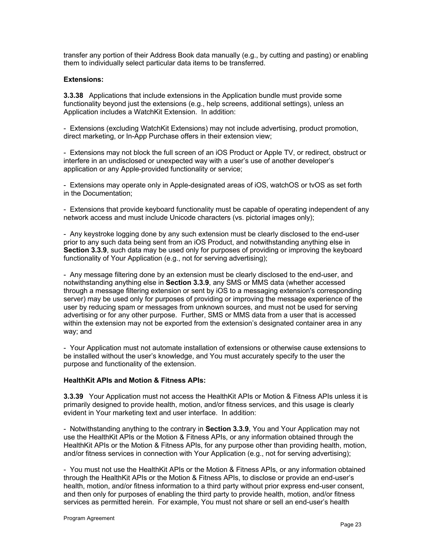transfer any portion of their Address Book data manually (e.g., by cutting and pasting) or enabling them to individually select particular data items to be transferred.

#### **Extensions:**

**3.3.38** Applications that include extensions in the Application bundle must provide some functionality beyond just the extensions (e.g., help screens, additional settings), unless an Application includes a WatchKit Extension. In addition:

- Extensions (excluding WatchKit Extensions) may not include advertising, product promotion, direct marketing, or In-App Purchase offers in their extension view;

- Extensions may not block the full screen of an iOS Product or Apple TV, or redirect, obstruct or interfere in an undisclosed or unexpected way with a user's use of another developer's application or any Apple-provided functionality or service;

- Extensions may operate only in Apple-designated areas of iOS, watchOS or tvOS as set forth in the Documentation;

- Extensions that provide keyboard functionality must be capable of operating independent of any network access and must include Unicode characters (vs. pictorial images only);

- Any keystroke logging done by any such extension must be clearly disclosed to the end-user prior to any such data being sent from an iOS Product, and notwithstanding anything else in **Section 3.3.9**, such data may be used only for purposes of providing or improving the keyboard functionality of Your Application (e.g., not for serving advertising);

- Any message filtering done by an extension must be clearly disclosed to the end-user, and notwithstanding anything else in **Section 3.3.9**, any SMS or MMS data (whether accessed through a message filtering extension or sent by iOS to a messaging extension's corresponding server) may be used only for purposes of providing or improving the message experience of the user by reducing spam or messages from unknown sources, and must not be used for serving advertising or for any other purpose. Further, SMS or MMS data from a user that is accessed within the extension may not be exported from the extension's designated container area in any way; and

- Your Application must not automate installation of extensions or otherwise cause extensions to be installed without the user's knowledge, and You must accurately specify to the user the purpose and functionality of the extension.

#### **HealthKit APIs and Motion & Fitness APIs:**

**3.3.39** Your Application must not access the HealthKit APIs or Motion & Fitness APIs unless it is primarily designed to provide health, motion, and/or fitness services, and this usage is clearly evident in Your marketing text and user interface. In addition:

- Notwithstanding anything to the contrary in **Section 3.3.9**, You and Your Application may not use the HealthKit APIs or the Motion & Fitness APIs, or any information obtained through the HealthKit APIs or the Motion & Fitness APIs, for any purpose other than providing health, motion, and/or fitness services in connection with Your Application (e.g., not for serving advertising);

- You must not use the HealthKit APIs or the Motion & Fitness APIs, or any information obtained through the HealthKit APIs or the Motion & Fitness APIs, to disclose or provide an end-user's health, motion, and/or fitness information to a third party without prior express end-user consent, and then only for purposes of enabling the third party to provide health, motion, and/or fitness services as permitted herein. For example, You must not share or sell an end-user's health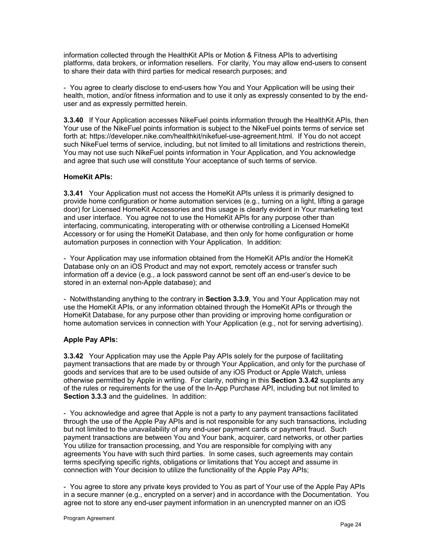information collected through the HealthKit APIs or Motion & Fitness APIs to advertising platforms, data brokers, or information resellers. For clarity, You may allow end-users to consent to share their data with third parties for medical research purposes; and

- You agree to clearly disclose to end-users how You and Your Application will be using their health, motion, and/or fitness information and to use it only as expressly consented to by the enduser and as expressly permitted herein.

**3.3.40** If Your Application accesses NikeFuel points information through the HealthKit APIs, then Your use of the NikeFuel points information is subject to the NikeFuel points terms of service set forth at: https://developer.nike.com/healthkit/nikefuel-use-agreement.html. If You do not accept such NikeFuel terms of service, including, but not limited to all limitations and restrictions therein, You may not use such NikeFuel points information in Your Application, and You acknowledge and agree that such use will constitute Your acceptance of such terms of service.

# **HomeKit APIs:**

**3.3.41** Your Application must not access the HomeKit APIs unless it is primarily designed to provide home configuration or home automation services (e.g., turning on a light, lifting a garage door) for Licensed HomeKit Accessories and this usage is clearly evident in Your marketing text and user interface. You agree not to use the HomeKit APIs for any purpose other than interfacing, communicating, interoperating with or otherwise controlling a Licensed HomeKit Accessory or for using the HomeKit Database, and then only for home configuration or home automation purposes in connection with Your Application. In addition:

- Your Application may use information obtained from the HomeKit APIs and/or the HomeKit Database only on an iOS Product and may not export, remotely access or transfer such information off a device (e.g., a lock password cannot be sent off an end-user's device to be stored in an external non-Apple database); and

- Notwithstanding anything to the contrary in **Section 3.3.9**, You and Your Application may not use the HomeKit APIs, or any information obtained through the HomeKit APIs or through the HomeKit Database, for any purpose other than providing or improving home configuration or home automation services in connection with Your Application (e.g., not for serving advertising).

#### **Apple Pay APIs:**

**3.3.42** Your Application may use the Apple Pay APIs solely for the purpose of facilitating payment transactions that are made by or through Your Application, and only for the purchase of goods and services that are to be used outside of any iOS Product or Apple Watch, unless otherwise permitted by Apple in writing. For clarity, nothing in this **Section 3.3.42** supplants any of the rules or requirements for the use of the In-App Purchase API, including but not limited to **Section 3.3.3** and the guidelines. In addition:

- You acknowledge and agree that Apple is not a party to any payment transactions facilitated through the use of the Apple Pay APIs and is not responsible for any such transactions, including but not limited to the unavailability of any end-user payment cards or payment fraud. Such payment transactions are between You and Your bank, acquirer, card networks, or other parties You utilize for transaction processing, and You are responsible for complying with any agreements You have with such third parties. In some cases, such agreements may contain terms specifying specific rights, obligations or limitations that You accept and assume in connection with Your decision to utilize the functionality of the Apple Pay APIs;

- You agree to store any private keys provided to You as part of Your use of the Apple Pay APIs in a secure manner (e.g., encrypted on a server) and in accordance with the Documentation. You agree not to store any end-user payment information in an unencrypted manner on an iOS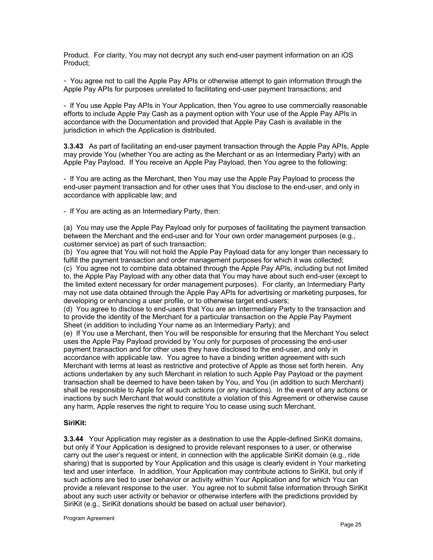Product. For clarity, You may not decrypt any such end-user payment information on an iOS Product;

- You agree not to call the Apple Pay APIs or otherwise attempt to gain information through the Apple Pay APIs for purposes unrelated to facilitating end-user payment transactions; and

- If You use Apple Pay APIs in Your Application, then You agree to use commercially reasonable efforts to include Apple Pay Cash as a payment option with Your use of the Apple Pay APIs in accordance with the Documentation and provided that Apple Pay Cash is available in the jurisdiction in which the Application is distributed.

**3.3.43** As part of facilitating an end-user payment transaction through the Apple Pay APIs, Apple may provide You (whether You are acting as the Merchant or as an Intermediary Party) with an Apple Pay Payload. If You receive an Apple Pay Payload, then You agree to the following:

- If You are acting as the Merchant, then You may use the Apple Pay Payload to process the end-user payment transaction and for other uses that You disclose to the end-user, and only in accordance with applicable law; and

- If You are acting as an Intermediary Party, then:

(a) You may use the Apple Pay Payload only for purposes of facilitating the payment transaction between the Merchant and the end-user and for Your own order management purposes (e.g., customer service) as part of such transaction;

(b) You agree that You will not hold the Apple Pay Payload data for any longer than necessary to fulfill the payment transaction and order management purposes for which it was collected; (c) You agree not to combine data obtained through the Apple Pay APIs, including but not limited to, the Apple Pay Payload with any other data that You may have about such end-user (except to the limited extent necessary for order management purposes). For clarity, an Intermediary Party may not use data obtained through the Apple Pay APIs for advertising or marketing purposes, for developing or enhancing a user profile, or to otherwise target end-users;

(d) You agree to disclose to end-users that You are an Intermediary Party to the transaction and to provide the identity of the Merchant for a particular transaction on the Apple Pay Payment Sheet (in addition to including Your name as an Intermediary Party); and

(e) If You use a Merchant, then You will be responsible for ensuring that the Merchant You select uses the Apple Pay Payload provided by You only for purposes of processing the end-user payment transaction and for other uses they have disclosed to the end-user, and only in accordance with applicable law. You agree to have a binding written agreement with such Merchant with terms at least as restrictive and protective of Apple as those set forth herein. Any actions undertaken by any such Merchant in relation to such Apple Pay Payload or the payment transaction shall be deemed to have been taken by You, and You (in addition to such Merchant) shall be responsible to Apple for all such actions (or any inactions). In the event of any actions or inactions by such Merchant that would constitute a violation of this Agreement or otherwise cause any harm, Apple reserves the right to require You to cease using such Merchant.

#### **SiriKit:**

**3.3.44** Your Application may register as a destination to use the Apple-defined SiriKit domains, but only if Your Application is designed to provide relevant responses to a user, or otherwise carry out the user's request or intent, in connection with the applicable SiriKit domain (e.g., ride sharing) that is supported by Your Application and this usage is clearly evident in Your marketing text and user interface. In addition, Your Application may contribute actions to SiriKit, but only if such actions are tied to user behavior or activity within Your Application and for which You can provide a relevant response to the user. You agree not to submit false information through SiriKit about any such user activity or behavior or otherwise interfere with the predictions provided by SiriKit (e.g., SiriKit donations should be based on actual user behavior).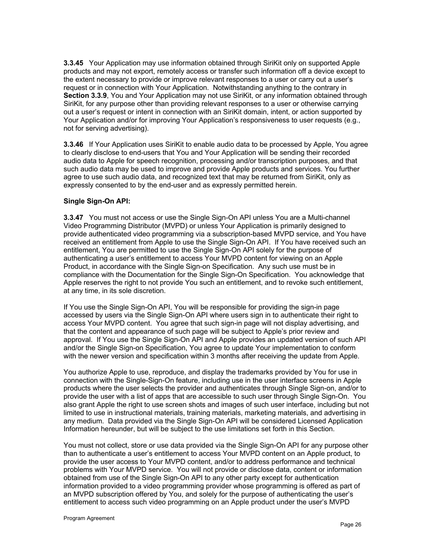**3.3.45** Your Application may use information obtained through SiriKit only on supported Apple products and may not export, remotely access or transfer such information off a device except to the extent necessary to provide or improve relevant responses to a user or carry out a user's request or in connection with Your Application. Notwithstanding anything to the contrary in **Section 3.3.9**, You and Your Application may not use SiriKit, or any information obtained through SiriKit, for any purpose other than providing relevant responses to a user or otherwise carrying out a user's request or intent in connection with an SiriKit domain, intent, or action supported by Your Application and/or for improving Your Application's responsiveness to user requests (e.g., not for serving advertising).

**3.3.46** If Your Application uses SiriKit to enable audio data to be processed by Apple, You agree to clearly disclose to end-users that You and Your Application will be sending their recorded audio data to Apple for speech recognition, processing and/or transcription purposes, and that such audio data may be used to improve and provide Apple products and services. You further agree to use such audio data, and recognized text that may be returned from SiriKit, only as expressly consented to by the end-user and as expressly permitted herein.

#### **Single Sign-On API:**

**3.3.47** You must not access or use the Single Sign-On API unless You are a Multi-channel Video Programming Distributor (MVPD) or unless Your Application is primarily designed to provide authenticated video programming via a subscription-based MVPD service, and You have received an entitlement from Apple to use the Single Sign-On API. If You have received such an entitlement, You are permitted to use the Single Sign-On API solely for the purpose of authenticating a user's entitlement to access Your MVPD content for viewing on an Apple Product, in accordance with the Single Sign-on Specification. Any such use must be in compliance with the Documentation for the Single Sign-On Specification. You acknowledge that Apple reserves the right to not provide You such an entitlement, and to revoke such entitlement, at any time, in its sole discretion.

If You use the Single Sign-On API, You will be responsible for providing the sign-in page accessed by users via the Single Sign-On API where users sign in to authenticate their right to access Your MVPD content. You agree that such sign-in page will not display advertising, and that the content and appearance of such page will be subject to Apple's prior review and approval. If You use the Single Sign-On API and Apple provides an updated version of such API and/or the Single Sign-on Specification, You agree to update Your implementation to conform with the newer version and specification within 3 months after receiving the update from Apple.

You authorize Apple to use, reproduce, and display the trademarks provided by You for use in connection with the Single-Sign-On feature, including use in the user interface screens in Apple products where the user selects the provider and authenticates through Single Sign-on, and/or to provide the user with a list of apps that are accessible to such user through Single Sign-On. You also grant Apple the right to use screen shots and images of such user interface, including but not limited to use in instructional materials, training materials, marketing materials, and advertising in any medium. Data provided via the Single Sign-On API will be considered Licensed Application Information hereunder, but will be subject to the use limitations set forth in this Section.

You must not collect, store or use data provided via the Single Sign-On API for any purpose other than to authenticate a user's entitlement to access Your MVPD content on an Apple product, to provide the user access to Your MVPD content, and/or to address performance and technical problems with Your MVPD service. You will not provide or disclose data, content or information obtained from use of the Single Sign-On API to any other party except for authentication information provided to a video programming provider whose programming is offered as part of an MVPD subscription offered by You, and solely for the purpose of authenticating the user's entitlement to access such video programming on an Apple product under the user's MVPD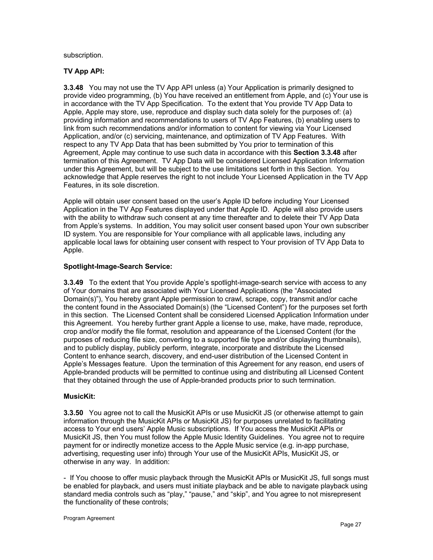subscription.

# **TV App API:**

**3.3.48** You may not use the TV App API unless (a) Your Application is primarily designed to provide video programming, (b) You have received an entitlement from Apple, and (c) Your use is in accordance with the TV App Specification. To the extent that You provide TV App Data to Apple, Apple may store, use, reproduce and display such data solely for the purposes of: (a) providing information and recommendations to users of TV App Features, (b) enabling users to link from such recommendations and/or information to content for viewing via Your Licensed Application, and/or (c) servicing, maintenance, and optimization of TV App Features. With respect to any TV App Data that has been submitted by You prior to termination of this Agreement, Apple may continue to use such data in accordance with this **Section 3.3.48** after termination of this Agreement. TV App Data will be considered Licensed Application Information under this Agreement, but will be subject to the use limitations set forth in this Section. You acknowledge that Apple reserves the right to not include Your Licensed Application in the TV App Features, in its sole discretion.

Apple will obtain user consent based on the user's Apple ID before including Your Licensed Application in the TV App Features displayed under that Apple ID. Apple will also provide users with the ability to withdraw such consent at any time thereafter and to delete their TV App Data from Apple's systems. In addition, You may solicit user consent based upon Your own subscriber ID system. You are responsible for Your compliance with all applicable laws, including any applicable local laws for obtaining user consent with respect to Your provision of TV App Data to Apple.

# **Spotlight-Image-Search Service:**

**3.3.49** To the extent that You provide Apple's spotlight-image-search service with access to any of Your domains that are associated with Your Licensed Applications (the "Associated Domain(s)"), You hereby grant Apple permission to crawl, scrape, copy, transmit and/or cache the content found in the Associated Domain(s) (the "Licensed Content") for the purposes set forth in this section. The Licensed Content shall be considered Licensed Application Information under this Agreement. You hereby further grant Apple a license to use, make, have made, reproduce, crop and/or modify the file format, resolution and appearance of the Licensed Content (for the purposes of reducing file size, converting to a supported file type and/or displaying thumbnails), and to publicly display, publicly perform, integrate, incorporate and distribute the Licensed Content to enhance search, discovery, and end-user distribution of the Licensed Content in Apple's Messages feature. Upon the termination of this Agreement for any reason, end users of Apple-branded products will be permitted to continue using and distributing all Licensed Content that they obtained through the use of Apple-branded products prior to such termination.

#### **MusicKit:**

**3.3.50** You agree not to call the MusicKit APIs or use MusicKit JS (or otherwise attempt to gain information through the MusicKit APIs or MusicKit JS) for purposes unrelated to facilitating access to Your end users' Apple Music subscriptions. If You access the MusicKit APIs or MusicKit JS, then You must follow the Apple Music Identity Guidelines. You agree not to require payment for or indirectly monetize access to the Apple Music service (e.g. in-app purchase, advertising, requesting user info) through Your use of the MusicKit APIs, MusicKit JS, or otherwise in any way. In addition:

- If You choose to offer music playback through the MusicKit APIs or MusicKit JS, full songs must be enabled for playback, and users must initiate playback and be able to navigate playback using standard media controls such as "play," "pause," and "skip", and You agree to not misrepresent the functionality of these controls;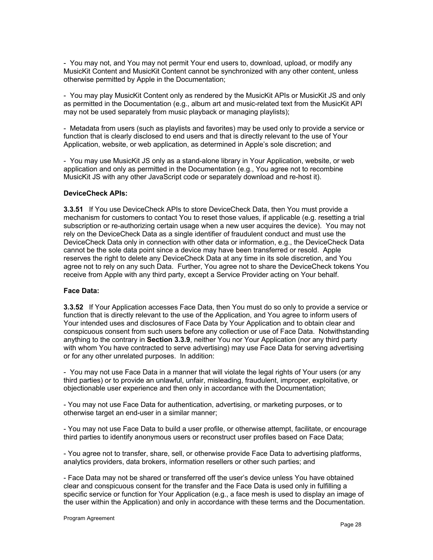- You may not, and You may not permit Your end users to, download, upload, or modify any MusicKit Content and MusicKit Content cannot be synchronized with any other content, unless otherwise permitted by Apple in the Documentation;

- You may play MusicKit Content only as rendered by the MusicKit APIs or MusicKit JS and only as permitted in the Documentation (e.g., album art and music-related text from the MusicKit API may not be used separately from music playback or managing playlists);

- Metadata from users (such as playlists and favorites) may be used only to provide a service or function that is clearly disclosed to end users and that is directly relevant to the use of Your Application, website, or web application, as determined in Apple's sole discretion; and

- You may use MusicKit JS only as a stand-alone library in Your Application, website, or web application and only as permitted in the Documentation (e.g., You agree not to recombine MusicKit JS with any other JavaScript code or separately download and re-host it).

#### **DeviceCheck APIs:**

**3.3.51** If You use DeviceCheck APIs to store DeviceCheck Data, then You must provide a mechanism for customers to contact You to reset those values, if applicable (e.g. resetting a trial subscription or re-authorizing certain usage when a new user acquires the device). You may not rely on the DeviceCheck Data as a single identifier of fraudulent conduct and must use the DeviceCheck Data only in connection with other data or information, e.g., the DeviceCheck Data cannot be the sole data point since a device may have been transferred or resold. Apple reserves the right to delete any DeviceCheck Data at any time in its sole discretion, and You agree not to rely on any such Data. Further, You agree not to share the DeviceCheck tokens You receive from Apple with any third party, except a Service Provider acting on Your behalf.

#### **Face Data:**

**3.3.52** If Your Application accesses Face Data, then You must do so only to provide a service or function that is directly relevant to the use of the Application, and You agree to inform users of Your intended uses and disclosures of Face Data by Your Application and to obtain clear and conspicuous consent from such users before any collection or use of Face Data. Notwithstanding anything to the contrary in **Section 3.3.9**, neither You nor Your Application (nor any third party with whom You have contracted to serve advertising) may use Face Data for serving advertising or for any other unrelated purposes. In addition:

- You may not use Face Data in a manner that will violate the legal rights of Your users (or any third parties) or to provide an unlawful, unfair, misleading, fraudulent, improper, exploitative, or objectionable user experience and then only in accordance with the Documentation;

- You may not use Face Data for authentication, advertising, or marketing purposes, or to otherwise target an end-user in a similar manner;

- You may not use Face Data to build a user profile, or otherwise attempt, facilitate, or encourage third parties to identify anonymous users or reconstruct user profiles based on Face Data;

- You agree not to transfer, share, sell, or otherwise provide Face Data to advertising platforms, analytics providers, data brokers, information resellers or other such parties; and

- Face Data may not be shared or transferred off the user's device unless You have obtained clear and conspicuous consent for the transfer and the Face Data is used only in fulfilling a specific service or function for Your Application (e.g., a face mesh is used to display an image of the user within the Application) and only in accordance with these terms and the Documentation.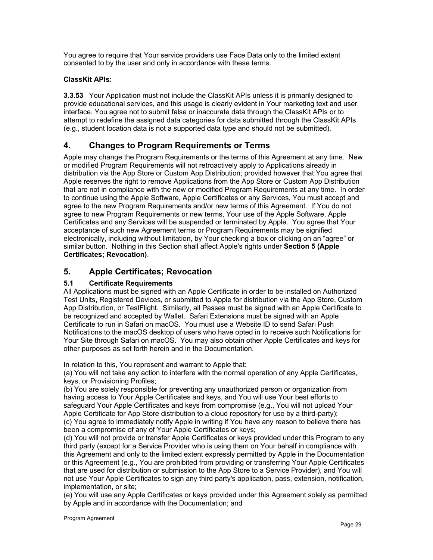You agree to require that Your service providers use Face Data only to the limited extent consented to by the user and only in accordance with these terms.

# **ClassKit APIs:**

**3.3.53** Your Application must not include the ClassKit APIs unless it is primarily designed to provide educational services, and this usage is clearly evident in Your marketing text and user interface. You agree not to submit false or inaccurate data through the ClassKit APIs or to attempt to redefine the assigned data categories for data submitted through the ClassKit APIs (e.g., student location data is not a supported data type and should not be submitted).

# **4. Changes to Program Requirements or Terms**

Apple may change the Program Requirements or the terms of this Agreement at any time. New or modified Program Requirements will not retroactively apply to Applications already in distribution via the App Store or Custom App Distribution; provided however that You agree that Apple reserves the right to remove Applications from the App Store or Custom App Distribution that are not in compliance with the new or modified Program Requirements at any time. In order to continue using the Apple Software, Apple Certificates or any Services, You must accept and agree to the new Program Requirements and/or new terms of this Agreement. If You do not agree to new Program Requirements or new terms, Your use of the Apple Software, Apple Certificates and any Services will be suspended or terminated by Apple. You agree that Your acceptance of such new Agreement terms or Program Requirements may be signified electronically, including without limitation, by Your checking a box or clicking on an "agree" or similar button. Nothing in this Section shall affect Apple's rights under **Section 5 (Apple Certificates; Revocation)**.

# **5. Apple Certificates; Revocation**

# **5.1 Certificate Requirements**

All Applications must be signed with an Apple Certificate in order to be installed on Authorized Test Units, Registered Devices, or submitted to Apple for distribution via the App Store, Custom App Distribution, or TestFlight. Similarly, all Passes must be signed with an Apple Certificate to be recognized and accepted by Wallet. Safari Extensions must be signed with an Apple Certificate to run in Safari on macOS. You must use a Website ID to send Safari Push Notifications to the macOS desktop of users who have opted in to receive such Notifications for Your Site through Safari on macOS. You may also obtain other Apple Certificates and keys for other purposes as set forth herein and in the Documentation.

In relation to this, You represent and warrant to Apple that:

(a) You will not take any action to interfere with the normal operation of any Apple Certificates, keys, or Provisioning Profiles;

(b) You are solely responsible for preventing any unauthorized person or organization from having access to Your Apple Certificates and keys, and You will use Your best efforts to safeguard Your Apple Certificates and keys from compromise (e.g., You will not upload Your Apple Certificate for App Store distribution to a cloud repository for use by a third-party); (c) You agree to immediately notify Apple in writing if You have any reason to believe there has

been a compromise of any of Your Apple Certificates or keys;

(d) You will not provide or transfer Apple Certificates or keys provided under this Program to any third party (except for a Service Provider who is using them on Your behalf in compliance with this Agreement and only to the limited extent expressly permitted by Apple in the Documentation or this Agreement (e.g., You are prohibited from providing or transferring Your Apple Certificates that are used for distribution or submission to the App Store to a Service Provider), and You will not use Your Apple Certificates to sign any third party's application, pass, extension, notification, implementation, or site;

(e) You will use any Apple Certificates or keys provided under this Agreement solely as permitted by Apple and in accordance with the Documentation; and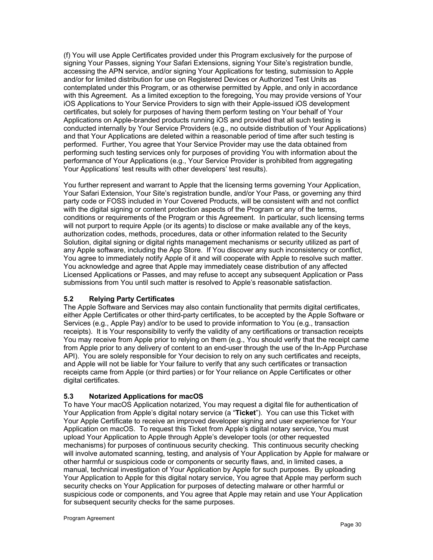(f) You will use Apple Certificates provided under this Program exclusively for the purpose of signing Your Passes, signing Your Safari Extensions, signing Your Site's registration bundle, accessing the APN service, and/or signing Your Applications for testing, submission to Apple and/or for limited distribution for use on Registered Devices or Authorized Test Units as contemplated under this Program, or as otherwise permitted by Apple, and only in accordance with this Agreement. As a limited exception to the foregoing, You may provide versions of Your iOS Applications to Your Service Providers to sign with their Apple-issued iOS development certificates, but solely for purposes of having them perform testing on Your behalf of Your Applications on Apple-branded products running iOS and provided that all such testing is conducted internally by Your Service Providers (e.g., no outside distribution of Your Applications) and that Your Applications are deleted within a reasonable period of time after such testing is performed. Further, You agree that Your Service Provider may use the data obtained from performing such testing services only for purposes of providing You with information about the performance of Your Applications (e.g., Your Service Provider is prohibited from aggregating Your Applications' test results with other developers' test results).

You further represent and warrant to Apple that the licensing terms governing Your Application, Your Safari Extension, Your Site's registration bundle, and/or Your Pass, or governing any third party code or FOSS included in Your Covered Products, will be consistent with and not conflict with the digital signing or content protection aspects of the Program or any of the terms, conditions or requirements of the Program or this Agreement. In particular, such licensing terms will not purport to require Apple (or its agents) to disclose or make available any of the keys, authorization codes, methods, procedures, data or other information related to the Security Solution, digital signing or digital rights management mechanisms or security utilized as part of any Apple software, including the App Store. If You discover any such inconsistency or conflict, You agree to immediately notify Apple of it and will cooperate with Apple to resolve such matter. You acknowledge and agree that Apple may immediately cease distribution of any affected Licensed Applications or Passes, and may refuse to accept any subsequent Application or Pass submissions from You until such matter is resolved to Apple's reasonable satisfaction.

# **5.2 Relying Party Certificates**

The Apple Software and Services may also contain functionality that permits digital certificates, either Apple Certificates or other third-party certificates, to be accepted by the Apple Software or Services (e.g., Apple Pay) and/or to be used to provide information to You (e.g., transaction receipts). It is Your responsibility to verify the validity of any certifications or transaction receipts You may receive from Apple prior to relying on them (e.g., You should verify that the receipt came from Apple prior to any delivery of content to an end-user through the use of the In-App Purchase API). You are solely responsible for Your decision to rely on any such certificates and receipts, and Apple will not be liable for Your failure to verify that any such certificates or transaction receipts came from Apple (or third parties) or for Your reliance on Apple Certificates or other digital certificates.

# **5.3 Notarized Applications for macOS**

To have Your macOS Application notarized, You may request a digital file for authentication of Your Application from Apple's digital notary service (a "**Ticket**"). You can use this Ticket with Your Apple Certificate to receive an improved developer signing and user experience for Your Application on macOS. To request this Ticket from Apple's digital notary service, You must upload Your Application to Apple through Apple's developer tools (or other requested mechanisms) for purposes of continuous security checking. This continuous security checking will involve automated scanning, testing, and analysis of Your Application by Apple for malware or other harmful or suspicious code or components or security flaws, and, in limited cases, a manual, technical investigation of Your Application by Apple for such purposes. By uploading Your Application to Apple for this digital notary service, You agree that Apple may perform such security checks on Your Application for purposes of detecting malware or other harmful or suspicious code or components, and You agree that Apple may retain and use Your Application for subsequent security checks for the same purposes.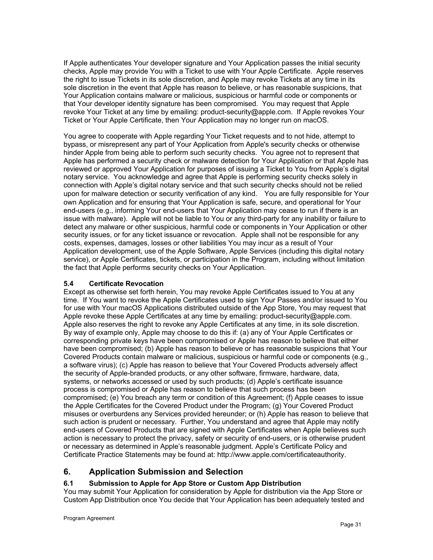If Apple authenticates Your developer signature and Your Application passes the initial security checks, Apple may provide You with a Ticket to use with Your Apple Certificate. Apple reserves the right to issue Tickets in its sole discretion, and Apple may revoke Tickets at any time in its sole discretion in the event that Apple has reason to believe, or has reasonable suspicions, that Your Application contains malware or malicious, suspicious or harmful code or components or that Your developer identity signature has been compromised. You may request that Apple revoke Your Ticket at any time by emailing: product-security@apple.com. If Apple revokes Your Ticket or Your Apple Certificate, then Your Application may no longer run on macOS.

You agree to cooperate with Apple regarding Your Ticket requests and to not hide, attempt to bypass, or misrepresent any part of Your Application from Apple's security checks or otherwise hinder Apple from being able to perform such security checks. You agree not to represent that Apple has performed a security check or malware detection for Your Application or that Apple has reviewed or approved Your Application for purposes of issuing a Ticket to You from Apple's digital notary service. You acknowledge and agree that Apple is performing security checks solely in connection with Apple's digital notary service and that such security checks should not be relied upon for malware detection or security verification of any kind. You are fully responsible for Your own Application and for ensuring that Your Application is safe, secure, and operational for Your end-users (e.g., informing Your end-users that Your Application may cease to run if there is an issue with malware). Apple will not be liable to You or any third-party for any inability or failure to detect any malware or other suspicious, harmful code or components in Your Application or other security issues, or for any ticket issuance or revocation. Apple shall not be responsible for any costs, expenses, damages, losses or other liabilities You may incur as a result of Your Application development, use of the Apple Software, Apple Services (including this digital notary service), or Apple Certificates, tickets, or participation in the Program, including without limitation the fact that Apple performs security checks on Your Application.

# **5.4 Certificate Revocation**

Except as otherwise set forth herein, You may revoke Apple Certificates issued to You at any time. If You want to revoke the Apple Certificates used to sign Your Passes and/or issued to You for use with Your macOS Applications distributed outside of the App Store, You may request that Apple revoke these Apple Certificates at any time by emailing: product-security@apple.com. Apple also reserves the right to revoke any Apple Certificates at any time, in its sole discretion. By way of example only, Apple may choose to do this if: (a) any of Your Apple Certificates or corresponding private keys have been compromised or Apple has reason to believe that either have been compromised; (b) Apple has reason to believe or has reasonable suspicions that Your Covered Products contain malware or malicious, suspicious or harmful code or components (e.g., a software virus); (c) Apple has reason to believe that Your Covered Products adversely affect the security of Apple-branded products, or any other software, firmware, hardware, data, systems, or networks accessed or used by such products; (d) Apple's certificate issuance process is compromised or Apple has reason to believe that such process has been compromised; (e) You breach any term or condition of this Agreement; (f) Apple ceases to issue the Apple Certificates for the Covered Product under the Program; (g) Your Covered Product misuses or overburdens any Services provided hereunder; or (h) Apple has reason to believe that such action is prudent or necessary. Further, You understand and agree that Apple may notify end-users of Covered Products that are signed with Apple Certificates when Apple believes such action is necessary to protect the privacy, safety or security of end-users, or is otherwise prudent or necessary as determined in Apple's reasonable judgment. Apple's Certificate Policy and Certificate Practice Statements may be found at: http://www.apple.com/certificateauthority.

# **6. Application Submission and Selection**

# **6.1 Submission to Apple for App Store or Custom App Distribution**

You may submit Your Application for consideration by Apple for distribution via the App Store or Custom App Distribution once You decide that Your Application has been adequately tested and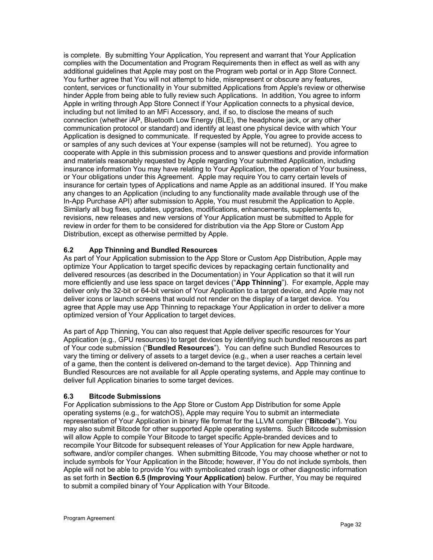is complete. By submitting Your Application, You represent and warrant that Your Application complies with the Documentation and Program Requirements then in effect as well as with any additional guidelines that Apple may post on the Program web portal or in App Store Connect. You further agree that You will not attempt to hide, misrepresent or obscure any features, content, services or functionality in Your submitted Applications from Apple's review or otherwise hinder Apple from being able to fully review such Applications. In addition, You agree to inform Apple in writing through App Store Connect if Your Application connects to a physical device, including but not limited to an MFi Accessory, and, if so, to disclose the means of such connection (whether iAP, Bluetooth Low Energy (BLE), the headphone jack, or any other communication protocol or standard) and identify at least one physical device with which Your Application is designed to communicate. If requested by Apple, You agree to provide access to or samples of any such devices at Your expense (samples will not be returned). You agree to cooperate with Apple in this submission process and to answer questions and provide information and materials reasonably requested by Apple regarding Your submitted Application, including insurance information You may have relating to Your Application, the operation of Your business, or Your obligations under this Agreement. Apple may require You to carry certain levels of insurance for certain types of Applications and name Apple as an additional insured. If You make any changes to an Application (including to any functionality made available through use of the In-App Purchase API) after submission to Apple, You must resubmit the Application to Apple. Similarly all bug fixes, updates, upgrades, modifications, enhancements, supplements to, revisions, new releases and new versions of Your Application must be submitted to Apple for review in order for them to be considered for distribution via the App Store or Custom App Distribution, except as otherwise permitted by Apple.

# **6.2 App Thinning and Bundled Resources**

As part of Your Application submission to the App Store or Custom App Distribution, Apple may optimize Your Application to target specific devices by repackaging certain functionality and delivered resources (as described in the Documentation) in Your Application so that it will run more efficiently and use less space on target devices ("**App Thinning**"). For example, Apple may deliver only the 32-bit or 64-bit version of Your Application to a target device, and Apple may not deliver icons or launch screens that would not render on the display of a target device. You agree that Apple may use App Thinning to repackage Your Application in order to deliver a more optimized version of Your Application to target devices.

As part of App Thinning, You can also request that Apple deliver specific resources for Your Application (e.g., GPU resources) to target devices by identifying such bundled resources as part of Your code submission ("**Bundled Resources**"). You can define such Bundled Resources to vary the timing or delivery of assets to a target device (e.g., when a user reaches a certain level of a game, then the content is delivered on-demand to the target device). App Thinning and Bundled Resources are not available for all Apple operating systems, and Apple may continue to deliver full Application binaries to some target devices.

# **6.3 Bitcode Submissions**

For Application submissions to the App Store or Custom App Distribution for some Apple operating systems (e.g., for watchOS), Apple may require You to submit an intermediate representation of Your Application in binary file format for the LLVM compiler ("**Bitcode**"). You may also submit Bitcode for other supported Apple operating systems. Such Bitcode submission will allow Apple to compile Your Bitcode to target specific Apple-branded devices and to recompile Your Bitcode for subsequent releases of Your Application for new Apple hardware, software, and/or compiler changes. When submitting Bitcode, You may choose whether or not to include symbols for Your Application in the Bitcode; however, if You do not include symbols, then Apple will not be able to provide You with symbolicated crash logs or other diagnostic information as set forth in **Section 6.5 (Improving Your Application)** below. Further, You may be required to submit a compiled binary of Your Application with Your Bitcode.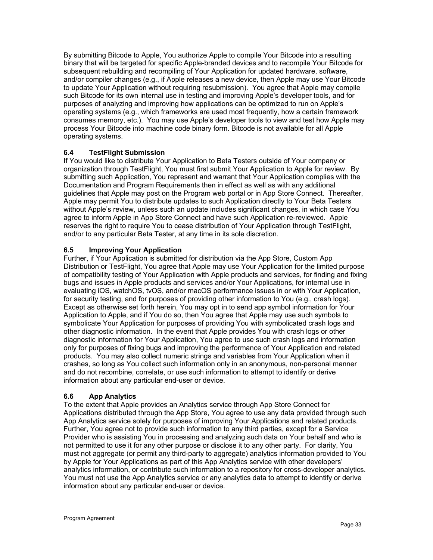By submitting Bitcode to Apple, You authorize Apple to compile Your Bitcode into a resulting binary that will be targeted for specific Apple-branded devices and to recompile Your Bitcode for subsequent rebuilding and recompiling of Your Application for updated hardware, software, and/or compiler changes (e.g., if Apple releases a new device, then Apple may use Your Bitcode to update Your Application without requiring resubmission). You agree that Apple may compile such Bitcode for its own internal use in testing and improving Apple's developer tools, and for purposes of analyzing and improving how applications can be optimized to run on Apple's operating systems (e.g., which frameworks are used most frequently, how a certain framework consumes memory, etc.). You may use Apple's developer tools to view and test how Apple may process Your Bitcode into machine code binary form. Bitcode is not available for all Apple operating systems.

# **6.4 TestFlight Submission**

If You would like to distribute Your Application to Beta Testers outside of Your company or organization through TestFlight, You must first submit Your Application to Apple for review. By submitting such Application, You represent and warrant that Your Application complies with the Documentation and Program Requirements then in effect as well as with any additional guidelines that Apple may post on the Program web portal or in App Store Connect. Thereafter, Apple may permit You to distribute updates to such Application directly to Your Beta Testers without Apple's review, unless such an update includes significant changes, in which case You agree to inform Apple in App Store Connect and have such Application re-reviewed. Apple reserves the right to require You to cease distribution of Your Application through TestFlight, and/or to any particular Beta Tester, at any time in its sole discretion.

# **6.5 Improving Your Application**

Further, if Your Application is submitted for distribution via the App Store, Custom App Distribution or TestFlight, You agree that Apple may use Your Application for the limited purpose of compatibility testing of Your Application with Apple products and services, for finding and fixing bugs and issues in Apple products and services and/or Your Applications, for internal use in evaluating iOS, watchOS, tvOS, and/or macOS performance issues in or with Your Application, for security testing, and for purposes of providing other information to You (e.g., crash logs). Except as otherwise set forth herein, You may opt in to send app symbol information for Your Application to Apple, and if You do so, then You agree that Apple may use such symbols to symbolicate Your Application for purposes of providing You with symbolicated crash logs and other diagnostic information. In the event that Apple provides You with crash logs or other diagnostic information for Your Application, You agree to use such crash logs and information only for purposes of fixing bugs and improving the performance of Your Application and related products. You may also collect numeric strings and variables from Your Application when it crashes, so long as You collect such information only in an anonymous, non-personal manner and do not recombine, correlate, or use such information to attempt to identify or derive information about any particular end-user or device.

# **6.6 App Analytics**

To the extent that Apple provides an Analytics service through App Store Connect for Applications distributed through the App Store, You agree to use any data provided through such App Analytics service solely for purposes of improving Your Applications and related products. Further, You agree not to provide such information to any third parties, except for a Service Provider who is assisting You in processing and analyzing such data on Your behalf and who is not permitted to use it for any other purpose or disclose it to any other party. For clarity, You must not aggregate (or permit any third-party to aggregate) analytics information provided to You by Apple for Your Applications as part of this App Analytics service with other developers' analytics information, or contribute such information to a repository for cross-developer analytics. You must not use the App Analytics service or any analytics data to attempt to identify or derive information about any particular end-user or device.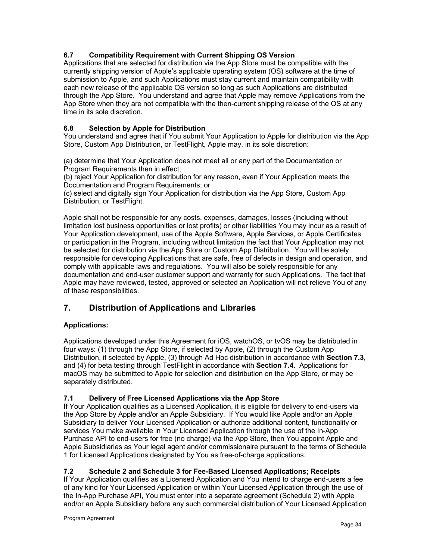# **6.7 Compatibility Requirement with Current Shipping OS Version**

Applications that are selected for distribution via the App Store must be compatible with the currently shipping version of Apple's applicable operating system (OS) software at the time of submission to Apple, and such Applications must stay current and maintain compatibility with each new release of the applicable OS version so long as such Applications are distributed through the App Store. You understand and agree that Apple may remove Applications from the App Store when they are not compatible with the then-current shipping release of the OS at any time in its sole discretion.

# **6.8 Selection by Apple for Distribution**

You understand and agree that if You submit Your Application to Apple for distribution via the App Store, Custom App Distribution, or TestFlight, Apple may, in its sole discretion:

(a) determine that Your Application does not meet all or any part of the Documentation or Program Requirements then in effect;

(b) reject Your Application for distribution for any reason, even if Your Application meets the Documentation and Program Requirements; or

(c) select and digitally sign Your Application for distribution via the App Store, Custom App Distribution, or TestFlight.

Apple shall not be responsible for any costs, expenses, damages, losses (including without limitation lost business opportunities or lost profits) or other liabilities You may incur as a result of Your Application development, use of the Apple Software, Apple Services, or Apple Certificates or participation in the Program, including without limitation the fact that Your Application may not be selected for distribution via the App Store or Custom App Distribution. You will be solely responsible for developing Applications that are safe, free of defects in design and operation, and comply with applicable laws and regulations. You will also be solely responsible for any documentation and end-user customer support and warranty for such Applications. The fact that Apple may have reviewed, tested, approved or selected an Application will not relieve You of any of these responsibilities.

# **7. Distribution of Applications and Libraries**

# **Applications:**

Applications developed under this Agreement for iOS, watchOS, or tvOS may be distributed in four ways: (1) through the App Store, if selected by Apple, (2) through the Custom App Distribution, if selected by Apple, (3) through Ad Hoc distribution in accordance with **Section 7.3**, and (4) for beta testing through TestFlight in accordance with **Section 7.4**. Applications for macOS may be submitted to Apple for selection and distribution on the App Store, or may be separately distributed.

# **7.1 Delivery of Free Licensed Applications via the App Store**

If Your Application qualifies as a Licensed Application, it is eligible for delivery to end-users via the App Store by Apple and/or an Apple Subsidiary. If You would like Apple and/or an Apple Subsidiary to deliver Your Licensed Application or authorize additional content, functionality or services You make available in Your Licensed Application through the use of the In-App Purchase API to end-users for free (no charge) via the App Store, then You appoint Apple and Apple Subsidiaries as Your legal agent and/or commissionaire pursuant to the terms of Schedule 1 for Licensed Applications designated by You as free-of-charge applications.

# **7.2 Schedule 2 and Schedule 3 for Fee-Based Licensed Applications; Receipts**

If Your Application qualifies as a Licensed Application and You intend to charge end-users a fee of any kind for Your Licensed Application or within Your Licensed Application through the use of the In-App Purchase API, You must enter into a separate agreement (Schedule 2) with Apple and/or an Apple Subsidiary before any such commercial distribution of Your Licensed Application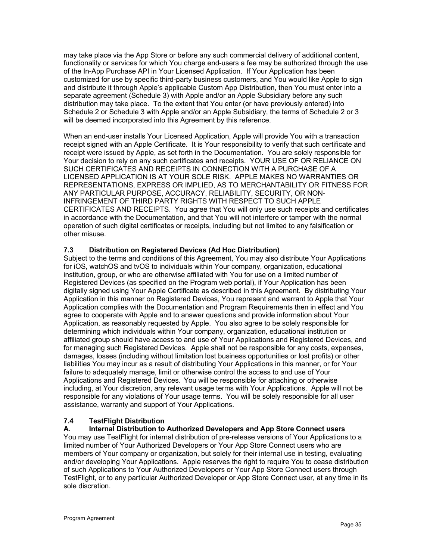may take place via the App Store or before any such commercial delivery of additional content, functionality or services for which You charge end-users a fee may be authorized through the use of the In-App Purchase API in Your Licensed Application. If Your Application has been customized for use by specific third-party business customers, and You would like Apple to sign and distribute it through Apple's applicable Custom App Distribution, then You must enter into a separate agreement (Schedule 3) with Apple and/or an Apple Subsidiary before any such distribution may take place. To the extent that You enter (or have previously entered) into Schedule 2 or Schedule 3 with Apple and/or an Apple Subsidiary, the terms of Schedule 2 or 3 will be deemed incorporated into this Agreement by this reference.

When an end-user installs Your Licensed Application, Apple will provide You with a transaction receipt signed with an Apple Certificate. It is Your responsibility to verify that such certificate and receipt were issued by Apple, as set forth in the Documentation. You are solely responsible for Your decision to rely on any such certificates and receipts. YOUR USE OF OR RELIANCE ON SUCH CERTIFICATES AND RECEIPTS IN CONNECTION WITH A PURCHASE OF A LICENSED APPLICATION IS AT YOUR SOLE RISK. APPLE MAKES NO WARRANTIES OR REPRESENTATIONS, EXPRESS OR IMPLIED, AS TO MERCHANTABILITY OR FITNESS FOR ANY PARTICULAR PURPOSE, ACCURACY, RELIABILITY, SECURITY, OR NON-INFRINGEMENT OF THIRD PARTY RIGHTS WITH RESPECT TO SUCH APPLE CERTIFICATES AND RECEIPTS. You agree that You will only use such receipts and certificates in accordance with the Documentation, and that You will not interfere or tamper with the normal operation of such digital certificates or receipts, including but not limited to any falsification or other misuse.

# **7.3 Distribution on Registered Devices (Ad Hoc Distribution)**

Subject to the terms and conditions of this Agreement, You may also distribute Your Applications for iOS, watchOS and tvOS to individuals within Your company, organization, educational institution, group, or who are otherwise affiliated with You for use on a limited number of Registered Devices (as specified on the Program web portal), if Your Application has been digitally signed using Your Apple Certificate as described in this Agreement. By distributing Your Application in this manner on Registered Devices, You represent and warrant to Apple that Your Application complies with the Documentation and Program Requirements then in effect and You agree to cooperate with Apple and to answer questions and provide information about Your Application, as reasonably requested by Apple. You also agree to be solely responsible for determining which individuals within Your company, organization, educational institution or affiliated group should have access to and use of Your Applications and Registered Devices, and for managing such Registered Devices. Apple shall not be responsible for any costs, expenses, damages, losses (including without limitation lost business opportunities or lost profits) or other liabilities You may incur as a result of distributing Your Applications in this manner, or for Your failure to adequately manage, limit or otherwise control the access to and use of Your Applications and Registered Devices. You will be responsible for attaching or otherwise including, at Your discretion, any relevant usage terms with Your Applications. Apple will not be responsible for any violations of Your usage terms. You will be solely responsible for all user assistance, warranty and support of Your Applications.

# **7.4 TestFlight Distribution**

# **A. Internal Distribution to Authorized Developers and App Store Connect users**

You may use TestFlight for internal distribution of pre-release versions of Your Applications to a limited number of Your Authorized Developers or Your App Store Connect users who are members of Your company or organization, but solely for their internal use in testing, evaluating and/or developing Your Applications. Apple reserves the right to require You to cease distribution of such Applications to Your Authorized Developers or Your App Store Connect users through TestFlight, or to any particular Authorized Developer or App Store Connect user, at any time in its sole discretion.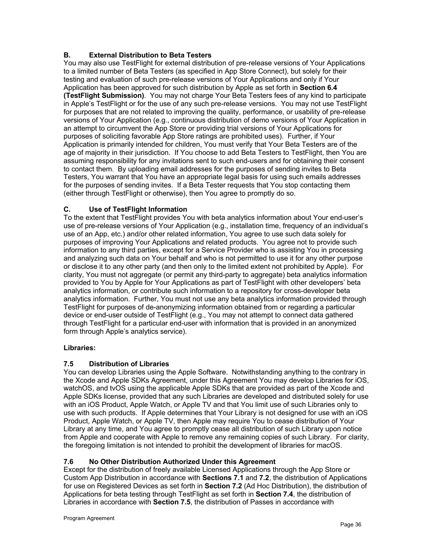# **B. External Distribution to Beta Testers**

You may also use TestFlight for external distribution of pre-release versions of Your Applications to a limited number of Beta Testers (as specified in App Store Connect), but solely for their testing and evaluation of such pre-release versions of Your Applications and only if Your Application has been approved for such distribution by Apple as set forth in **Section 6.4 (TestFlight Submission)**. You may not charge Your Beta Testers fees of any kind to participate in Apple's TestFlight or for the use of any such pre-release versions. You may not use TestFlight for purposes that are not related to improving the quality, performance, or usability of pre-release versions of Your Application (e.g., continuous distribution of demo versions of Your Application in an attempt to circumvent the App Store or providing trial versions of Your Applications for purposes of soliciting favorable App Store ratings are prohibited uses). Further, if Your Application is primarily intended for children, You must verify that Your Beta Testers are of the age of majority in their jurisdiction. If You choose to add Beta Testers to TestFlight, then You are assuming responsibility for any invitations sent to such end-users and for obtaining their consent to contact them. By uploading email addresses for the purposes of sending invites to Beta Testers, You warrant that You have an appropriate legal basis for using such emails addresses for the purposes of sending invites. If a Beta Tester requests that You stop contacting them (either through TestFlight or otherwise), then You agree to promptly do so.

# **C. Use of TestFlight Information**

To the extent that TestFlight provides You with beta analytics information about Your end-user's use of pre-release versions of Your Application (e.g., installation time, frequency of an individual's use of an App, etc.) and/or other related information, You agree to use such data solely for purposes of improving Your Applications and related products. You agree not to provide such information to any third parties, except for a Service Provider who is assisting You in processing and analyzing such data on Your behalf and who is not permitted to use it for any other purpose or disclose it to any other party (and then only to the limited extent not prohibited by Apple). For clarity, You must not aggregate (or permit any third-party to aggregate) beta analytics information provided to You by Apple for Your Applications as part of TestFlight with other developers' beta analytics information, or contribute such information to a repository for cross-developer beta analytics information. Further, You must not use any beta analytics information provided through TestFlight for purposes of de-anonymizing information obtained from or regarding a particular device or end-user outside of TestFlight (e.g., You may not attempt to connect data gathered through TestFlight for a particular end-user with information that is provided in an anonymized form through Apple's analytics service).

#### **Libraries:**

# **7.5 Distribution of Libraries**

You can develop Libraries using the Apple Software. Notwithstanding anything to the contrary in the Xcode and Apple SDKs Agreement, under this Agreement You may develop Libraries for iOS, watchOS, and tvOS using the applicable Apple SDKs that are provided as part of the Xcode and Apple SDKs license, provided that any such Libraries are developed and distributed solely for use with an iOS Product, Apple Watch, or Apple TV and that You limit use of such Libraries only to use with such products. If Apple determines that Your Library is not designed for use with an iOS Product, Apple Watch, or Apple TV, then Apple may require You to cease distribution of Your Library at any time, and You agree to promptly cease all distribution of such Library upon notice from Apple and cooperate with Apple to remove any remaining copies of such Library. For clarity, the foregoing limitation is not intended to prohibit the development of libraries for macOS.

# **7.6 No Other Distribution Authorized Under this Agreement**

Except for the distribution of freely available Licensed Applications through the App Store or Custom App Distribution in accordance with **Sections 7.1** and **7.2**, the distribution of Applications for use on Registered Devices as set forth in **Section 7.2** (Ad Hoc Distribution), the distribution of Applications for beta testing through TestFlight as set forth in **Section 7.4**, the distribution of Libraries in accordance with **Section 7.5**, the distribution of Passes in accordance with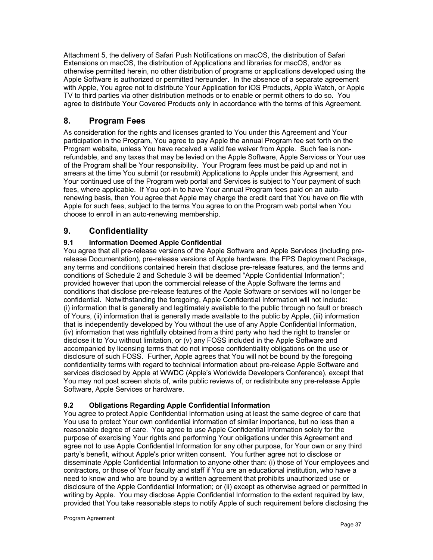Attachment 5, the delivery of Safari Push Notifications on macOS, the distribution of Safari Extensions on macOS, the distribution of Applications and libraries for macOS, and/or as otherwise permitted herein, no other distribution of programs or applications developed using the Apple Software is authorized or permitted hereunder. In the absence of a separate agreement with Apple, You agree not to distribute Your Application for iOS Products, Apple Watch, or Apple TV to third parties via other distribution methods or to enable or permit others to do so. You agree to distribute Your Covered Products only in accordance with the terms of this Agreement.

# **8. Program Fees**

As consideration for the rights and licenses granted to You under this Agreement and Your participation in the Program, You agree to pay Apple the annual Program fee set forth on the Program website, unless You have received a valid fee waiver from Apple. Such fee is nonrefundable, and any taxes that may be levied on the Apple Software, Apple Services or Your use of the Program shall be Your responsibility. Your Program fees must be paid up and not in arrears at the time You submit (or resubmit) Applications to Apple under this Agreement, and Your continued use of the Program web portal and Services is subject to Your payment of such fees, where applicable. If You opt-in to have Your annual Program fees paid on an autorenewing basis, then You agree that Apple may charge the credit card that You have on file with Apple for such fees, subject to the terms You agree to on the Program web portal when You choose to enroll in an auto-renewing membership.

# **9. Confidentiality**

# **9.1 Information Deemed Apple Confidential**

You agree that all pre-release versions of the Apple Software and Apple Services (including prerelease Documentation), pre-release versions of Apple hardware, the FPS Deployment Package, any terms and conditions contained herein that disclose pre-release features, and the terms and conditions of Schedule 2 and Schedule 3 will be deemed "Apple Confidential Information"; provided however that upon the commercial release of the Apple Software the terms and conditions that disclose pre-release features of the Apple Software or services will no longer be confidential. Notwithstanding the foregoing, Apple Confidential Information will not include: (i) information that is generally and legitimately available to the public through no fault or breach of Yours, (ii) information that is generally made available to the public by Apple, (iii) information that is independently developed by You without the use of any Apple Confidential Information, (iv) information that was rightfully obtained from a third party who had the right to transfer or disclose it to You without limitation, or (v) any FOSS included in the Apple Software and accompanied by licensing terms that do not impose confidentiality obligations on the use or disclosure of such FOSS. Further, Apple agrees that You will not be bound by the foregoing confidentiality terms with regard to technical information about pre-release Apple Software and services disclosed by Apple at WWDC (Apple's Worldwide Developers Conference), except that You may not post screen shots of, write public reviews of, or redistribute any pre-release Apple Software, Apple Services or hardware.

# **9.2 Obligations Regarding Apple Confidential Information**

You agree to protect Apple Confidential Information using at least the same degree of care that You use to protect Your own confidential information of similar importance, but no less than a reasonable degree of care. You agree to use Apple Confidential Information solely for the purpose of exercising Your rights and performing Your obligations under this Agreement and agree not to use Apple Confidential Information for any other purpose, for Your own or any third party's benefit, without Apple's prior written consent. You further agree not to disclose or disseminate Apple Confidential Information to anyone other than: (i) those of Your employees and contractors, or those of Your faculty and staff if You are an educational institution, who have a need to know and who are bound by a written agreement that prohibits unauthorized use or disclosure of the Apple Confidential Information; or (ii) except as otherwise agreed or permitted in writing by Apple. You may disclose Apple Confidential Information to the extent required by law, provided that You take reasonable steps to notify Apple of such requirement before disclosing the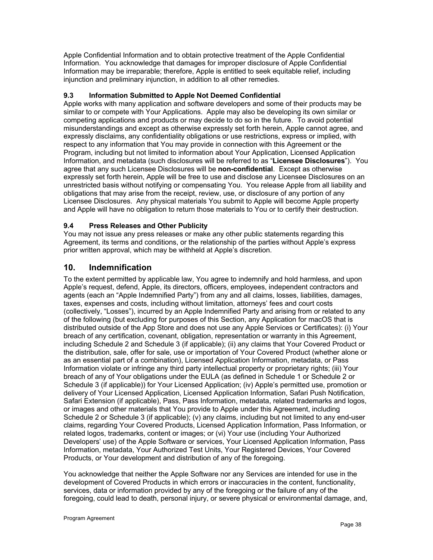Apple Confidential Information and to obtain protective treatment of the Apple Confidential Information. You acknowledge that damages for improper disclosure of Apple Confidential Information may be irreparable; therefore, Apple is entitled to seek equitable relief, including injunction and preliminary injunction, in addition to all other remedies.

## **9.3 Information Submitted to Apple Not Deemed Confidential**

Apple works with many application and software developers and some of their products may be similar to or compete with Your Applications. Apple may also be developing its own similar or competing applications and products or may decide to do so in the future. To avoid potential misunderstandings and except as otherwise expressly set forth herein, Apple cannot agree, and expressly disclaims, any confidentiality obligations or use restrictions, express or implied, with respect to any information that You may provide in connection with this Agreement or the Program, including but not limited to information about Your Application, Licensed Application Information, and metadata (such disclosures will be referred to as "**Licensee Disclosures**"). You agree that any such Licensee Disclosures will be **non-confidential**. Except as otherwise expressly set forth herein, Apple will be free to use and disclose any Licensee Disclosures on an unrestricted basis without notifying or compensating You. You release Apple from all liability and obligations that may arise from the receipt, review, use, or disclosure of any portion of any Licensee Disclosures. Any physical materials You submit to Apple will become Apple property and Apple will have no obligation to return those materials to You or to certify their destruction.

# **9.4 Press Releases and Other Publicity**

You may not issue any press releases or make any other public statements regarding this Agreement, its terms and conditions, or the relationship of the parties without Apple's express prior written approval, which may be withheld at Apple's discretion.

# **10. Indemnification**

To the extent permitted by applicable law, You agree to indemnify and hold harmless, and upon Apple's request, defend, Apple, its directors, officers, employees, independent contractors and agents (each an "Apple Indemnified Party") from any and all claims, losses, liabilities, damages, taxes, expenses and costs, including without limitation, attorneys' fees and court costs (collectively, "Losses"), incurred by an Apple Indemnified Party and arising from or related to any of the following (but excluding for purposes of this Section, any Application for macOS that is distributed outside of the App Store and does not use any Apple Services or Certificates): (i) Your breach of any certification, covenant, obligation, representation or warranty in this Agreement, including Schedule 2 and Schedule 3 (if applicable); (ii) any claims that Your Covered Product or the distribution, sale, offer for sale, use or importation of Your Covered Product (whether alone or as an essential part of a combination), Licensed Application Information, metadata, or Pass Information violate or infringe any third party intellectual property or proprietary rights; (iii) Your breach of any of Your obligations under the EULA (as defined in Schedule 1 or Schedule 2 or Schedule 3 (if applicable)) for Your Licensed Application; (iv) Apple's permitted use, promotion or delivery of Your Licensed Application, Licensed Application Information, Safari Push Notification, Safari Extension (if applicable), Pass, Pass Information, metadata, related trademarks and logos, or images and other materials that You provide to Apple under this Agreement, including Schedule 2 or Schedule 3 (if applicable); (v) any claims, including but not limited to any end-user claims, regarding Your Covered Products, Licensed Application Information, Pass Information, or related logos, trademarks, content or images; or (vi) Your use (including Your Authorized Developers' use) of the Apple Software or services, Your Licensed Application Information, Pass Information, metadata, Your Authorized Test Units, Your Registered Devices, Your Covered Products, or Your development and distribution of any of the foregoing.

You acknowledge that neither the Apple Software nor any Services are intended for use in the development of Covered Products in which errors or inaccuracies in the content, functionality, services, data or information provided by any of the foregoing or the failure of any of the foregoing, could lead to death, personal injury, or severe physical or environmental damage, and,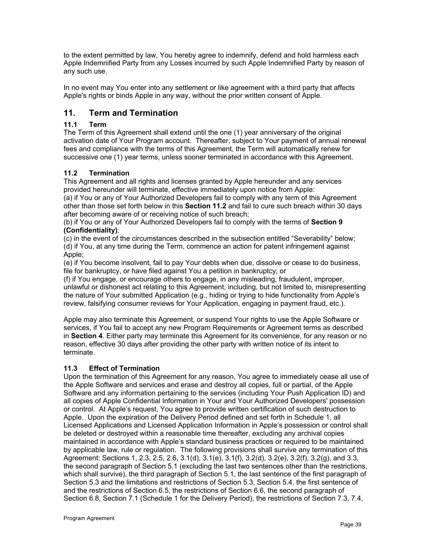to the extent permitted by law, You hereby agree to indemnify, defend and hold harmless each Apple Indemnified Party from any Losses incurred by such Apple Indemnified Party by reason of any such use.

In no event may You enter into any settlement or like agreement with a third party that affects Apple's rights or binds Apple in any way, without the prior written consent of Apple.

# **11. Term and Termination**

# **11.1 Term**

The Term of this Agreement shall extend until the one (1) year anniversary of the original activation date of Your Program account. Thereafter, subject to Your payment of annual renewal fees and compliance with the terms of this Agreement, the Term will automatically renew for successive one (1) year terms, unless sooner terminated in accordance with this Agreement.

# **11.2 Termination**

This Agreement and all rights and licenses granted by Apple hereunder and any services provided hereunder will terminate, effective immediately upon notice from Apple:

(a) if You or any of Your Authorized Developers fail to comply with any term of this Agreement other than those set forth below in this **Section 11.2** and fail to cure such breach within 30 days after becoming aware of or receiving notice of such breach;

(b) if You or any of Your Authorized Developers fail to comply with the terms of **Section 9 (Confidentiality)**;

(c) in the event of the circumstances described in the subsection entitled "Severability" below; (d) if You, at any time during the Term, commence an action for patent infringement against Apple;

(e) if You become insolvent, fail to pay Your debts when due, dissolve or cease to do business, file for bankruptcy, or have filed against You a petition in bankruptcy; or

(f) if You engage, or encourage others to engage, in any misleading, fraudulent, improper, unlawful or dishonest act relating to this Agreement, including, but not limited to, misrepresenting the nature of Your submitted Application (e.g., hiding or trying to hide functionality from Apple's review, falsifying consumer reviews for Your Application, engaging in payment fraud, etc.).

Apple may also terminate this Agreement, or suspend Your rights to use the Apple Software or services, if You fail to accept any new Program Requirements or Agreement terms as described in **Section 4**. Either party may terminate this Agreement for its convenience, for any reason or no reason, effective 30 days after providing the other party with written notice of its intent to terminate.

#### **11.3 Effect of Termination**

Upon the termination of this Agreement for any reason, You agree to immediately cease all use of the Apple Software and services and erase and destroy all copies, full or partial, of the Apple Software and any information pertaining to the services (including Your Push Application ID) and all copies of Apple Confidential Information in Your and Your Authorized Developers' possession or control. At Apple's request, You agree to provide written certification of such destruction to Apple. Upon the expiration of the Delivery Period defined and set forth in Schedule 1, all Licensed Applications and Licensed Application Information in Apple's possession or control shall be deleted or destroyed within a reasonable time thereafter, excluding any archival copies maintained in accordance with Apple's standard business practices or required to be maintained by applicable law, rule or regulation. The following provisions shall survive any termination of this Agreement: Sections 1, 2.3, 2.5, 2.6, 3.1(d), 3.1(e), 3.1(f), 3.2(d), 3.2(e), 3.2(f), 3.2(g), and 3.3, the second paragraph of Section 5.1 (excluding the last two sentences other than the restrictions, which shall survive), the third paragraph of Section 5.1, the last sentence of the first paragraph of Section 5.3 and the limitations and restrictions of Section 5.3, Section 5.4, the first sentence of and the restrictions of Section 6.5, the restrictions of Section 6.6, the second paragraph of Section 6.8, Section 7.1 (Schedule 1 for the Delivery Period), the restrictions of Section 7.3, 7.4,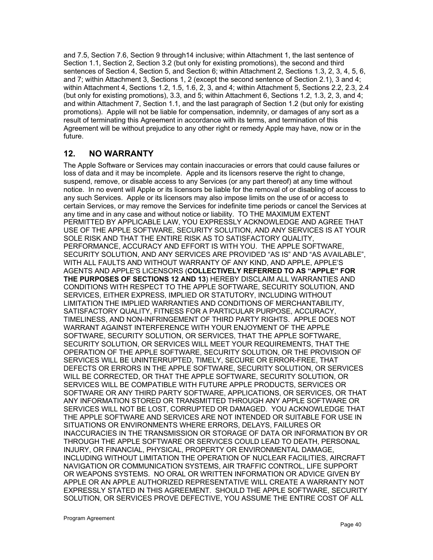and 7.5, Section 7.6, Section 9 through14 inclusive; within Attachment 1, the last sentence of Section 1.1, Section 2, Section 3.2 (but only for existing promotions), the second and third sentences of Section 4, Section 5, and Section 6; within Attachment 2, Sections 1.3, 2, 3, 4, 5, 6, and 7; within Attachment 3, Sections 1, 2 (except the second sentence of Section 2.1), 3 and 4; within Attachment 4, Sections 1.2, 1.5, 1.6, 2, 3, and 4; within Attachment 5, Sections 2.2, 2.3, 2.4 (but only for existing promotions), 3.3, and 5; within Attachment 6, Sections 1.2, 1.3, 2, 3, and 4; and within Attachment 7, Section 1.1, and the last paragraph of Section 1.2 (but only for existing promotions). Apple will not be liable for compensation, indemnity, or damages of any sort as a result of terminating this Agreement in accordance with its terms, and termination of this Agreement will be without prejudice to any other right or remedy Apple may have, now or in the future.

# **12. NO WARRANTY**

The Apple Software or Services may contain inaccuracies or errors that could cause failures or loss of data and it may be incomplete. Apple and its licensors reserve the right to change, suspend, remove, or disable access to any Services (or any part thereof) at any time without notice. In no event will Apple or its licensors be liable for the removal of or disabling of access to any such Services. Apple or its licensors may also impose limits on the use of or access to certain Services, or may remove the Services for indefinite time periods or cancel the Services at any time and in any case and without notice or liability. TO THE MAXIMUM EXTENT PERMITTED BY APPLICABLE LAW, YOU EXPRESSLY ACKNOWLEDGE AND AGREE THAT USE OF THE APPLE SOFTWARE, SECURITY SOLUTION, AND ANY SERVICES IS AT YOUR SOLE RISK AND THAT THE ENTIRE RISK AS TO SATISFACTORY QUALITY, PERFORMANCE, ACCURACY AND EFFORT IS WITH YOU. THE APPLE SOFTWARE, SECURITY SOLUTION, AND ANY SERVICES ARE PROVIDED "AS IS" AND "AS AVAILABLE", WITH ALL FAULTS AND WITHOUT WARRANTY OF ANY KIND, AND APPLE, APPLE'S AGENTS AND APPLE'S LICENSORS (**COLLECTIVELY REFERRED TO AS "APPLE" FOR THE PURPOSES OF SECTIONS 12 AND 13**) HEREBY DISCLAIM ALL WARRANTIES AND CONDITIONS WITH RESPECT TO THE APPLE SOFTWARE, SECURITY SOLUTION, AND SERVICES, EITHER EXPRESS, IMPLIED OR STATUTORY, INCLUDING WITHOUT LIMITATION THE IMPLIED WARRANTIES AND CONDITIONS OF MERCHANTABILITY, SATISFACTORY QUALITY, FITNESS FOR A PARTICULAR PURPOSE, ACCURACY, TIMELINESS, AND NON-INFRINGEMENT OF THIRD PARTY RIGHTS. APPLE DOES NOT WARRANT AGAINST INTERFERENCE WITH YOUR ENJOYMENT OF THE APPLE SOFTWARE, SECURITY SOLUTION, OR SERVICES, THAT THE APPLE SOFTWARE, SECURITY SOLUTION, OR SERVICES WILL MEET YOUR REQUIREMENTS, THAT THE OPERATION OF THE APPLE SOFTWARE, SECURITY SOLUTION, OR THE PROVISION OF SERVICES WILL BE UNINTERRUPTED, TIMELY, SECURE OR ERROR-FREE, THAT DEFECTS OR ERRORS IN THE APPLE SOFTWARE, SECURITY SOLUTION, OR SERVICES WILL BE CORRECTED, OR THAT THE APPLE SOFTWARE, SECURITY SOLUTION, OR SERVICES WILL BE COMPATIBLE WITH FUTURE APPLE PRODUCTS, SERVICES OR SOFTWARE OR ANY THIRD PARTY SOFTWARE, APPLICATIONS, OR SERVICES, OR THAT ANY INFORMATION STORED OR TRANSMITTED THROUGH ANY APPLE SOFTWARE OR SERVICES WILL NOT BE LOST, CORRUPTED OR DAMAGED. YOU ACKNOWLEDGE THAT THE APPLE SOFTWARE AND SERVICES ARE NOT INTENDED OR SUITABLE FOR USE IN SITUATIONS OR ENVIRONMENTS WHERE ERRORS, DELAYS, FAILURES OR INACCURACIES IN THE TRANSMISSION OR STORAGE OF DATA OR INFORMATION BY OR THROUGH THE APPLE SOFTWARE OR SERVICES COULD LEAD TO DEATH, PERSONAL INJURY, OR FINANCIAL, PHYSICAL, PROPERTY OR ENVIRONMENTAL DAMAGE, INCLUDING WITHOUT LIMITATION THE OPERATION OF NUCLEAR FACILITIES, AIRCRAFT NAVIGATION OR COMMUNICATION SYSTEMS, AIR TRAFFIC CONTROL, LIFE SUPPORT OR WEAPONS SYSTEMS. NO ORAL OR WRITTEN INFORMATION OR ADVICE GIVEN BY APPLE OR AN APPLE AUTHORIZED REPRESENTATIVE WILL CREATE A WARRANTY NOT EXPRESSLY STATED IN THIS AGREEMENT. SHOULD THE APPLE SOFTWARE, SECURITY SOLUTION, OR SERVICES PROVE DEFECTIVE, YOU ASSUME THE ENTIRE COST OF ALL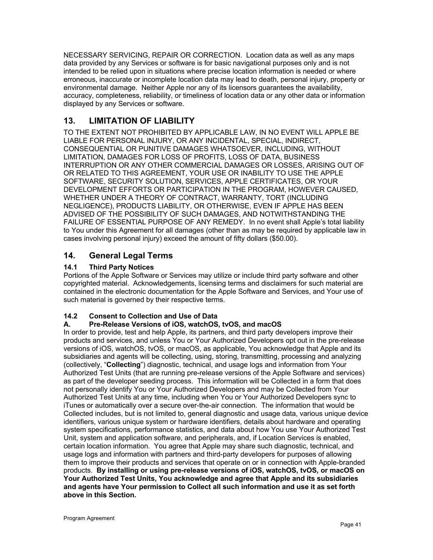NECESSARY SERVICING, REPAIR OR CORRECTION. Location data as well as any maps data provided by any Services or software is for basic navigational purposes only and is not intended to be relied upon in situations where precise location information is needed or where erroneous, inaccurate or incomplete location data may lead to death, personal injury, property or environmental damage. Neither Apple nor any of its licensors guarantees the availability, accuracy, completeness, reliability, or timeliness of location data or any other data or information displayed by any Services or software.

# **13. LIMITATION OF LIABILITY**

TO THE EXTENT NOT PROHIBITED BY APPLICABLE LAW, IN NO EVENT WILL APPLE BE LIABLE FOR PERSONAL INJURY, OR ANY INCIDENTAL, SPECIAL, INDIRECT, CONSEQUENTIAL OR PUNITIVE DAMAGES WHATSOEVER, INCLUDING, WITHOUT LIMITATION, DAMAGES FOR LOSS OF PROFITS, LOSS OF DATA, BUSINESS INTERRUPTION OR ANY OTHER COMMERCIAL DAMAGES OR LOSSES, ARISING OUT OF OR RELATED TO THIS AGREEMENT, YOUR USE OR INABILITY TO USE THE APPLE SOFTWARE, SECURITY SOLUTION, SERVICES, APPLE CERTIFICATES, OR YOUR DEVELOPMENT EFFORTS OR PARTICIPATION IN THE PROGRAM, HOWEVER CAUSED, WHETHER UNDER A THEORY OF CONTRACT, WARRANTY, TORT (INCLUDING NEGLIGENCE), PRODUCTS LIABILITY, OR OTHERWISE, EVEN IF APPLE HAS BEEN ADVISED OF THE POSSIBILITY OF SUCH DAMAGES, AND NOTWITHSTANDING THE FAILURE OF ESSENTIAL PURPOSE OF ANY REMEDY. In no event shall Apple's total liability to You under this Agreement for all damages (other than as may be required by applicable law in cases involving personal injury) exceed the amount of fifty dollars (\$50.00).

# **14. General Legal Terms**

# **14.1 Third Party Notices**

Portions of the Apple Software or Services may utilize or include third party software and other copyrighted material. Acknowledgements, licensing terms and disclaimers for such material are contained in the electronic documentation for the Apple Software and Services, and Your use of such material is governed by their respective terms.

# **14.2 Consent to Collection and Use of Data**

#### **A. Pre-Release Versions of iOS, watchOS, tvOS, and macOS**

In order to provide, test and help Apple, its partners, and third party developers improve their products and services, and unless You or Your Authorized Developers opt out in the pre-release versions of iOS, watchOS, tvOS, or macOS, as applicable, You acknowledge that Apple and its subsidiaries and agents will be collecting, using, storing, transmitting, processing and analyzing (collectively, "**Collecting**") diagnostic, technical, and usage logs and information from Your Authorized Test Units (that are running pre-release versions of the Apple Software and services) as part of the developer seeding process. This information will be Collected in a form that does not personally identify You or Your Authorized Developers and may be Collected from Your Authorized Test Units at any time, including when You or Your Authorized Developers sync to iTunes or automatically over a secure over-the-air connection. The information that would be Collected includes, but is not limited to, general diagnostic and usage data, various unique device identifiers, various unique system or hardware identifiers, details about hardware and operating system specifications, performance statistics, and data about how You use Your Authorized Test Unit, system and application software, and peripherals, and, if Location Services is enabled, certain location information. You agree that Apple may share such diagnostic, technical, and usage logs and information with partners and third-party developers for purposes of allowing them to improve their products and services that operate on or in connection with Apple-branded products. **By installing or using pre-release versions of iOS, watchOS, tvOS, or macOS on Your Authorized Test Units, You acknowledge and agree that Apple and its subsidiaries and agents have Your permission to Collect all such information and use it as set forth above in this Section.**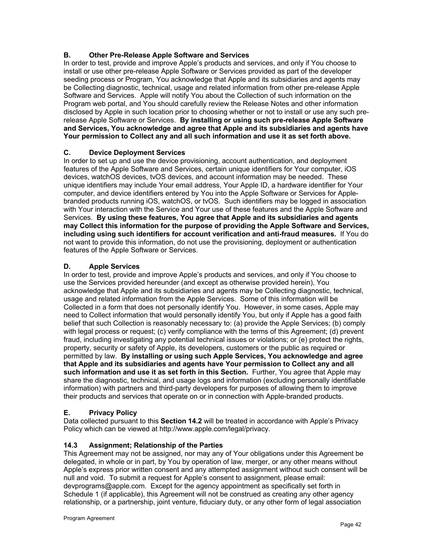# **B. Other Pre-Release Apple Software and Services**

In order to test, provide and improve Apple's products and services, and only if You choose to install or use other pre-release Apple Software or Services provided as part of the developer seeding process or Program, You acknowledge that Apple and its subsidiaries and agents may be Collecting diagnostic, technical, usage and related information from other pre-release Apple Software and Services. Apple will notify You about the Collection of such information on the Program web portal, and You should carefully review the Release Notes and other information disclosed by Apple in such location prior to choosing whether or not to install or use any such prerelease Apple Software or Services. **By installing or using such pre-release Apple Software and Services, You acknowledge and agree that Apple and its subsidiaries and agents have Your permission to Collect any and all such information and use it as set forth above.**

#### **C. Device Deployment Services**

In order to set up and use the device provisioning, account authentication, and deployment features of the Apple Software and Services, certain unique identifiers for Your computer, iOS devices, watchOS devices, tvOS devices, and account information may be needed. These unique identifiers may include Your email address, Your Apple ID, a hardware identifier for Your computer, and device identifiers entered by You into the Apple Software or Services for Applebranded products running iOS, watchOS, or tvOS. Such identifiers may be logged in association with Your interaction with the Service and Your use of these features and the Apple Software and Services. **By using these features, You agree that Apple and its subsidiaries and agents may Collect this information for the purpose of providing the Apple Software and Services, including using such identifiers for account verification and anti-fraud measures.** If You do not want to provide this information, do not use the provisioning, deployment or authentication features of the Apple Software or Services.

# **D. Apple Services**

In order to test, provide and improve Apple's products and services, and only if You choose to use the Services provided hereunder (and except as otherwise provided herein), You acknowledge that Apple and its subsidiaries and agents may be Collecting diagnostic, technical, usage and related information from the Apple Services. Some of this information will be Collected in a form that does not personally identify You. However, in some cases, Apple may need to Collect information that would personally identify You, but only if Apple has a good faith belief that such Collection is reasonably necessary to: (a) provide the Apple Services; (b) comply with legal process or request; (c) verify compliance with the terms of this Agreement; (d) prevent fraud, including investigating any potential technical issues or violations; or (e) protect the rights, property, security or safety of Apple, its developers, customers or the public as required or permitted by law. **By installing or using such Apple Services, You acknowledge and agree that Apple and its subsidiaries and agents have Your permission to Collect any and all such information and use it as set forth in this Section.** Further, You agree that Apple may share the diagnostic, technical, and usage logs and information (excluding personally identifiable information) with partners and third-party developers for purposes of allowing them to improve their products and services that operate on or in connection with Apple-branded products.

#### **E. Privacy Policy**

Data collected pursuant to this **Section 14.2** will be treated in accordance with Apple's Privacy Policy which can be viewed at http://www.apple.com/legal/privacy.

# **14.3 Assignment; Relationship of the Parties**

This Agreement may not be assigned, nor may any of Your obligations under this Agreement be delegated, in whole or in part, by You by operation of law, merger, or any other means without Apple's express prior written consent and any attempted assignment without such consent will be null and void. To submit a request for Apple's consent to assignment, please email: devprograms@apple.com. Except for the agency appointment as specifically set forth in Schedule 1 (if applicable), this Agreement will not be construed as creating any other agency relationship, or a partnership, joint venture, fiduciary duty, or any other form of legal association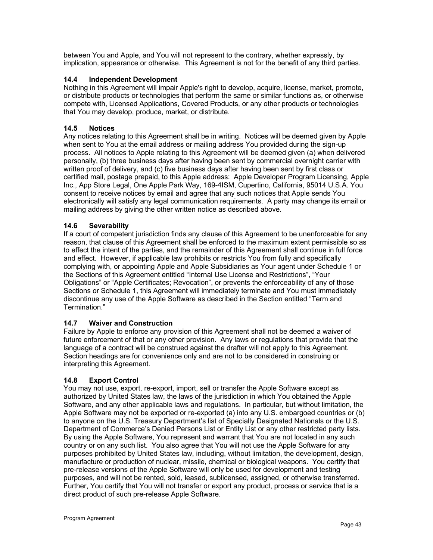between You and Apple, and You will not represent to the contrary, whether expressly, by implication, appearance or otherwise. This Agreement is not for the benefit of any third parties.

#### **14.4 Independent Development**

Nothing in this Agreement will impair Apple's right to develop, acquire, license, market, promote, or distribute products or technologies that perform the same or similar functions as, or otherwise compete with, Licensed Applications, Covered Products, or any other products or technologies that You may develop, produce, market, or distribute.

#### **14.5 Notices**

Any notices relating to this Agreement shall be in writing. Notices will be deemed given by Apple when sent to You at the email address or mailing address You provided during the sign-up process. All notices to Apple relating to this Agreement will be deemed given (a) when delivered personally, (b) three business days after having been sent by commercial overnight carrier with written proof of delivery, and (c) five business days after having been sent by first class or certified mail, postage prepaid, to this Apple address: Apple Developer Program Licensing, Apple Inc., App Store Legal, One Apple Park Way, 169-4ISM, Cupertino, California, 95014 U.S.A. You consent to receive notices by email and agree that any such notices that Apple sends You electronically will satisfy any legal communication requirements. A party may change its email or mailing address by giving the other written notice as described above.

#### **14.6 Severability**

If a court of competent jurisdiction finds any clause of this Agreement to be unenforceable for any reason, that clause of this Agreement shall be enforced to the maximum extent permissible so as to effect the intent of the parties, and the remainder of this Agreement shall continue in full force and effect. However, if applicable law prohibits or restricts You from fully and specifically complying with, or appointing Apple and Apple Subsidiaries as Your agent under Schedule 1 or the Sections of this Agreement entitled "Internal Use License and Restrictions", "Your Obligations" or "Apple Certificates; Revocation", or prevents the enforceability of any of those Sections or Schedule 1, this Agreement will immediately terminate and You must immediately discontinue any use of the Apple Software as described in the Section entitled "Term and Termination."

#### **14.7 Waiver and Construction**

Failure by Apple to enforce any provision of this Agreement shall not be deemed a waiver of future enforcement of that or any other provision. Any laws or regulations that provide that the language of a contract will be construed against the drafter will not apply to this Agreement. Section headings are for convenience only and are not to be considered in construing or interpreting this Agreement.

#### **14.8 Export Control**

You may not use, export, re-export, import, sell or transfer the Apple Software except as authorized by United States law, the laws of the jurisdiction in which You obtained the Apple Software, and any other applicable laws and regulations. In particular, but without limitation, the Apple Software may not be exported or re-exported (a) into any U.S. embargoed countries or (b) to anyone on the U.S. Treasury Department's list of Specially Designated Nationals or the U.S. Department of Commerce's Denied Persons List or Entity List or any other restricted party lists. By using the Apple Software, You represent and warrant that You are not located in any such country or on any such list. You also agree that You will not use the Apple Software for any purposes prohibited by United States law, including, without limitation, the development, design, manufacture or production of nuclear, missile, chemical or biological weapons. You certify that pre-release versions of the Apple Software will only be used for development and testing purposes, and will not be rented, sold, leased, sublicensed, assigned, or otherwise transferred. Further, You certify that You will not transfer or export any product, process or service that is a direct product of such pre-release Apple Software.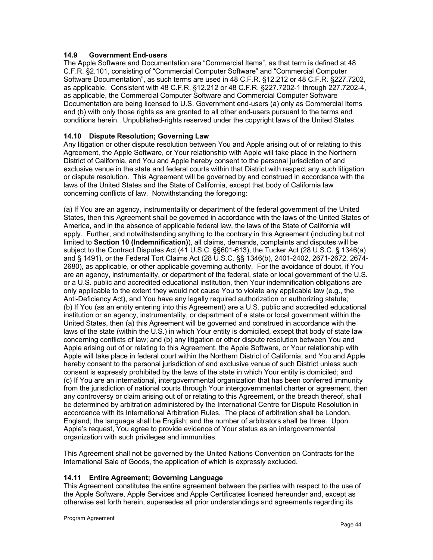#### **14.9 Government End-users**

The Apple Software and Documentation are "Commercial Items", as that term is defined at 48 C.F.R. §2.101, consisting of "Commercial Computer Software" and "Commercial Computer Software Documentation", as such terms are used in 48 C.F.R. §12.212 or 48 C.F.R. §227.7202, as applicable. Consistent with 48 C.F.R. §12.212 or 48 C.F.R. §227.7202-1 through 227.7202-4, as applicable, the Commercial Computer Software and Commercial Computer Software Documentation are being licensed to U.S. Government end-users (a) only as Commercial Items and (b) with only those rights as are granted to all other end-users pursuant to the terms and conditions herein. Unpublished-rights reserved under the copyright laws of the United States.

#### **14.10 Dispute Resolution; Governing Law**

Any litigation or other dispute resolution between You and Apple arising out of or relating to this Agreement, the Apple Software, or Your relationship with Apple will take place in the Northern District of California, and You and Apple hereby consent to the personal jurisdiction of and exclusive venue in the state and federal courts within that District with respect any such litigation or dispute resolution. This Agreement will be governed by and construed in accordance with the laws of the United States and the State of California, except that body of California law concerning conflicts of law. Notwithstanding the foregoing:

(a) If You are an agency, instrumentality or department of the federal government of the United States, then this Agreement shall be governed in accordance with the laws of the United States of America, and in the absence of applicable federal law, the laws of the State of California will apply. Further, and notwithstanding anything to the contrary in this Agreement (including but not limited to **Section 10 (Indemnification)**), all claims, demands, complaints and disputes will be subject to the Contract Disputes Act (41 U.S.C. §§601-613), the Tucker Act (28 U.S.C. § 1346(a) and § 1491), or the Federal Tort Claims Act (28 U.S.C. §§ 1346(b), 2401-2402, 2671-2672, 2674- 2680), as applicable, or other applicable governing authority. For the avoidance of doubt, if You are an agency, instrumentality, or department of the federal, state or local government of the U.S. or a U.S. public and accredited educational institution, then Your indemnification obligations are only applicable to the extent they would not cause You to violate any applicable law (e.g., the Anti-Deficiency Act), and You have any legally required authorization or authorizing statute; (b) If You (as an entity entering into this Agreement) are a U.S. public and accredited educational institution or an agency, instrumentality, or department of a state or local government within the United States, then (a) this Agreement will be governed and construed in accordance with the laws of the state (within the U.S.) in which Your entity is domiciled, except that body of state law concerning conflicts of law; and (b) any litigation or other dispute resolution between You and Apple arising out of or relating to this Agreement, the Apple Software, or Your relationship with Apple will take place in federal court within the Northern District of California, and You and Apple hereby consent to the personal jurisdiction of and exclusive venue of such District unless such consent is expressly prohibited by the laws of the state in which Your entity is domiciled; and (c) If You are an international, intergovernmental organization that has been conferred immunity from the jurisdiction of national courts through Your intergovernmental charter or agreement, then any controversy or claim arising out of or relating to this Agreement, or the breach thereof, shall be determined by arbitration administered by the International Centre for Dispute Resolution in accordance with its International Arbitration Rules. The place of arbitration shall be London, England; the language shall be English; and the number of arbitrators shall be three. Upon Apple's request, You agree to provide evidence of Your status as an intergovernmental organization with such privileges and immunities.

This Agreement shall not be governed by the United Nations Convention on Contracts for the International Sale of Goods, the application of which is expressly excluded.

#### **14.11 Entire Agreement; Governing Language**

This Agreement constitutes the entire agreement between the parties with respect to the use of the Apple Software, Apple Services and Apple Certificates licensed hereunder and, except as otherwise set forth herein, supersedes all prior understandings and agreements regarding its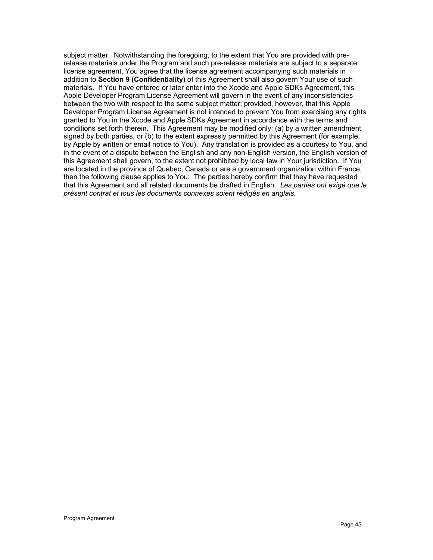subject matter. Notwithstanding the foregoing, to the extent that You are provided with prerelease materials under the Program and such pre-release materials are subject to a separate license agreement, You agree that the license agreement accompanying such materials in addition to **Section 9 (Confidentiality)** of this Agreement shall also govern Your use of such materials. If You have entered or later enter into the Xcode and Apple SDKs Agreement, this Apple Developer Program License Agreement will govern in the event of any inconsistencies between the two with respect to the same subject matter; provided, however, that this Apple Developer Program License Agreement is not intended to prevent You from exercising any rights granted to You in the Xcode and Apple SDKs Agreement in accordance with the terms and conditions set forth therein. This Agreement may be modified only: (a) by a written amendment signed by both parties, or (b) to the extent expressly permitted by this Agreement (for example, by Apple by written or email notice to You). Any translation is provided as a courtesy to You, and in the event of a dispute between the English and any non-English version, the English version of this Agreement shall govern, to the extent not prohibited by local law in Your jurisdiction. If You are located in the province of Quebec, Canada or are a government organization within France, then the following clause applies to You: The parties hereby confirm that they have requested that this Agreement and all related documents be drafted in English. *Les parties ont exigé que le présent contrat et tous les documents connexes soient rédigés en anglais.*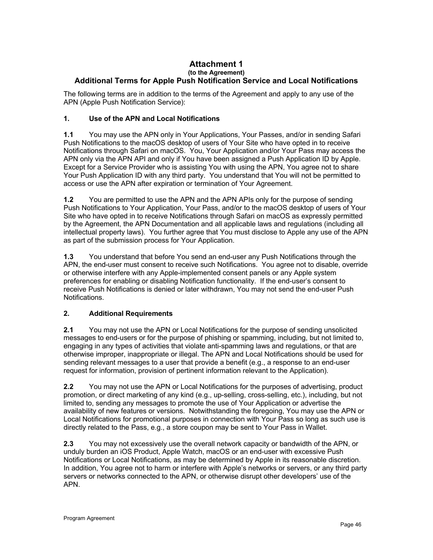#### **Attachment 1 (to the Agreement) Additional Terms for Apple Push Notification Service and Local Notifications**

The following terms are in addition to the terms of the Agreement and apply to any use of the APN (Apple Push Notification Service):

#### **1. Use of the APN and Local Notifications**

**1.1** You may use the APN only in Your Applications, Your Passes, and/or in sending Safari Push Notifications to the macOS desktop of users of Your Site who have opted in to receive Notifications through Safari on macOS. You, Your Application and/or Your Pass may access the APN only via the APN API and only if You have been assigned a Push Application ID by Apple. Except for a Service Provider who is assisting You with using the APN, You agree not to share Your Push Application ID with any third party. You understand that You will not be permitted to access or use the APN after expiration or termination of Your Agreement.

**1.2** You are permitted to use the APN and the APN APIs only for the purpose of sending Push Notifications to Your Application, Your Pass, and/or to the macOS desktop of users of Your Site who have opted in to receive Notifications through Safari on macOS as expressly permitted by the Agreement, the APN Documentation and all applicable laws and regulations (including all intellectual property laws). You further agree that You must disclose to Apple any use of the APN as part of the submission process for Your Application.

**1.3** You understand that before You send an end-user any Push Notifications through the APN, the end-user must consent to receive such Notifications. You agree not to disable, override or otherwise interfere with any Apple-implemented consent panels or any Apple system preferences for enabling or disabling Notification functionality. If the end-user's consent to receive Push Notifications is denied or later withdrawn, You may not send the end-user Push Notifications.

## **2. Additional Requirements**

**2.1** You may not use the APN or Local Notifications for the purpose of sending unsolicited messages to end-users or for the purpose of phishing or spamming, including, but not limited to, engaging in any types of activities that violate anti-spamming laws and regulations, or that are otherwise improper, inappropriate or illegal. The APN and Local Notifications should be used for sending relevant messages to a user that provide a benefit (e.g., a response to an end-user request for information, provision of pertinent information relevant to the Application).

**2.2** You may not use the APN or Local Notifications for the purposes of advertising, product promotion, or direct marketing of any kind (e.g., up-selling, cross-selling, etc.), including, but not limited to, sending any messages to promote the use of Your Application or advertise the availability of new features or versions. Notwithstanding the foregoing, You may use the APN or Local Notifications for promotional purposes in connection with Your Pass so long as such use is directly related to the Pass, e.g., a store coupon may be sent to Your Pass in Wallet.

**2.3** You may not excessively use the overall network capacity or bandwidth of the APN, or unduly burden an iOS Product, Apple Watch, macOS or an end-user with excessive Push Notifications or Local Notifications, as may be determined by Apple in its reasonable discretion. In addition, You agree not to harm or interfere with Apple's networks or servers, or any third party servers or networks connected to the APN, or otherwise disrupt other developers' use of the APN.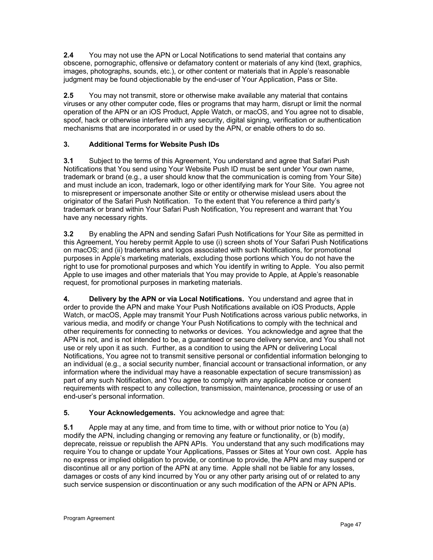**2.4** You may not use the APN or Local Notifications to send material that contains any obscene, pornographic, offensive or defamatory content or materials of any kind (text, graphics, images, photographs, sounds, etc.), or other content or materials that in Apple's reasonable judgment may be found objectionable by the end-user of Your Application, Pass or Site.

**2.5** You may not transmit, store or otherwise make available any material that contains viruses or any other computer code, files or programs that may harm, disrupt or limit the normal operation of the APN or an iOS Product, Apple Watch, or macOS, and You agree not to disable, spoof, hack or otherwise interfere with any security, digital signing, verification or authentication mechanisms that are incorporated in or used by the APN, or enable others to do so.

# **3. Additional Terms for Website Push IDs**

**3.1** Subject to the terms of this Agreement, You understand and agree that Safari Push Notifications that You send using Your Website Push ID must be sent under Your own name, trademark or brand (e.g., a user should know that the communication is coming from Your Site) and must include an icon, trademark, logo or other identifying mark for Your Site. You agree not to misrepresent or impersonate another Site or entity or otherwise mislead users about the originator of the Safari Push Notification. To the extent that You reference a third party's trademark or brand within Your Safari Push Notification, You represent and warrant that You have any necessary rights.

**3.2** By enabling the APN and sending Safari Push Notifications for Your Site as permitted in this Agreement, You hereby permit Apple to use (i) screen shots of Your Safari Push Notifications on macOS; and (ii) trademarks and logos associated with such Notifications, for promotional purposes in Apple's marketing materials, excluding those portions which You do not have the right to use for promotional purposes and which You identify in writing to Apple. You also permit Apple to use images and other materials that You may provide to Apple, at Apple's reasonable request, for promotional purposes in marketing materials.

**4. Delivery by the APN or via Local Notifications.** You understand and agree that in order to provide the APN and make Your Push Notifications available on iOS Products, Apple Watch, or macOS, Apple may transmit Your Push Notifications across various public networks, in various media, and modify or change Your Push Notifications to comply with the technical and other requirements for connecting to networks or devices. You acknowledge and agree that the APN is not, and is not intended to be, a guaranteed or secure delivery service, and You shall not use or rely upon it as such. Further, as a condition to using the APN or delivering Local Notifications, You agree not to transmit sensitive personal or confidential information belonging to an individual (e.g., a social security number, financial account or transactional information, or any information where the individual may have a reasonable expectation of secure transmission) as part of any such Notification, and You agree to comply with any applicable notice or consent requirements with respect to any collection, transmission, maintenance, processing or use of an end-user's personal information.

# **5. Your Acknowledgements.** You acknowledge and agree that:

**5.1** Apple may at any time, and from time to time, with or without prior notice to You (a) modify the APN, including changing or removing any feature or functionality, or (b) modify, deprecate, reissue or republish the APN APIs. You understand that any such modifications may require You to change or update Your Applications, Passes or Sites at Your own cost. Apple has no express or implied obligation to provide, or continue to provide, the APN and may suspend or discontinue all or any portion of the APN at any time. Apple shall not be liable for any losses, damages or costs of any kind incurred by You or any other party arising out of or related to any such service suspension or discontinuation or any such modification of the APN or APN APIs.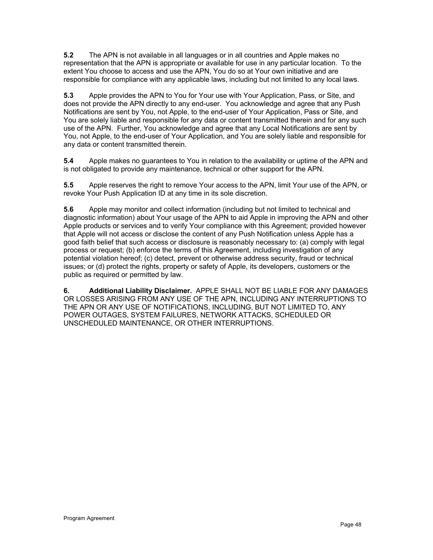**5.2** The APN is not available in all languages or in all countries and Apple makes no representation that the APN is appropriate or available for use in any particular location. To the extent You choose to access and use the APN, You do so at Your own initiative and are responsible for compliance with any applicable laws, including but not limited to any local laws.

**5.3** Apple provides the APN to You for Your use with Your Application, Pass, or Site, and does not provide the APN directly to any end-user. You acknowledge and agree that any Push Notifications are sent by You, not Apple, to the end-user of Your Application, Pass or Site, and You are solely liable and responsible for any data or content transmitted therein and for any such use of the APN. Further, You acknowledge and agree that any Local Notifications are sent by You, not Apple, to the end-user of Your Application, and You are solely liable and responsible for any data or content transmitted therein.

**5.4** Apple makes no guarantees to You in relation to the availability or uptime of the APN and is not obligated to provide any maintenance, technical or other support for the APN.

**5.5** Apple reserves the right to remove Your access to the APN, limit Your use of the APN, or revoke Your Push Application ID at any time in its sole discretion.

**5.6** Apple may monitor and collect information (including but not limited to technical and diagnostic information) about Your usage of the APN to aid Apple in improving the APN and other Apple products or services and to verify Your compliance with this Agreement; provided however that Apple will not access or disclose the content of any Push Notification unless Apple has a good faith belief that such access or disclosure is reasonably necessary to: (a) comply with legal process or request; (b) enforce the terms of this Agreement, including investigation of any potential violation hereof; (c) detect, prevent or otherwise address security, fraud or technical issues; or (d) protect the rights, property or safety of Apple, its developers, customers or the public as required or permitted by law.

**6. Additional Liability Disclaimer.** APPLE SHALL NOT BE LIABLE FOR ANY DAMAGES OR LOSSES ARISING FROM ANY USE OF THE APN, INCLUDING ANY INTERRUPTIONS TO THE APN OR ANY USE OF NOTIFICATIONS, INCLUDING, BUT NOT LIMITED TO, ANY POWER OUTAGES, SYSTEM FAILURES, NETWORK ATTACKS, SCHEDULED OR UNSCHEDULED MAINTENANCE, OR OTHER INTERRUPTIONS.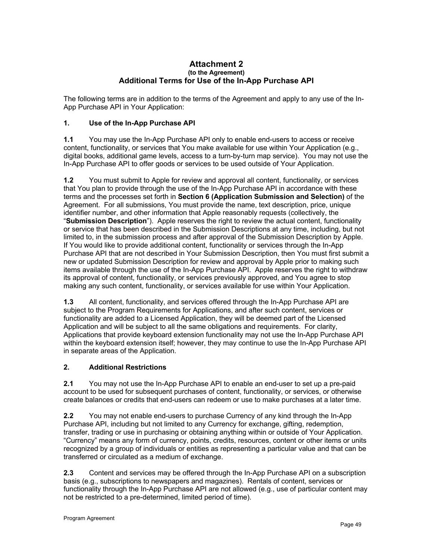#### **Attachment 2 (to the Agreement) Additional Terms for Use of the In-App Purchase API**

The following terms are in addition to the terms of the Agreement and apply to any use of the In-App Purchase API in Your Application:

## **1. Use of the In-App Purchase API**

**1.1** You may use the In-App Purchase API only to enable end-users to access or receive content, functionality, or services that You make available for use within Your Application (e.g., digital books, additional game levels, access to a turn-by-turn map service). You may not use the In-App Purchase API to offer goods or services to be used outside of Your Application.

**1.2** You must submit to Apple for review and approval all content, functionality, or services that You plan to provide through the use of the In-App Purchase API in accordance with these terms and the processes set forth in **Section 6 (Application Submission and Selection)** of the Agreement. For all submissions, You must provide the name, text description, price, unique identifier number, and other information that Apple reasonably requests (collectively, the "**Submission Description**"). Apple reserves the right to review the actual content, functionality or service that has been described in the Submission Descriptions at any time, including, but not limited to, in the submission process and after approval of the Submission Description by Apple. If You would like to provide additional content, functionality or services through the In-App Purchase API that are not described in Your Submission Description, then You must first submit a new or updated Submission Description for review and approval by Apple prior to making such items available through the use of the In-App Purchase API. Apple reserves the right to withdraw its approval of content, functionality, or services previously approved, and You agree to stop making any such content, functionality, or services available for use within Your Application.

**1.3** All content, functionality, and services offered through the In-App Purchase API are subject to the Program Requirements for Applications, and after such content, services or functionality are added to a Licensed Application, they will be deemed part of the Licensed Application and will be subject to all the same obligations and requirements. For clarity, Applications that provide keyboard extension functionality may not use the In-App Purchase API within the keyboard extension itself; however, they may continue to use the In-App Purchase API in separate areas of the Application.

#### **2. Additional Restrictions**

**2.1** You may not use the In-App Purchase API to enable an end-user to set up a pre-paid account to be used for subsequent purchases of content, functionality, or services, or otherwise create balances or credits that end-users can redeem or use to make purchases at a later time.

**2.2** You may not enable end-users to purchase Currency of any kind through the In-App Purchase API, including but not limited to any Currency for exchange, gifting, redemption, transfer, trading or use in purchasing or obtaining anything within or outside of Your Application. "Currency" means any form of currency, points, credits, resources, content or other items or units recognized by a group of individuals or entities as representing a particular value and that can be transferred or circulated as a medium of exchange.

**2.3** Content and services may be offered through the In-App Purchase API on a subscription basis (e.g., subscriptions to newspapers and magazines). Rentals of content, services or functionality through the In-App Purchase API are not allowed (e.g., use of particular content may not be restricted to a pre-determined, limited period of time).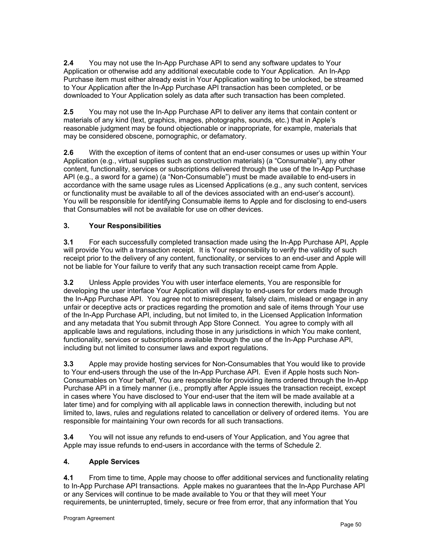**2.4** You may not use the In-App Purchase API to send any software updates to Your Application or otherwise add any additional executable code to Your Application. An In-App Purchase item must either already exist in Your Application waiting to be unlocked, be streamed to Your Application after the In-App Purchase API transaction has been completed, or be downloaded to Your Application solely as data after such transaction has been completed.

**2.5** You may not use the In-App Purchase API to deliver any items that contain content or materials of any kind (text, graphics, images, photographs, sounds, etc.) that in Apple's reasonable judgment may be found objectionable or inappropriate, for example, materials that may be considered obscene, pornographic, or defamatory.

**2.6** With the exception of items of content that an end-user consumes or uses up within Your Application (e.g., virtual supplies such as construction materials) (a "Consumable"), any other content, functionality, services or subscriptions delivered through the use of the In-App Purchase API (e.g., a sword for a game) (a "Non-Consumable") must be made available to end-users in accordance with the same usage rules as Licensed Applications (e.g., any such content, services or functionality must be available to all of the devices associated with an end-user's account). You will be responsible for identifying Consumable items to Apple and for disclosing to end-users that Consumables will not be available for use on other devices.

# **3. Your Responsibilities**

**3.1** For each successfully completed transaction made using the In-App Purchase API, Apple will provide You with a transaction receipt. It is Your responsibility to verify the validity of such receipt prior to the delivery of any content, functionality, or services to an end-user and Apple will not be liable for Your failure to verify that any such transaction receipt came from Apple.

**3.2** Unless Apple provides You with user interface elements, You are responsible for developing the user interface Your Application will display to end-users for orders made through the In-App Purchase API. You agree not to misrepresent, falsely claim, mislead or engage in any unfair or deceptive acts or practices regarding the promotion and sale of items through Your use of the In-App Purchase API, including, but not limited to, in the Licensed Application Information and any metadata that You submit through App Store Connect. You agree to comply with all applicable laws and regulations, including those in any jurisdictions in which You make content, functionality, services or subscriptions available through the use of the In-App Purchase API, including but not limited to consumer laws and export regulations.

**3.3** Apple may provide hosting services for Non-Consumables that You would like to provide to Your end-users through the use of the In-App Purchase API. Even if Apple hosts such Non-Consumables on Your behalf, You are responsible for providing items ordered through the In-App Purchase API in a timely manner (i.e., promptly after Apple issues the transaction receipt, except in cases where You have disclosed to Your end-user that the item will be made available at a later time) and for complying with all applicable laws in connection therewith, including but not limited to, laws, rules and regulations related to cancellation or delivery of ordered items. You are responsible for maintaining Your own records for all such transactions.

**3.4** You will not issue any refunds to end-users of Your Application, and You agree that Apple may issue refunds to end-users in accordance with the terms of Schedule 2.

#### **4. Apple Services**

**4.1** From time to time, Apple may choose to offer additional services and functionality relating to In-App Purchase API transactions. Apple makes no guarantees that the In-App Purchase API or any Services will continue to be made available to You or that they will meet Your requirements, be uninterrupted, timely, secure or free from error, that any information that You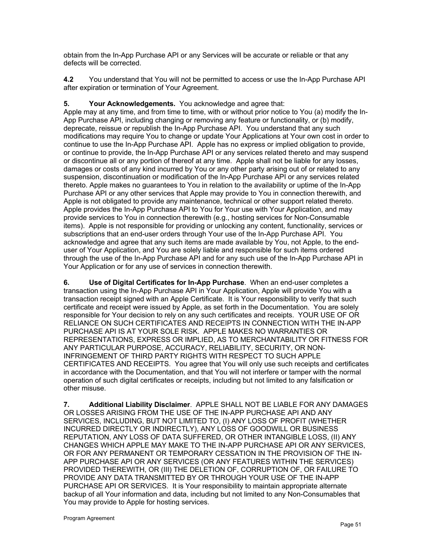obtain from the In-App Purchase API or any Services will be accurate or reliable or that any defects will be corrected.

**4.2** You understand that You will not be permitted to access or use the In-App Purchase API after expiration or termination of Your Agreement.

## **5. Your Acknowledgements.** You acknowledge and agree that:

Apple may at any time, and from time to time, with or without prior notice to You (a) modify the In-App Purchase API, including changing or removing any feature or functionality, or (b) modify, deprecate, reissue or republish the In-App Purchase API. You understand that any such modifications may require You to change or update Your Applications at Your own cost in order to continue to use the In-App Purchase API. Apple has no express or implied obligation to provide, or continue to provide, the In-App Purchase API or any services related thereto and may suspend or discontinue all or any portion of thereof at any time. Apple shall not be liable for any losses, damages or costs of any kind incurred by You or any other party arising out of or related to any suspension, discontinuation or modification of the In-App Purchase API or any services related thereto. Apple makes no guarantees to You in relation to the availability or uptime of the In-App Purchase API or any other services that Apple may provide to You in connection therewith, and Apple is not obligated to provide any maintenance, technical or other support related thereto. Apple provides the In-App Purchase API to You for Your use with Your Application, and may provide services to You in connection therewith (e.g., hosting services for Non-Consumable items). Apple is not responsible for providing or unlocking any content, functionality, services or subscriptions that an end-user orders through Your use of the In-App Purchase API. You acknowledge and agree that any such items are made available by You, not Apple, to the enduser of Your Application, and You are solely liable and responsible for such items ordered through the use of the In-App Purchase API and for any such use of the In-App Purchase API in Your Application or for any use of services in connection therewith.

**6. Use of Digital Certificates for In-App Purchase**. When an end-user completes a transaction using the In-App Purchase API in Your Application, Apple will provide You with a transaction receipt signed with an Apple Certificate. It is Your responsibility to verify that such certificate and receipt were issued by Apple, as set forth in the Documentation. You are solely responsible for Your decision to rely on any such certificates and receipts. YOUR USE OF OR RELIANCE ON SUCH CERTIFICATES AND RECEIPTS IN CONNECTION WITH THE IN-APP PURCHASE API IS AT YOUR SOLE RISK. APPLE MAKES NO WARRANTIES OR REPRESENTATIONS, EXPRESS OR IMPLIED, AS TO MERCHANTABILITY OR FITNESS FOR ANY PARTICULAR PURPOSE, ACCURACY, RELIABILITY, SECURITY, OR NON-INFRINGEMENT OF THIRD PARTY RIGHTS WITH RESPECT TO SUCH APPLE CERTIFICATES AND RECEIPTS. You agree that You will only use such receipts and certificates in accordance with the Documentation, and that You will not interfere or tamper with the normal operation of such digital certificates or receipts, including but not limited to any falsification or other misuse.

**7. Additional Liability Disclaimer**. APPLE SHALL NOT BE LIABLE FOR ANY DAMAGES OR LOSSES ARISING FROM THE USE OF THE IN-APP PURCHASE API AND ANY SERVICES, INCLUDING, BUT NOT LIMITED TO, (I) ANY LOSS OF PROFIT (WHETHER INCURRED DIRECTLY OR INDIRECTLY), ANY LOSS OF GOODWILL OR BUSINESS REPUTATION, ANY LOSS OF DATA SUFFERED, OR OTHER INTANGIBLE LOSS, (II) ANY CHANGES WHICH APPLE MAY MAKE TO THE IN-APP PURCHASE API OR ANY SERVICES, OR FOR ANY PERMANENT OR TEMPORARY CESSATION IN THE PROVISION OF THE IN-APP PURCHASE API OR ANY SERVICES (OR ANY FEATURES WITHIN THE SERVICES) PROVIDED THEREWITH, OR (III) THE DELETION OF, CORRUPTION OF, OR FAILURE TO PROVIDE ANY DATA TRANSMITTED BY OR THROUGH YOUR USE OF THE IN-APP PURCHASE API OR SERVICES. It is Your responsibility to maintain appropriate alternate backup of all Your information and data, including but not limited to any Non-Consumables that You may provide to Apple for hosting services.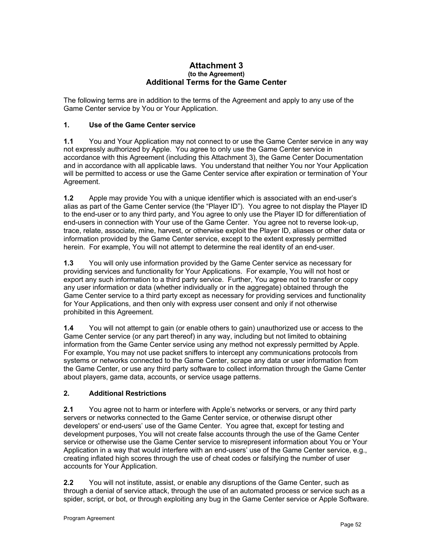#### **Attachment 3 (to the Agreement) Additional Terms for the Game Center**

The following terms are in addition to the terms of the Agreement and apply to any use of the Game Center service by You or Your Application.

## **1. Use of the Game Center service**

**1.1** You and Your Application may not connect to or use the Game Center service in any way not expressly authorized by Apple. You agree to only use the Game Center service in accordance with this Agreement (including this Attachment 3), the Game Center Documentation and in accordance with all applicable laws. You understand that neither You nor Your Application will be permitted to access or use the Game Center service after expiration or termination of Your Agreement.

**1.2** Apple may provide You with a unique identifier which is associated with an end-user's alias as part of the Game Center service (the "Player ID"). You agree to not display the Player ID to the end-user or to any third party, and You agree to only use the Player ID for differentiation of end-users in connection with Your use of the Game Center. You agree not to reverse look-up, trace, relate, associate, mine, harvest, or otherwise exploit the Player ID, aliases or other data or information provided by the Game Center service, except to the extent expressly permitted herein. For example, You will not attempt to determine the real identity of an end-user.

**1.3** You will only use information provided by the Game Center service as necessary for providing services and functionality for Your Applications. For example, You will not host or export any such information to a third party service. Further, You agree not to transfer or copy any user information or data (whether individually or in the aggregate) obtained through the Game Center service to a third party except as necessary for providing services and functionality for Your Applications, and then only with express user consent and only if not otherwise prohibited in this Agreement.

**1.4** You will not attempt to gain (or enable others to gain) unauthorized use or access to the Game Center service (or any part thereof) in any way, including but not limited to obtaining information from the Game Center service using any method not expressly permitted by Apple. For example, You may not use packet sniffers to intercept any communications protocols from systems or networks connected to the Game Center, scrape any data or user information from the Game Center, or use any third party software to collect information through the Game Center about players, game data, accounts, or service usage patterns.

#### **2. Additional Restrictions**

**2.1** You agree not to harm or interfere with Apple's networks or servers, or any third party servers or networks connected to the Game Center service, or otherwise disrupt other developers' or end-users' use of the Game Center. You agree that, except for testing and development purposes, You will not create false accounts through the use of the Game Center service or otherwise use the Game Center service to misrepresent information about You or Your Application in a way that would interfere with an end-users' use of the Game Center service, e.g., creating inflated high scores through the use of cheat codes or falsifying the number of user accounts for Your Application.

**2.2** You will not institute, assist, or enable any disruptions of the Game Center, such as through a denial of service attack, through the use of an automated process or service such as a spider, script, or bot, or through exploiting any bug in the Game Center service or Apple Software.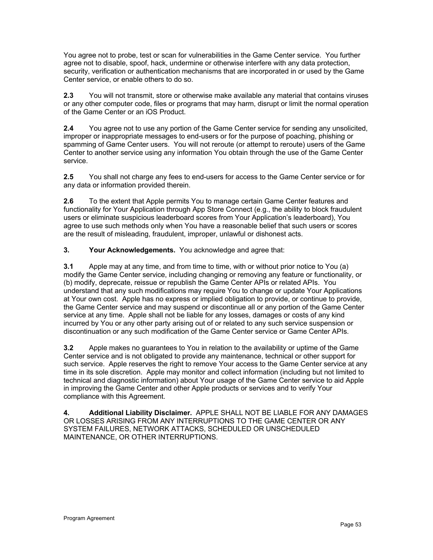You agree not to probe, test or scan for vulnerabilities in the Game Center service. You further agree not to disable, spoof, hack, undermine or otherwise interfere with any data protection, security, verification or authentication mechanisms that are incorporated in or used by the Game Center service, or enable others to do so.

**2.3** You will not transmit, store or otherwise make available any material that contains viruses or any other computer code, files or programs that may harm, disrupt or limit the normal operation of the Game Center or an iOS Product.

**2.4** You agree not to use any portion of the Game Center service for sending any unsolicited, improper or inappropriate messages to end-users or for the purpose of poaching, phishing or spamming of Game Center users. You will not reroute (or attempt to reroute) users of the Game Center to another service using any information You obtain through the use of the Game Center service.

**2.5** You shall not charge any fees to end-users for access to the Game Center service or for any data or information provided therein.

**2.6** To the extent that Apple permits You to manage certain Game Center features and functionality for Your Application through App Store Connect (e.g., the ability to block fraudulent users or eliminate suspicious leaderboard scores from Your Application's leaderboard), You agree to use such methods only when You have a reasonable belief that such users or scores are the result of misleading, fraudulent, improper, unlawful or dishonest acts.

**3. Your Acknowledgements.** You acknowledge and agree that:

**3.1** Apple may at any time, and from time to time, with or without prior notice to You (a) modify the Game Center service, including changing or removing any feature or functionality, or (b) modify, deprecate, reissue or republish the Game Center APIs or related APIs. You understand that any such modifications may require You to change or update Your Applications at Your own cost. Apple has no express or implied obligation to provide, or continue to provide, the Game Center service and may suspend or discontinue all or any portion of the Game Center service at any time. Apple shall not be liable for any losses, damages or costs of any kind incurred by You or any other party arising out of or related to any such service suspension or discontinuation or any such modification of the Game Center service or Game Center APIs.

**3.2** Apple makes no guarantees to You in relation to the availability or uptime of the Game Center service and is not obligated to provide any maintenance, technical or other support for such service. Apple reserves the right to remove Your access to the Game Center service at any time in its sole discretion. Apple may monitor and collect information (including but not limited to technical and diagnostic information) about Your usage of the Game Center service to aid Apple in improving the Game Center and other Apple products or services and to verify Your compliance with this Agreement.

**4. Additional Liability Disclaimer.** APPLE SHALL NOT BE LIABLE FOR ANY DAMAGES OR LOSSES ARISING FROM ANY INTERRUPTIONS TO THE GAME CENTER OR ANY SYSTEM FAILURES, NETWORK ATTACKS, SCHEDULED OR UNSCHEDULED MAINTENANCE, OR OTHER INTERRUPTIONS.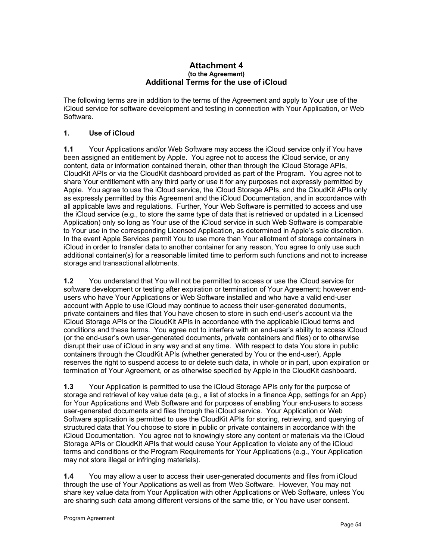#### **Attachment 4 (to the Agreement) Additional Terms for the use of iCloud**

The following terms are in addition to the terms of the Agreement and apply to Your use of the iCloud service for software development and testing in connection with Your Application, or Web Software.

#### **1. Use of iCloud**

**1.1** Your Applications and/or Web Software may access the iCloud service only if You have been assigned an entitlement by Apple. You agree not to access the iCloud service, or any content, data or information contained therein, other than through the iCloud Storage APIs, CloudKit APIs or via the CloudKit dashboard provided as part of the Program. You agree not to share Your entitlement with any third party or use it for any purposes not expressly permitted by Apple. You agree to use the iCloud service, the iCloud Storage APIs, and the CloudKit APIs only as expressly permitted by this Agreement and the iCloud Documentation, and in accordance with all applicable laws and regulations. Further, Your Web Software is permitted to access and use the iCloud service (e.g., to store the same type of data that is retrieved or updated in a Licensed Application) only so long as Your use of the iCloud service in such Web Software is comparable to Your use in the corresponding Licensed Application, as determined in Apple's sole discretion. In the event Apple Services permit You to use more than Your allotment of storage containers in iCloud in order to transfer data to another container for any reason, You agree to only use such additional container(s) for a reasonable limited time to perform such functions and not to increase storage and transactional allotments.

**1.2** You understand that You will not be permitted to access or use the iCloud service for software development or testing after expiration or termination of Your Agreement; however endusers who have Your Applications or Web Software installed and who have a valid end-user account with Apple to use iCloud may continue to access their user-generated documents, private containers and files that You have chosen to store in such end-user's account via the iCloud Storage APIs or the CloudKit APIs in accordance with the applicable iCloud terms and conditions and these terms. You agree not to interfere with an end-user's ability to access iCloud (or the end-user's own user-generated documents, private containers and files) or to otherwise disrupt their use of iCloud in any way and at any time. With respect to data You store in public containers through the CloudKit APIs (whether generated by You or the end-user), Apple reserves the right to suspend access to or delete such data, in whole or in part, upon expiration or termination of Your Agreement, or as otherwise specified by Apple in the CloudKit dashboard.

**1.3** Your Application is permitted to use the iCloud Storage APIs only for the purpose of storage and retrieval of key value data (e.g., a list of stocks in a finance App, settings for an App) for Your Applications and Web Software and for purposes of enabling Your end-users to access user-generated documents and files through the iCloud service. Your Application or Web Software application is permitted to use the CloudKit APIs for storing, retrieving, and querying of structured data that You choose to store in public or private containers in accordance with the iCloud Documentation. You agree not to knowingly store any content or materials via the iCloud Storage APIs or CloudKit APIs that would cause Your Application to violate any of the iCloud terms and conditions or the Program Requirements for Your Applications (e.g., Your Application may not store illegal or infringing materials).

**1.4** You may allow a user to access their user-generated documents and files from iCloud through the use of Your Applications as well as from Web Software. However, You may not share key value data from Your Application with other Applications or Web Software, unless You are sharing such data among different versions of the same title, or You have user consent.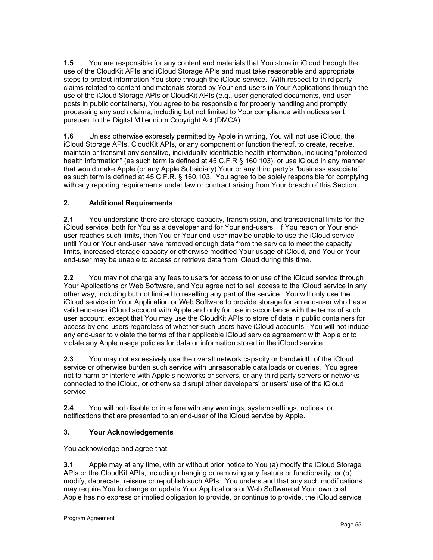**1.5** You are responsible for any content and materials that You store in iCloud through the use of the CloudKit APIs and iCloud Storage APIs and must take reasonable and appropriate steps to protect information You store through the iCloud service. With respect to third party claims related to content and materials stored by Your end-users in Your Applications through the use of the iCloud Storage APIs or CloudKit APIs (e.g., user-generated documents, end-user posts in public containers), You agree to be responsible for properly handling and promptly processing any such claims, including but not limited to Your compliance with notices sent pursuant to the Digital Millennium Copyright Act (DMCA).

**1.6** Unless otherwise expressly permitted by Apple in writing, You will not use iCloud, the iCloud Storage APIs, CloudKit APIs, or any component or function thereof, to create, receive, maintain or transmit any sensitive, individually-identifiable health information, including "protected health information" (as such term is defined at 45 C.F.R § 160.103), or use iCloud in any manner that would make Apple (or any Apple Subsidiary) Your or any third party's "business associate" as such term is defined at 45 C.F.R. § 160.103. You agree to be solely responsible for complying with any reporting requirements under law or contract arising from Your breach of this Section.

# **2. Additional Requirements**

**2.1** You understand there are storage capacity, transmission, and transactional limits for the iCloud service, both for You as a developer and for Your end-users. If You reach or Your enduser reaches such limits, then You or Your end-user may be unable to use the iCloud service until You or Your end-user have removed enough data from the service to meet the capacity limits, increased storage capacity or otherwise modified Your usage of iCloud, and You or Your end-user may be unable to access or retrieve data from iCloud during this time.

**2.2** You may not charge any fees to users for access to or use of the iCloud service through Your Applications or Web Software, and You agree not to sell access to the iCloud service in any other way, including but not limited to reselling any part of the service. You will only use the iCloud service in Your Application or Web Software to provide storage for an end-user who has a valid end-user iCloud account with Apple and only for use in accordance with the terms of such user account, except that You may use the CloudKit APIs to store of data in public containers for access by end-users regardless of whether such users have iCloud accounts. You will not induce any end-user to violate the terms of their applicable iCloud service agreement with Apple or to violate any Apple usage policies for data or information stored in the iCloud service.

**2.3** You may not excessively use the overall network capacity or bandwidth of the iCloud service or otherwise burden such service with unreasonable data loads or queries. You agree not to harm or interfere with Apple's networks or servers, or any third party servers or networks connected to the iCloud, or otherwise disrupt other developers' or users' use of the iCloud service.

**2.4** You will not disable or interfere with any warnings, system settings, notices, or notifications that are presented to an end-user of the iCloud service by Apple.

#### **3. Your Acknowledgements**

You acknowledge and agree that:

**3.1** Apple may at any time, with or without prior notice to You (a) modify the iCloud Storage APIs or the CloudKit APIs, including changing or removing any feature or functionality, or (b) modify, deprecate, reissue or republish such APIs. You understand that any such modifications may require You to change or update Your Applications or Web Software at Your own cost. Apple has no express or implied obligation to provide, or continue to provide, the iCloud service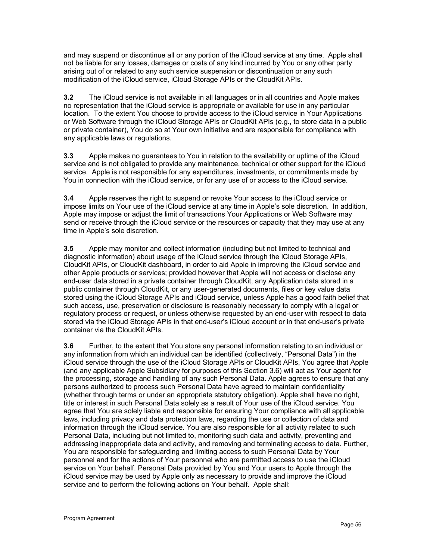and may suspend or discontinue all or any portion of the iCloud service at any time. Apple shall not be liable for any losses, damages or costs of any kind incurred by You or any other party arising out of or related to any such service suspension or discontinuation or any such modification of the iCloud service, iCloud Storage APIs or the CloudKit APIs.

**3.2** The iCloud service is not available in all languages or in all countries and Apple makes no representation that the iCloud service is appropriate or available for use in any particular location. To the extent You choose to provide access to the iCloud service in Your Applications or Web Software through the iCloud Storage APIs or CloudKit APIs (e.g., to store data in a public or private container), You do so at Your own initiative and are responsible for compliance with any applicable laws or regulations.

**3.3** Apple makes no guarantees to You in relation to the availability or uptime of the iCloud service and is not obligated to provide any maintenance, technical or other support for the iCloud service. Apple is not responsible for any expenditures, investments, or commitments made by You in connection with the iCloud service, or for any use of or access to the iCloud service.

**3.4** Apple reserves the right to suspend or revoke Your access to the iCloud service or impose limits on Your use of the iCloud service at any time in Apple's sole discretion. In addition, Apple may impose or adjust the limit of transactions Your Applications or Web Software may send or receive through the iCloud service or the resources or capacity that they may use at any time in Apple's sole discretion.

**3.5** Apple may monitor and collect information (including but not limited to technical and diagnostic information) about usage of the iCloud service through the iCloud Storage APIs, CloudKit APIs, or CloudKit dashboard, in order to aid Apple in improving the iCloud service and other Apple products or services; provided however that Apple will not access or disclose any end-user data stored in a private container through CloudKit, any Application data stored in a public container through CloudKit, or any user-generated documents, files or key value data stored using the iCloud Storage APIs and iCloud service, unless Apple has a good faith belief that such access, use, preservation or disclosure is reasonably necessary to comply with a legal or regulatory process or request, or unless otherwise requested by an end-user with respect to data stored via the iCloud Storage APIs in that end-user's iCloud account or in that end-user's private container via the CloudKit APIs.

**3.6** Further, to the extent that You store any personal information relating to an individual or any information from which an individual can be identified (collectively, "Personal Data") in the iCloud service through the use of the iCloud Storage APIs or CloudKit APIs, You agree that Apple (and any applicable Apple Subsidiary for purposes of this Section 3.6) will act as Your agent for the processing, storage and handling of any such Personal Data. Apple agrees to ensure that any persons authorized to process such Personal Data have agreed to maintain confidentiality (whether through terms or under an appropriate statutory obligation). Apple shall have no right, title or interest in such Personal Data solely as a result of Your use of the iCloud service. You agree that You are solely liable and responsible for ensuring Your compliance with all applicable laws, including privacy and data protection laws, regarding the use or collection of data and information through the iCloud service. You are also responsible for all activity related to such Personal Data, including but not limited to, monitoring such data and activity, preventing and addressing inappropriate data and activity, and removing and terminating access to data. Further, You are responsible for safeguarding and limiting access to such Personal Data by Your personnel and for the actions of Your personnel who are permitted access to use the iCloud service on Your behalf. Personal Data provided by You and Your users to Apple through the iCloud service may be used by Apple only as necessary to provide and improve the iCloud service and to perform the following actions on Your behalf. Apple shall: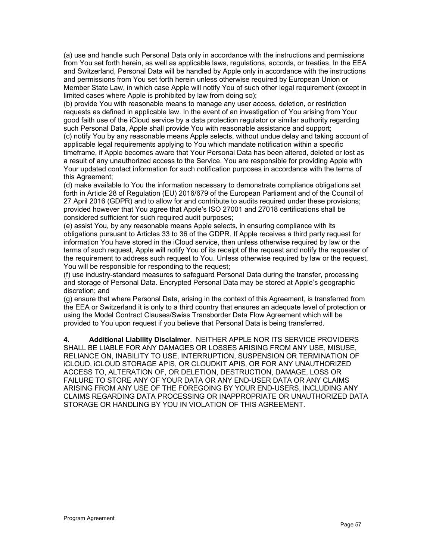(a) use and handle such Personal Data only in accordance with the instructions and permissions from You set forth herein, as well as applicable laws, regulations, accords, or treaties. In the EEA and Switzerland, Personal Data will be handled by Apple only in accordance with the instructions and permissions from You set forth herein unless otherwise required by European Union or Member State Law, in which case Apple will notify You of such other legal requirement (except in limited cases where Apple is prohibited by law from doing so);

(b) provide You with reasonable means to manage any user access, deletion, or restriction requests as defined in applicable law. In the event of an investigation of You arising from Your good faith use of the iCloud service by a data protection regulator or similar authority regarding such Personal Data, Apple shall provide You with reasonable assistance and support;

(c) notify You by any reasonable means Apple selects, without undue delay and taking account of applicable legal requirements applying to You which mandate notification within a specific timeframe, if Apple becomes aware that Your Personal Data has been altered, deleted or lost as a result of any unauthorized access to the Service. You are responsible for providing Apple with Your updated contact information for such notification purposes in accordance with the terms of this Agreement;

(d) make available to You the information necessary to demonstrate compliance obligations set forth in Article 28 of Regulation (EU) 2016/679 of the European Parliament and of the Council of 27 April 2016 (GDPR) and to allow for and contribute to audits required under these provisions; provided however that You agree that Apple's ISO 27001 and 27018 certifications shall be considered sufficient for such required audit purposes;

(e) assist You, by any reasonable means Apple selects, in ensuring compliance with its obligations pursuant to Articles 33 to 36 of the GDPR. If Apple receives a third party request for information You have stored in the iCloud service, then unless otherwise required by law or the terms of such request, Apple will notify You of its receipt of the request and notify the requester of the requirement to address such request to You. Unless otherwise required by law or the request, You will be responsible for responding to the request;

(f) use industry-standard measures to safeguard Personal Data during the transfer, processing and storage of Personal Data. Encrypted Personal Data may be stored at Apple's geographic discretion; and

(g) ensure that where Personal Data, arising in the context of this Agreement, is transferred from the EEA or Switzerland it is only to a third country that ensures an adequate level of protection or using the Model Contract Clauses/Swiss Transborder Data Flow Agreement which will be provided to You upon request if you believe that Personal Data is being transferred.

**4. Additional Liability Disclaimer**. NEITHER APPLE NOR ITS SERVICE PROVIDERS SHALL BE LIABLE FOR ANY DAMAGES OR LOSSES ARISING FROM ANY USE, MISUSE, RELIANCE ON, INABILITY TO USE, INTERRUPTION, SUSPENSION OR TERMINATION OF iCLOUD, iCLOUD STORAGE APIS, OR CLOUDKIT APIS, OR FOR ANY UNAUTHORIZED ACCESS TO, ALTERATION OF, OR DELETION, DESTRUCTION, DAMAGE, LOSS OR FAILURE TO STORE ANY OF YOUR DATA OR ANY END-USER DATA OR ANY CLAIMS ARISING FROM ANY USE OF THE FOREGOING BY YOUR END-USERS, INCLUDING ANY CLAIMS REGARDING DATA PROCESSING OR INAPPROPRIATE OR UNAUTHORIZED DATA STORAGE OR HANDLING BY YOU IN VIOLATION OF THIS AGREEMENT.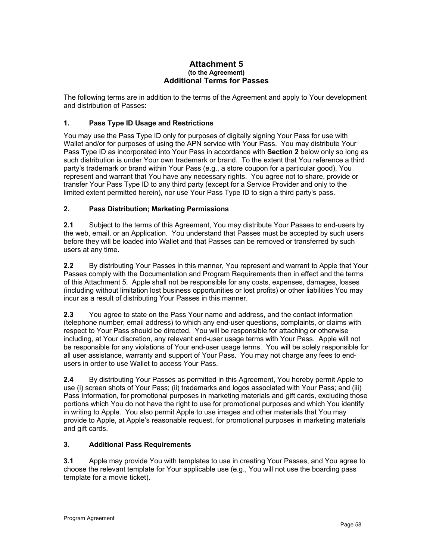#### **Attachment 5 (to the Agreement) Additional Terms for Passes**

The following terms are in addition to the terms of the Agreement and apply to Your development and distribution of Passes:

# **1. Pass Type ID Usage and Restrictions**

You may use the Pass Type ID only for purposes of digitally signing Your Pass for use with Wallet and/or for purposes of using the APN service with Your Pass. You may distribute Your Pass Type ID as incorporated into Your Pass in accordance with **Section 2** below only so long as such distribution is under Your own trademark or brand.To the extent that You reference a third party's trademark or brand within Your Pass (e.g., a store coupon for a particular good), You represent and warrant that You have any necessary rights. You agree not to share, provide or transfer Your Pass Type ID to any third party (except for a Service Provider and only to the limited extent permitted herein), nor use Your Pass Type ID to sign a third party's pass.

#### **2. Pass Distribution; Marketing Permissions**

**2.1** Subject to the terms of this Agreement, You may distribute Your Passes to end-users by the web, email, or an Application. You understand that Passes must be accepted by such users before they will be loaded into Wallet and that Passes can be removed or transferred by such users at any time.

**2.2** By distributing Your Passes in this manner, You represent and warrant to Apple that Your Passes comply with the Documentation and Program Requirements then in effect and the terms of this Attachment 5. Apple shall not be responsible for any costs, expenses, damages, losses (including without limitation lost business opportunities or lost profits) or other liabilities You may incur as a result of distributing Your Passes in this manner.

**2.3** You agree to state on the Pass Your name and address, and the contact information (telephone number; email address) to which any end-user questions, complaints, or claims with respect to Your Pass should be directed. You will be responsible for attaching or otherwise including, at Your discretion, any relevant end-user usage terms with Your Pass. Apple will not be responsible for any violations of Your end-user usage terms. You will be solely responsible for all user assistance, warranty and support of Your Pass. You may not charge any fees to endusers in order to use Wallet to access Your Pass.

**2.4** By distributing Your Passes as permitted in this Agreement, You hereby permit Apple to use (i) screen shots of Your Pass; (ii) trademarks and logos associated with Your Pass; and (iii) Pass Information, for promotional purposes in marketing materials and gift cards, excluding those portions which You do not have the right to use for promotional purposes and which You identify in writing to Apple. You also permit Apple to use images and other materials that You may provide to Apple, at Apple's reasonable request, for promotional purposes in marketing materials and gift cards.

#### **3. Additional Pass Requirements**

**3.1** Apple may provide You with templates to use in creating Your Passes, and You agree to choose the relevant template for Your applicable use (e.g., You will not use the boarding pass template for a movie ticket).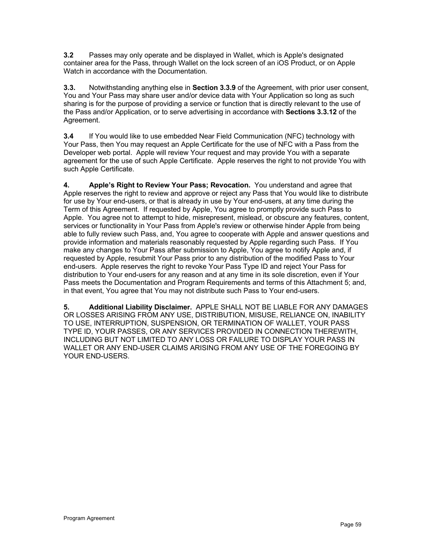**3.2** Passes may only operate and be displayed in Wallet, which is Apple's designated container area for the Pass, through Wallet on the lock screen of an iOS Product, or on Apple Watch in accordance with the Documentation*.* 

**3.3.** Notwithstanding anything else in **Section 3.3.9** of the Agreement, with prior user consent, You and Your Pass may share user and/or device data with Your Application so long as such sharing is for the purpose of providing a service or function that is directly relevant to the use of the Pass and/or Application, or to serve advertising in accordance with **Sections 3.3.12** of the Agreement.

**3.4** If You would like to use embedded Near Field Communication (NFC) technology with Your Pass, then You may request an Apple Certificate for the use of NFC with a Pass from the Developer web portal. Apple will review Your request and may provide You with a separate agreement for the use of such Apple Certificate. Apple reserves the right to not provide You with such Apple Certificate.

**4. Apple's Right to Review Your Pass; Revocation.** You understand and agree that Apple reserves the right to review and approve or reject any Pass that You would like to distribute for use by Your end-users, or that is already in use by Your end-users, at any time during the Term of this Agreement. If requested by Apple, You agree to promptly provide such Pass to Apple. You agree not to attempt to hide, misrepresent, mislead, or obscure any features, content, services or functionality in Your Pass from Apple's review or otherwise hinder Apple from being able to fully review such Pass, and, You agree to cooperate with Apple and answer questions and provide information and materials reasonably requested by Apple regarding such Pass. If You make any changes to Your Pass after submission to Apple, You agree to notify Apple and, if requested by Apple, resubmit Your Pass prior to any distribution of the modified Pass to Your end-users. Apple reserves the right to revoke Your Pass Type ID and reject Your Pass for distribution to Your end-users for any reason and at any time in its sole discretion, even if Your Pass meets the Documentation and Program Requirements and terms of this Attachment 5; and, in that event, You agree that You may not distribute such Pass to Your end-users.

**5. Additional Liability Disclaimer.** APPLE SHALL NOT BE LIABLE FOR ANY DAMAGES OR LOSSES ARISING FROM ANY USE, DISTRIBUTION, MISUSE, RELIANCE ON, INABILITY TO USE, INTERRUPTION, SUSPENSION, OR TERMINATION OF WALLET, YOUR PASS TYPE ID, YOUR PASSES, OR ANY SERVICES PROVIDED IN CONNECTION THEREWITH, INCLUDING BUT NOT LIMITED TO ANY LOSS OR FAILURE TO DISPLAY YOUR PASS IN WALLET OR ANY END-USER CLAIMS ARISING FROM ANY USE OF THE FOREGOING BY YOUR END-USERS.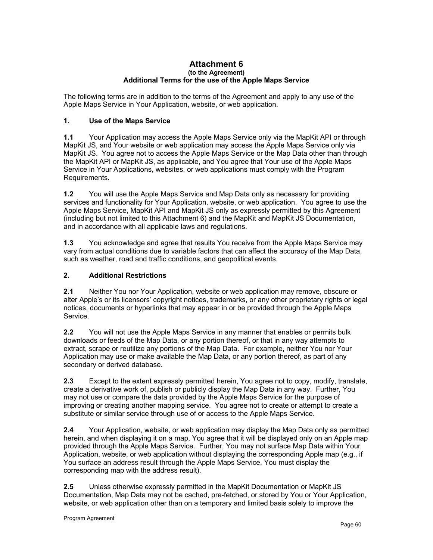#### **Attachment 6 (to the Agreement) Additional Terms for the use of the Apple Maps Service**

The following terms are in addition to the terms of the Agreement and apply to any use of the Apple Maps Service in Your Application, website, or web application.

#### **1. Use of the Maps Service**

**1.1** Your Application may access the Apple Maps Service only via the MapKit API or through MapKit JS, and Your website or web application may access the Apple Maps Service only via MapKit JS. You agree not to access the Apple Maps Service or the Map Data other than through the MapKit API or MapKit JS, as applicable, and You agree that Your use of the Apple Maps Service in Your Applications, websites, or web applications must comply with the Program Requirements.

**1.2** You will use the Apple Maps Service and Map Data only as necessary for providing services and functionality for Your Application, website, or web application. You agree to use the Apple Maps Service, MapKit API and MapKit JS only as expressly permitted by this Agreement (including but not limited to this Attachment 6) and the MapKit and MapKit JS Documentation, and in accordance with all applicable laws and regulations.

**1.3** You acknowledge and agree that results You receive from the Apple Maps Service may vary from actual conditions due to variable factors that can affect the accuracy of the Map Data, such as weather, road and traffic conditions, and geopolitical events.

#### **2. Additional Restrictions**

**2.1** Neither You nor Your Application, website or web application may remove, obscure or alter Apple's or its licensors' copyright notices, trademarks, or any other proprietary rights or legal notices, documents or hyperlinks that may appear in or be provided through the Apple Maps Service.

**2.2** You will not use the Apple Maps Service in any manner that enables or permits bulk downloads or feeds of the Map Data, or any portion thereof, or that in any way attempts to extract, scrape or reutilize any portions of the Map Data. For example, neither You nor Your Application may use or make available the Map Data, or any portion thereof, as part of any secondary or derived database.

**2.3** Except to the extent expressly permitted herein, You agree not to copy, modify, translate, create a derivative work of, publish or publicly display the Map Data in any way. Further, You may not use or compare the data provided by the Apple Maps Service for the purpose of improving or creating another mapping service. You agree not to create or attempt to create a substitute or similar service through use of or access to the Apple Maps Service.

**2.4** Your Application, website, or web application may display the Map Data only as permitted herein, and when displaying it on a map, You agree that it will be displayed only on an Apple map provided through the Apple Maps Service. Further, You may not surface Map Data within Your Application, website, or web application without displaying the corresponding Apple map (e.g., if You surface an address result through the Apple Maps Service, You must display the corresponding map with the address result).

**2.5** Unless otherwise expressly permitted in the MapKit Documentation or MapKit JS Documentation, Map Data may not be cached, pre-fetched, or stored by You or Your Application, website, or web application other than on a temporary and limited basis solely to improve the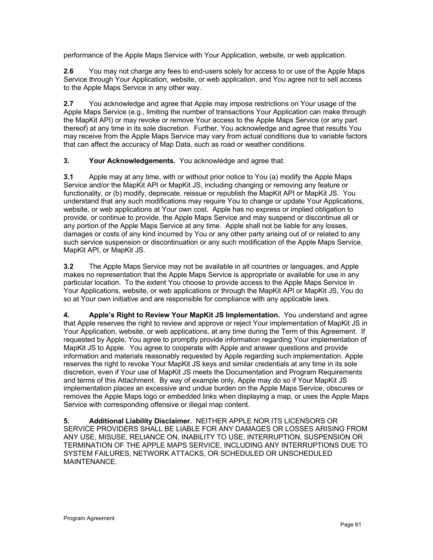performance of the Apple Maps Service with Your Application, website, or web application.

**2.6** You may not charge any fees to end-users solely for access to or use of the Apple Maps Service through Your Application, website, or web application, and You agree not to sell access to the Apple Maps Service in any other way.

**2.7** You acknowledge and agree that Apple may impose restrictions on Your usage of the Apple Maps Service (e.g., limiting the number of transactions Your Application can make through the MapKit API) or may revoke or remove Your access to the Apple Maps Service (or any part thereof) at any time in its sole discretion. Further, You acknowledge and agree that results You may receive from the Apple Maps Service may vary from actual conditions due to variable factors that can affect the accuracy of Map Data, such as road or weather conditions.

#### **3. Your Acknowledgements.** You acknowledge and agree that:

**3.1** Apple may at any time, with or without prior notice to You (a) modify the Apple Maps Service and/or the MapKit API or MapKit JS, including changing or removing any feature or functionality, or (b) modify, deprecate, reissue or republish the MapKit API or MapKit JS. You understand that any such modifications may require You to change or update Your Applications, website, or web applications at Your own cost. Apple has no express or implied obligation to provide, or continue to provide, the Apple Maps Service and may suspend or discontinue all or any portion of the Apple Maps Service at any time. Apple shall not be liable for any losses, damages or costs of any kind incurred by You or any other party arising out of or related to any such service suspension or discontinuation or any such modification of the Apple Maps Service, MapKit API, or MapKit JS.

**3.2** The Apple Maps Service may not be available in all countries or languages, and Apple makes no representation that the Apple Maps Service is appropriate or available for use in any particular location. To the extent You choose to provide access to the Apple Maps Service in Your Applications, website, or web applications or through the MapKit API or MapKit JS, You do so at Your own initiative and are responsible for compliance with any applicable laws.

**4. Apple's Right to Review Your MapKit JS Implementation.** You understand and agree that Apple reserves the right to review and approve or reject Your implementation of MapKit JS in Your Application, website, or web applications, at any time during the Term of this Agreement. If requested by Apple, You agree to promptly provide information regarding Your implementation of MapKit JS to Apple. You agree to cooperate with Apple and answer questions and provide information and materials reasonably requested by Apple regarding such implementation. Apple reserves the right to revoke Your MapKit JS keys and similar credentials at any time in its sole discretion, even if Your use of MapKit JS meets the Documentation and Program Requirements and terms of this Attachment. By way of example only, Apple may do so if Your MapKit JS implementation places an excessive and undue burden on the Apple Maps Service, obscures or removes the Apple Maps logo or embedded links when displaying a map, or uses the Apple Maps Service with corresponding offensive or illegal map content.

**5. Additional Liability Disclaimer.** NEITHER APPLE NOR ITS LICENSORS OR SERVICE PROVIDERS SHALL BE LIABLE FOR ANY DAMAGES OR LOSSES ARISING FROM ANY USE, MISUSE, RELIANCE ON, INABILITY TO USE, INTERRUPTION, SUSPENSION OR TERMINATION OF THE APPLE MAPS SERVICE, INCLUDING ANY INTERRUPTIONS DUE TO SYSTEM FAILURES, NETWORK ATTACKS, OR SCHEDULED OR UNSCHEDULED MAINTENANCE.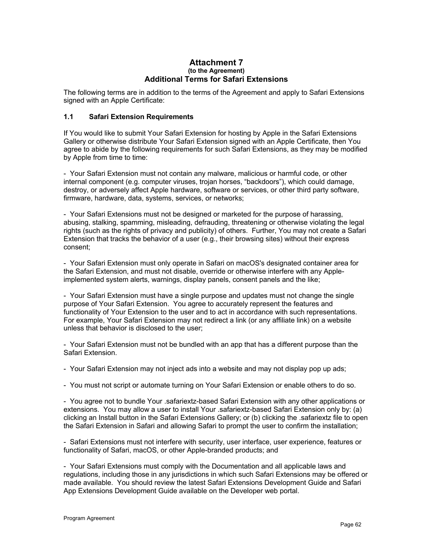#### **Attachment 7 (to the Agreement) Additional Terms for Safari Extensions**

The following terms are in addition to the terms of the Agreement and apply to Safari Extensions signed with an Apple Certificate:

#### **1.1 Safari Extension Requirements**

If You would like to submit Your Safari Extension for hosting by Apple in the Safari Extensions Gallery or otherwise distribute Your Safari Extension signed with an Apple Certificate, then You agree to abide by the following requirements for such Safari Extensions, as they may be modified by Apple from time to time:

- Your Safari Extension must not contain any malware, malicious or harmful code, or other internal component (e.g. computer viruses, trojan horses, "backdoors"), which could damage, destroy, or adversely affect Apple hardware, software or services, or other third party software, firmware, hardware, data, systems, services, or networks;

- Your Safari Extensions must not be designed or marketed for the purpose of harassing, abusing, stalking, spamming, misleading, defrauding, threatening or otherwise violating the legal rights (such as the rights of privacy and publicity) of others. Further, You may not create a Safari Extension that tracks the behavior of a user (e.g., their browsing sites) without their express consent;

- Your Safari Extension must only operate in Safari on macOS's designated container area for the Safari Extension, and must not disable, override or otherwise interfere with any Appleimplemented system alerts, warnings, display panels, consent panels and the like;

- Your Safari Extension must have a single purpose and updates must not change the single purpose of Your Safari Extension. You agree to accurately represent the features and functionality of Your Extension to the user and to act in accordance with such representations. For example, Your Safari Extension may not redirect a link (or any affiliate link) on a website unless that behavior is disclosed to the user;

- Your Safari Extension must not be bundled with an app that has a different purpose than the Safari Extension.

- Your Safari Extension may not inject ads into a website and may not display pop up ads;

- You must not script or automate turning on Your Safari Extension or enable others to do so.

- You agree not to bundle Your .safariextz-based Safari Extension with any other applications or extensions. You may allow a user to install Your .safariextz-based Safari Extension only by: (a) clicking an Install button in the Safari Extensions Gallery; or (b) clicking the .safariextz file to open the Safari Extension in Safari and allowing Safari to prompt the user to confirm the installation;

- Safari Extensions must not interfere with security, user interface, user experience, features or functionality of Safari, macOS, or other Apple-branded products; and

- Your Safari Extensions must comply with the Documentation and all applicable laws and regulations, including those in any jurisdictions in which such Safari Extensions may be offered or made available. You should review the latest Safari Extensions Development Guide and Safari App Extensions Development Guide available on the Developer web portal.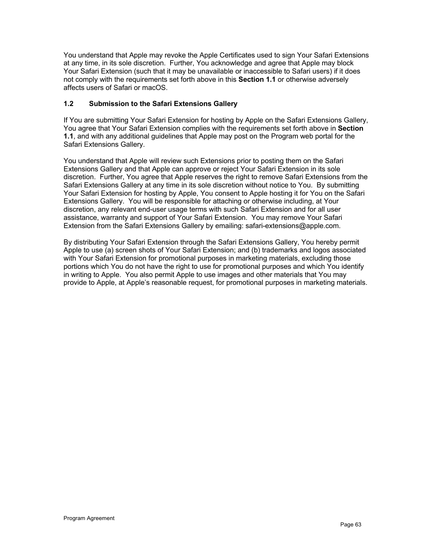You understand that Apple may revoke the Apple Certificates used to sign Your Safari Extensions at any time, in its sole discretion. Further, You acknowledge and agree that Apple may block Your Safari Extension (such that it may be unavailable or inaccessible to Safari users) if it does not comply with the requirements set forth above in this **Section 1.1** or otherwise adversely affects users of Safari or macOS.

#### **1.2 Submission to the Safari Extensions Gallery**

If You are submitting Your Safari Extension for hosting by Apple on the Safari Extensions Gallery, You agree that Your Safari Extension complies with the requirements set forth above in **Section 1.1**, and with any additional guidelines that Apple may post on the Program web portal for the Safari Extensions Gallery.

You understand that Apple will review such Extensions prior to posting them on the Safari Extensions Gallery and that Apple can approve or reject Your Safari Extension in its sole discretion. Further, You agree that Apple reserves the right to remove Safari Extensions from the Safari Extensions Gallery at any time in its sole discretion without notice to You. By submitting Your Safari Extension for hosting by Apple, You consent to Apple hosting it for You on the Safari Extensions Gallery. You will be responsible for attaching or otherwise including, at Your discretion, any relevant end-user usage terms with such Safari Extension and for all user assistance, warranty and support of Your Safari Extension. You may remove Your Safari Extension from the Safari Extensions Gallery by emailing: safari-extensions@apple.com.

By distributing Your Safari Extension through the Safari Extensions Gallery, You hereby permit Apple to use (a) screen shots of Your Safari Extension; and (b) trademarks and logos associated with Your Safari Extension for promotional purposes in marketing materials, excluding those portions which You do not have the right to use for promotional purposes and which You identify in writing to Apple. You also permit Apple to use images and other materials that You may provide to Apple, at Apple's reasonable request, for promotional purposes in marketing materials.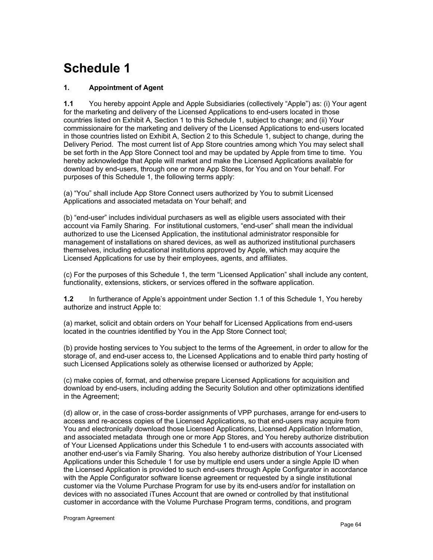# **Schedule 1**

# **1. Appointment of Agent**

**1.1** You hereby appoint Apple and Apple Subsidiaries (collectively "Apple") as: (i) Your agent for the marketing and delivery of the Licensed Applications to end-users located in those countries listed on Exhibit A, Section 1 to this Schedule 1, subject to change; and (ii) Your commissionaire for the marketing and delivery of the Licensed Applications to end-users located in those countries listed on Exhibit A, Section 2 to this Schedule 1, subject to change, during the Delivery Period. The most current list of App Store countries among which You may select shall be set forth in the App Store Connect tool and may be updated by Apple from time to time. You hereby acknowledge that Apple will market and make the Licensed Applications available for download by end-users, through one or more App Stores, for You and on Your behalf. For purposes of this Schedule 1, the following terms apply:

(a) "You" shall include App Store Connect users authorized by You to submit Licensed Applications and associated metadata on Your behalf; and

(b) "end-user" includes individual purchasers as well as eligible users associated with their account via Family Sharing. For institutional customers, "end-user" shall mean the individual authorized to use the Licensed Application, the institutional administrator responsible for management of installations on shared devices, as well as authorized institutional purchasers themselves, including educational institutions approved by Apple, which may acquire the Licensed Applications for use by their employees, agents, and affiliates.

(c) For the purposes of this Schedule 1, the term "Licensed Application" shall include any content, functionality, extensions, stickers, or services offered in the software application.

**1.2** In furtherance of Apple's appointment under Section 1.1 of this Schedule 1, You hereby authorize and instruct Apple to:

(a) market, solicit and obtain orders on Your behalf for Licensed Applications from end-users located in the countries identified by You in the App Store Connect tool;

(b) provide hosting services to You subject to the terms of the Agreement, in order to allow for the storage of, and end-user access to, the Licensed Applications and to enable third party hosting of such Licensed Applications solely as otherwise licensed or authorized by Apple;

(c) make copies of, format, and otherwise prepare Licensed Applications for acquisition and download by end-users, including adding the Security Solution and other optimizations identified in the Agreement;

(d) allow or, in the case of cross-border assignments of VPP purchases, arrange for end-users to access and re-access copies of the Licensed Applications, so that end-users may acquire from You and electronically download those Licensed Applications, Licensed Application Information, and associated metadata through one or more App Stores, and You hereby authorize distribution of Your Licensed Applications under this Schedule 1 to end-users with accounts associated with another end-user's via Family Sharing. You also hereby authorize distribution of Your Licensed Applications under this Schedule 1 for use by multiple end users under a single Apple ID when the Licensed Application is provided to such end-users through Apple Configurator in accordance with the Apple Configurator software license agreement or requested by a single institutional customer via the Volume Purchase Program for use by its end-users and/or for installation on devices with no associated iTunes Account that are owned or controlled by that institutional customer in accordance with the Volume Purchase Program terms, conditions, and program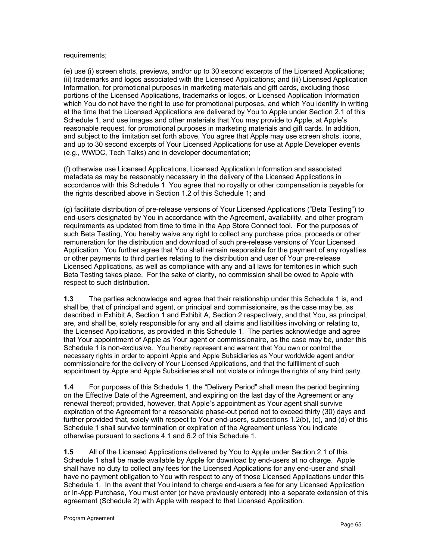#### requirements;

(e) use (i) screen shots, previews, and/or up to 30 second excerpts of the Licensed Applications; (ii) trademarks and logos associated with the Licensed Applications; and (iii) Licensed Application Information, for promotional purposes in marketing materials and gift cards, excluding those portions of the Licensed Applications, trademarks or logos, or Licensed Application Information which You do not have the right to use for promotional purposes, and which You identify in writing at the time that the Licensed Applications are delivered by You to Apple under Section 2.1 of this Schedule 1, and use images and other materials that You may provide to Apple, at Apple's reasonable request, for promotional purposes in marketing materials and gift cards. In addition, and subject to the limitation set forth above, You agree that Apple may use screen shots, icons, and up to 30 second excerpts of Your Licensed Applications for use at Apple Developer events (e.g., WWDC, Tech Talks) and in developer documentation;

(f) otherwise use Licensed Applications, Licensed Application Information and associated metadata as may be reasonably necessary in the delivery of the Licensed Applications in accordance with this Schedule 1. You agree that no royalty or other compensation is payable for the rights described above in Section 1.2 of this Schedule 1; and

(g) facilitate distribution of pre-release versions of Your Licensed Applications ("Beta Testing") to end-users designated by You in accordance with the Agreement, availability, and other program requirements as updated from time to time in the App Store Connect tool. For the purposes of such Beta Testing, You hereby waive any right to collect any purchase price, proceeds or other remuneration for the distribution and download of such pre-release versions of Your Licensed Application. You further agree that You shall remain responsible for the payment of any royalties or other payments to third parties relating to the distribution and user of Your pre-release Licensed Applications, as well as compliance with any and all laws for territories in which such Beta Testing takes place. For the sake of clarity, no commission shall be owed to Apple with respect to such distribution.

**1.3** The parties acknowledge and agree that their relationship under this Schedule 1 is, and shall be, that of principal and agent, or principal and commissionaire, as the case may be, as described in Exhibit A, Section 1 and Exhibit A, Section 2 respectively, and that You, as principal, are, and shall be, solely responsible for any and all claims and liabilities involving or relating to, the Licensed Applications, as provided in this Schedule 1. The parties acknowledge and agree that Your appointment of Apple as Your agent or commissionaire, as the case may be, under this Schedule 1 is non-exclusive. You hereby represent and warrant that You own or control the necessary rights in order to appoint Apple and Apple Subsidiaries as Your worldwide agent and/or commissionaire for the delivery of Your Licensed Applications, and that the fulfillment of such appointment by Apple and Apple Subsidiaries shall not violate or infringe the rights of any third party.

**1.4** For purposes of this Schedule 1, the "Delivery Period" shall mean the period beginning on the Effective Date of the Agreement, and expiring on the last day of the Agreement or any renewal thereof; provided, however, that Apple's appointment as Your agent shall survive expiration of the Agreement for a reasonable phase-out period not to exceed thirty (30) days and further provided that, solely with respect to Your end-users, subsections 1.2(b), (c), and (d) of this Schedule 1 shall survive termination or expiration of the Agreement unless You indicate otherwise pursuant to sections 4.1 and 6.2 of this Schedule 1.

**1.5** All of the Licensed Applications delivered by You to Apple under Section 2.1 of this Schedule 1 shall be made available by Apple for download by end-users at no charge. Apple shall have no duty to collect any fees for the Licensed Applications for any end-user and shall have no payment obligation to You with respect to any of those Licensed Applications under this Schedule 1. In the event that You intend to charge end-users a fee for any Licensed Application or In-App Purchase, You must enter (or have previously entered) into a separate extension of this agreement (Schedule 2) with Apple with respect to that Licensed Application.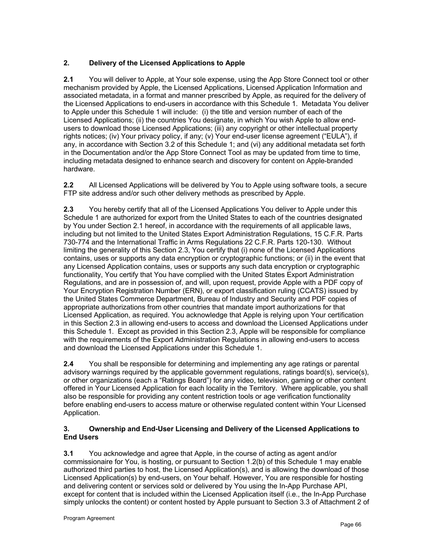# **2. Delivery of the Licensed Applications to Apple**

**2.1** You will deliver to Apple, at Your sole expense, using the App Store Connect tool or other mechanism provided by Apple, the Licensed Applications, Licensed Application Information and associated metadata, in a format and manner prescribed by Apple, as required for the delivery of the Licensed Applications to end-users in accordance with this Schedule 1. Metadata You deliver to Apple under this Schedule 1 will include: (i) the title and version number of each of the Licensed Applications; (ii) the countries You designate, in which You wish Apple to allow endusers to download those Licensed Applications; (iii) any copyright or other intellectual property rights notices; (iv) Your privacy policy, if any; (v) Your end-user license agreement ("EULA"), if any, in accordance with Section 3.2 of this Schedule 1; and (vi) any additional metadata set forth in the Documentation and/or the App Store Connect Tool as may be updated from time to time, including metadata designed to enhance search and discovery for content on Apple-branded hardware.

**2.2** All Licensed Applications will be delivered by You to Apple using software tools, a secure FTP site address and/or such other delivery methods as prescribed by Apple.

**2.3** You hereby certify that all of the Licensed Applications You deliver to Apple under this Schedule 1 are authorized for export from the United States to each of the countries designated by You under Section 2.1 hereof, in accordance with the requirements of all applicable laws, including but not limited to the United States Export Administration Regulations, 15 C.F.R. Parts 730-774 and the International Traffic in Arms Regulations 22 C.F.R. Parts 120-130. Without limiting the generality of this Section 2.3, You certify that (i) none of the Licensed Applications contains, uses or supports any data encryption or cryptographic functions; or (ii) in the event that any Licensed Application contains, uses or supports any such data encryption or cryptographic functionality, You certify that You have complied with the United States Export Administration Regulations, and are in possession of, and will, upon request, provide Apple with a PDF copy of Your Encryption Registration Number (ERN), or export classification ruling (CCATS) issued by the United States Commerce Department, Bureau of Industry and Security and PDF copies of appropriate authorizations from other countries that mandate import authorizations for that Licensed Application, as required. You acknowledge that Apple is relying upon Your certification in this Section 2.3 in allowing end-users to access and download the Licensed Applications under this Schedule 1. Except as provided in this Section 2.3, Apple will be responsible for compliance with the requirements of the Export Administration Regulations in allowing end-users to access and download the Licensed Applications under this Schedule 1.

**2.4** You shall be responsible for determining and implementing any age ratings or parental advisory warnings required by the applicable government regulations, ratings board(s), service(s), or other organizations (each a "Ratings Board") for any video, television, gaming or other content offered in Your Licensed Application for each locality in the Territory. Where applicable, you shall also be responsible for providing any content restriction tools or age verification functionality before enabling end-users to access mature or otherwise regulated content within Your Licensed Application.

#### **3. Ownership and End-User Licensing and Delivery of the Licensed Applications to End Users**

**3.1** You acknowledge and agree that Apple, in the course of acting as agent and/or commissionaire for You, is hosting, or pursuant to Section 1.2(b) of this Schedule 1 may enable authorized third parties to host, the Licensed Application(s), and is allowing the download of those Licensed Application(s) by end-users, on Your behalf. However, You are responsible for hosting and delivering content or services sold or delivered by You using the In-App Purchase API, except for content that is included within the Licensed Application itself (i.e., the In-App Purchase simply unlocks the content) or content hosted by Apple pursuant to Section 3.3 of Attachment 2 of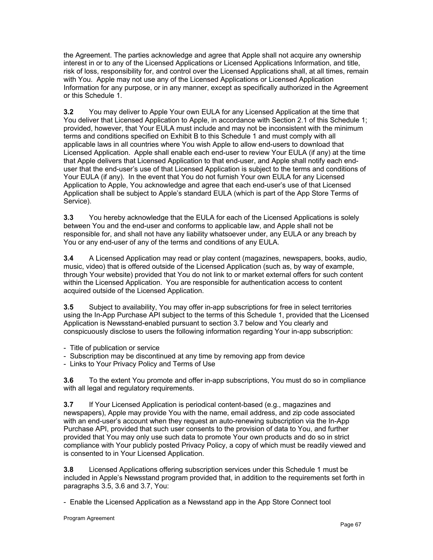the Agreement. The parties acknowledge and agree that Apple shall not acquire any ownership interest in or to any of the Licensed Applications or Licensed Applications Information, and title, risk of loss, responsibility for, and control over the Licensed Applications shall, at all times, remain with You. Apple may not use any of the Licensed Applications or Licensed Application Information for any purpose, or in any manner, except as specifically authorized in the Agreement or this Schedule 1.

**3.2** You may deliver to Apple Your own EULA for any Licensed Application at the time that You deliver that Licensed Application to Apple, in accordance with Section 2.1 of this Schedule 1; provided, however, that Your EULA must include and may not be inconsistent with the minimum terms and conditions specified on Exhibit B to this Schedule 1 and must comply with all applicable laws in all countries where You wish Apple to allow end-users to download that Licensed Application. Apple shall enable each end-user to review Your EULA (if any) at the time that Apple delivers that Licensed Application to that end-user, and Apple shall notify each enduser that the end-user's use of that Licensed Application is subject to the terms and conditions of Your EULA (if any). In the event that You do not furnish Your own EULA for any Licensed Application to Apple, You acknowledge and agree that each end-user's use of that Licensed Application shall be subject to Apple's standard EULA (which is part of the App Store Terms of Service).

**3.3** You hereby acknowledge that the EULA for each of the Licensed Applications is solely between You and the end-user and conforms to applicable law, and Apple shall not be responsible for, and shall not have any liability whatsoever under, any EULA or any breach by You or any end-user of any of the terms and conditions of any EULA.

**3.4** A Licensed Application may read or play content (magazines, newspapers, books, audio, music, video) that is offered outside of the Licensed Application (such as, by way of example, through Your website) provided that You do not link to or market external offers for such content within the Licensed Application. You are responsible for authentication access to content acquired outside of the Licensed Application.

**3.5** Subject to availability, You may offer in-app subscriptions for free in select territories using the In-App Purchase API subject to the terms of this Schedule 1, provided that the Licensed Application is Newsstand-enabled pursuant to section 3.7 below and You clearly and conspicuously disclose to users the following information regarding Your in-app subscription:

- Title of publication or service
- Subscription may be discontinued at any time by removing app from device
- Links to Your Privacy Policy and Terms of Use

**3.6** To the extent You promote and offer in-app subscriptions, You must do so in compliance with all legal and regulatory requirements.

**3.7** If Your Licensed Application is periodical content-based (e.g., magazines and newspapers), Apple may provide You with the name, email address, and zip code associated with an end-user's account when they request an auto-renewing subscription via the In-App Purchase API, provided that such user consents to the provision of data to You, and further provided that You may only use such data to promote Your own products and do so in strict compliance with Your publicly posted Privacy Policy, a copy of which must be readily viewed and is consented to in Your Licensed Application.

**3.8** Licensed Applications offering subscription services under this Schedule 1 must be included in Apple's Newsstand program provided that, in addition to the requirements set forth in paragraphs 3.5, 3.6 and 3.7, You:

- Enable the Licensed Application as a Newsstand app in the App Store Connect tool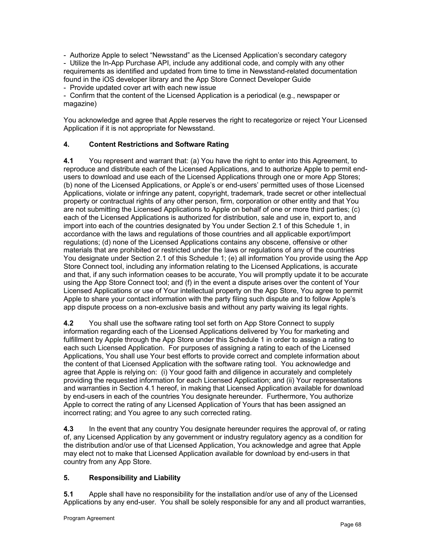- Authorize Apple to select "Newsstand" as the Licensed Application's secondary category

- Utilize the In-App Purchase API, include any additional code, and comply with any other requirements as identified and updated from time to time in Newsstand-related documentation found in the iOS developer library and the App Store Connect Developer Guide

- Provide updated cover art with each new issue

- Confirm that the content of the Licensed Application is a periodical (e.g., newspaper or magazine)

You acknowledge and agree that Apple reserves the right to recategorize or reject Your Licensed Application if it is not appropriate for Newsstand.

## **4. Content Restrictions and Software Rating**

**4.1** You represent and warrant that: (a) You have the right to enter into this Agreement, to reproduce and distribute each of the Licensed Applications, and to authorize Apple to permit endusers to download and use each of the Licensed Applications through one or more App Stores; (b) none of the Licensed Applications, or Apple's or end-users' permitted uses of those Licensed Applications, violate or infringe any patent, copyright, trademark, trade secret or other intellectual property or contractual rights of any other person, firm, corporation or other entity and that You are not submitting the Licensed Applications to Apple on behalf of one or more third parties; (c) each of the Licensed Applications is authorized for distribution, sale and use in, export to, and import into each of the countries designated by You under Section 2.1 of this Schedule 1, in accordance with the laws and regulations of those countries and all applicable export/import regulations; (d) none of the Licensed Applications contains any obscene, offensive or other materials that are prohibited or restricted under the laws or regulations of any of the countries You designate under Section 2.1 of this Schedule 1; (e) all information You provide using the App Store Connect tool, including any information relating to the Licensed Applications, is accurate and that, if any such information ceases to be accurate, You will promptly update it to be accurate using the App Store Connect tool; and (f) in the event a dispute arises over the content of Your Licensed Applications or use of Your intellectual property on the App Store, You agree to permit Apple to share your contact information with the party filing such dispute and to follow Apple's app dispute process on a non-exclusive basis and without any party waiving its legal rights.

**4.2** You shall use the software rating tool set forth on App Store Connect to supply information regarding each of the Licensed Applications delivered by You for marketing and fulfillment by Apple through the App Store under this Schedule 1 in order to assign a rating to each such Licensed Application. For purposes of assigning a rating to each of the Licensed Applications, You shall use Your best efforts to provide correct and complete information about the content of that Licensed Application with the software rating tool. You acknowledge and agree that Apple is relying on: (i) Your good faith and diligence in accurately and completely providing the requested information for each Licensed Application; and (ii) Your representations and warranties in Section 4.1 hereof, in making that Licensed Application available for download by end-users in each of the countries You designate hereunder. Furthermore, You authorize Apple to correct the rating of any Licensed Application of Yours that has been assigned an incorrect rating; and You agree to any such corrected rating.

**4.3** In the event that any country You designate hereunder requires the approval of, or rating of, any Licensed Application by any government or industry regulatory agency as a condition for the distribution and/or use of that Licensed Application, You acknowledge and agree that Apple may elect not to make that Licensed Application available for download by end-users in that country from any App Store.

#### **5. Responsibility and Liability**

**5.1** Apple shall have no responsibility for the installation and/or use of any of the Licensed Applications by any end-user. You shall be solely responsible for any and all product warranties,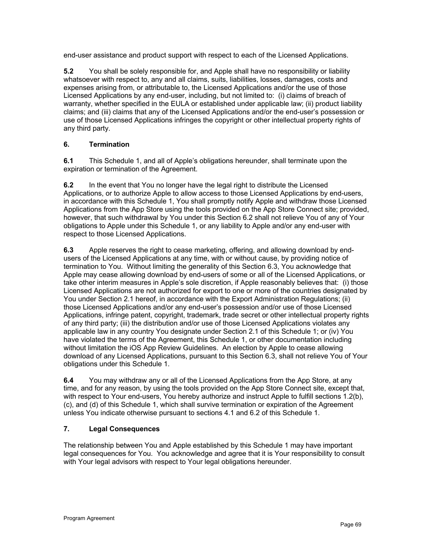end-user assistance and product support with respect to each of the Licensed Applications.

**5.2** You shall be solely responsible for, and Apple shall have no responsibility or liability whatsoever with respect to, any and all claims, suits, liabilities, losses, damages, costs and expenses arising from, or attributable to, the Licensed Applications and/or the use of those Licensed Applications by any end-user, including, but not limited to: (i) claims of breach of warranty, whether specified in the EULA or established under applicable law; (ii) product liability claims; and (iii) claims that any of the Licensed Applications and/or the end-user's possession or use of those Licensed Applications infringes the copyright or other intellectual property rights of any third party.

# **6. Termination**

**6.1** This Schedule 1, and all of Apple's obligations hereunder, shall terminate upon the expiration or termination of the Agreement.

**6.2** In the event that You no longer have the legal right to distribute the Licensed Applications, or to authorize Apple to allow access to those Licensed Applications by end-users, in accordance with this Schedule 1, You shall promptly notify Apple and withdraw those Licensed Applications from the App Store using the tools provided on the App Store Connect site; provided, however, that such withdrawal by You under this Section 6.2 shall not relieve You of any of Your obligations to Apple under this Schedule 1, or any liability to Apple and/or any end-user with respect to those Licensed Applications.

**6.3** Apple reserves the right to cease marketing, offering, and allowing download by endusers of the Licensed Applications at any time, with or without cause, by providing notice of termination to You. Without limiting the generality of this Section 6.3, You acknowledge that Apple may cease allowing download by end-users of some or all of the Licensed Applications, or take other interim measures in Apple's sole discretion, if Apple reasonably believes that: (i) those Licensed Applications are not authorized for export to one or more of the countries designated by You under Section 2.1 hereof, in accordance with the Export Administration Regulations; (ii) those Licensed Applications and/or any end-user's possession and/or use of those Licensed Applications, infringe patent, copyright, trademark, trade secret or other intellectual property rights of any third party; (iii) the distribution and/or use of those Licensed Applications violates any applicable law in any country You designate under Section 2.1 of this Schedule 1; or (iv) You have violated the terms of the Agreement, this Schedule 1, or other documentation including without limitation the iOS App Review Guidelines. An election by Apple to cease allowing download of any Licensed Applications, pursuant to this Section 6.3, shall not relieve You of Your obligations under this Schedule 1.

**6.4** You may withdraw any or all of the Licensed Applications from the App Store, at any time, and for any reason, by using the tools provided on the App Store Connect site, except that, with respect to Your end-users, You hereby authorize and instruct Apple to fulfill sections 1.2(b), (c), and (d) of this Schedule 1, which shall survive termination or expiration of the Agreement unless You indicate otherwise pursuant to sections 4.1 and 6.2 of this Schedule 1.

#### **7. Legal Consequences**

The relationship between You and Apple established by this Schedule 1 may have important legal consequences for You. You acknowledge and agree that it is Your responsibility to consult with Your legal advisors with respect to Your legal obligations hereunder.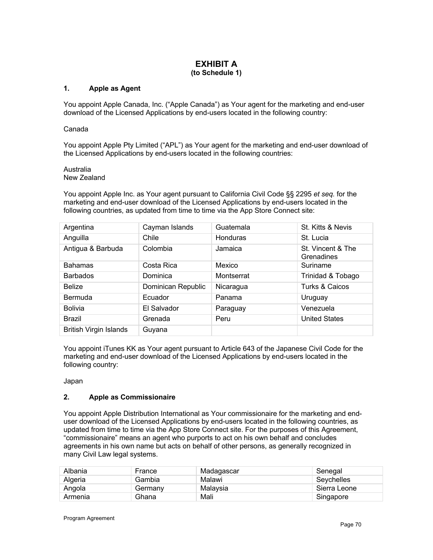### **EXHIBIT A (to Schedule 1)**

#### **1. Apple as Agent**

You appoint Apple Canada, Inc. ("Apple Canada") as Your agent for the marketing and end-user download of the Licensed Applications by end-users located in the following country:

#### Canada

You appoint Apple Pty Limited ("APL") as Your agent for the marketing and end-user download of the Licensed Applications by end-users located in the following countries:

Australia New Zealand

You appoint Apple Inc. as Your agent pursuant to California Civil Code §§ 2295 *et seq.* for the marketing and end-user download of the Licensed Applications by end-users located in the following countries, as updated from time to time via the App Store Connect site:

| Argentina                     | Cayman Islands     | Guatemala       | St. Kitts & Nevis               |
|-------------------------------|--------------------|-----------------|---------------------------------|
| Anguilla                      | Chile              | <b>Honduras</b> | St. Lucia                       |
| Antigua & Barbuda             | Colombia           | Jamaica         | St. Vincent & The<br>Grenadines |
| <b>Bahamas</b>                | Costa Rica         | Mexico          | Suriname                        |
| <b>Barbados</b>               | Dominica           | Montserrat      | Trinidad & Tobago               |
| <b>Belize</b>                 | Dominican Republic | Nicaragua       | Turks & Caicos                  |
| Bermuda                       | Ecuador            | Panama          | Uruguay                         |
| <b>Bolivia</b>                | El Salvador        | Paraguay        | Venezuela                       |
| <b>Brazil</b>                 | Grenada            | Peru            | <b>United States</b>            |
| <b>British Virgin Islands</b> | Guyana             |                 |                                 |

You appoint iTunes KK as Your agent pursuant to Article 643 of the Japanese Civil Code for the marketing and end-user download of the Licensed Applications by end-users located in the following country:

Japan

#### **2. Apple as Commissionaire**

You appoint Apple Distribution International as Your commissionaire for the marketing and enduser download of the Licensed Applications by end-users located in the following countries, as updated from time to time via the App Store Connect site. For the purposes of this Agreement, "commissionaire" means an agent who purports to act on his own behalf and concludes agreements in his own name but acts on behalf of other persons, as generally recognized in many Civil Law legal systems.

| Albania | France  | Madagascar | Senegal      |
|---------|---------|------------|--------------|
| Algeria | Gambia  | Malawi     | Seychelles   |
| Angola  | Germanv | Malavsia   | Sierra Leone |
| Armenia | Ghana   | Mali       | Singapore    |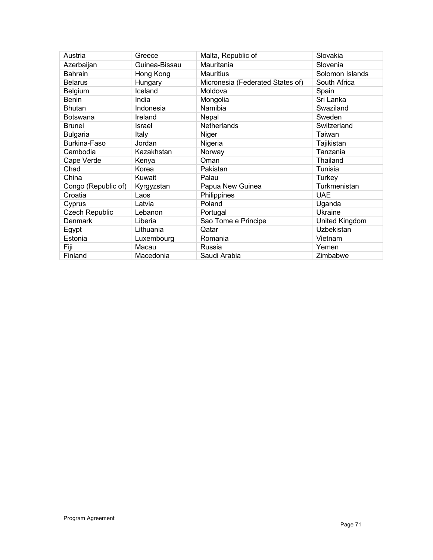| Austria               | Greece        | Malta, Republic of               | Slovakia        |
|-----------------------|---------------|----------------------------------|-----------------|
| Azerbaijan            | Guinea-Bissau | Mauritania                       | Slovenia        |
| Bahrain               | Hong Kong     | <b>Mauritius</b>                 | Solomon Islands |
| <b>Belarus</b>        | Hungary       | Micronesia (Federated States of) | South Africa    |
| Belgium               | Iceland       | Moldova                          | Spain           |
| <b>Benin</b>          | India         | Mongolia                         | Sri Lanka       |
| Bhutan                | Indonesia     | Namibia                          | Swaziland       |
| <b>Botswana</b>       | Ireland       | Nepal                            | Sweden          |
| Brunei                | Israel        | Netherlands                      | Switzerland     |
| <b>Bulgaria</b>       | Italy         | Niger                            | Taiwan          |
| Burkina-Faso          | Jordan        | Nigeria                          | Tajikistan      |
| Cambodia              | Kazakhstan    | Norway                           | Tanzania        |
| Cape Verde            | Kenya         | Oman                             | Thailand        |
| Chad                  | Korea         | Pakistan                         | Tunisia         |
| China                 | Kuwait        | Palau                            | Turkey          |
| Congo (Republic of)   | Kyrgyzstan    | Papua New Guinea                 | Turkmenistan    |
| Croatia               | Laos          | Philippines                      | <b>UAE</b>      |
| Cyprus                | Latvia        | Poland                           | Uganda          |
| <b>Czech Republic</b> | Lebanon       | Portugal                         | Ukraine         |
| <b>Denmark</b>        | Liberia       | Sao Tome e Principe              | United Kingdom  |
| Egypt                 | Lithuania     | Qatar                            | Uzbekistan      |
| Estonia               | Luxembourg    | Romania                          | Vietnam         |
| Fiji                  | Macau         | Russia                           | Yemen           |
| Finland               | Macedonia     | Saudi Arabia                     | Zimbabwe        |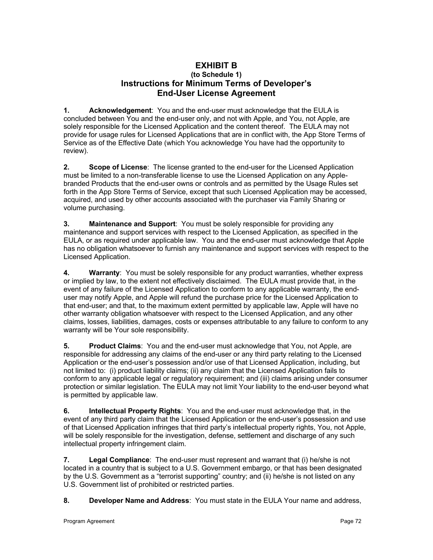# **EXHIBIT B (to Schedule 1) Instructions for Minimum Terms of Developer's End-User License Agreement**

**1. Acknowledgement**: You and the end-user must acknowledge that the EULA is concluded between You and the end-user only, and not with Apple, and You, not Apple, are solely responsible for the Licensed Application and the content thereof. The EULA may not provide for usage rules for Licensed Applications that are in conflict with, the App Store Terms of Service as of the Effective Date (which You acknowledge You have had the opportunity to review).

**2. Scope of License**: The license granted to the end-user for the Licensed Application must be limited to a non-transferable license to use the Licensed Application on any Applebranded Products that the end-user owns or controls and as permitted by the Usage Rules set forth in the App Store Terms of Service, except that such Licensed Application may be accessed, acquired, and used by other accounts associated with the purchaser via Family Sharing or volume purchasing.

**3. Maintenance and Support**: You must be solely responsible for providing any maintenance and support services with respect to the Licensed Application, as specified in the EULA, or as required under applicable law. You and the end-user must acknowledge that Apple has no obligation whatsoever to furnish any maintenance and support services with respect to the Licensed Application.

**4. Warranty**: You must be solely responsible for any product warranties, whether express or implied by law, to the extent not effectively disclaimed. The EULA must provide that, in the event of any failure of the Licensed Application to conform to any applicable warranty, the enduser may notify Apple, and Apple will refund the purchase price for the Licensed Application to that end-user; and that, to the maximum extent permitted by applicable law, Apple will have no other warranty obligation whatsoever with respect to the Licensed Application, and any other claims, losses, liabilities, damages, costs or expenses attributable to any failure to conform to any warranty will be Your sole responsibility.

**5. Product Claims**: You and the end-user must acknowledge that You, not Apple, are responsible for addressing any claims of the end-user or any third party relating to the Licensed Application or the end-user's possession and/or use of that Licensed Application, including, but not limited to: (i) product liability claims; (ii) any claim that the Licensed Application fails to conform to any applicable legal or regulatory requirement; and (iii) claims arising under consumer protection or similar legislation. The EULA may not limit Your liability to the end-user beyond what is permitted by applicable law.

**6. Intellectual Property Rights**: You and the end-user must acknowledge that, in the event of any third party claim that the Licensed Application or the end-user's possession and use of that Licensed Application infringes that third party's intellectual property rights, You, not Apple, will be solely responsible for the investigation, defense, settlement and discharge of any such intellectual property infringement claim.

**7. Legal Compliance**: The end-user must represent and warrant that (i) he/she is not located in a country that is subject to a U.S. Government embargo, or that has been designated by the U.S. Government as a "terrorist supporting" country; and (ii) he/she is not listed on any U.S. Government list of prohibited or restricted parties.

**8. Developer Name and Address**: You must state in the EULA Your name and address,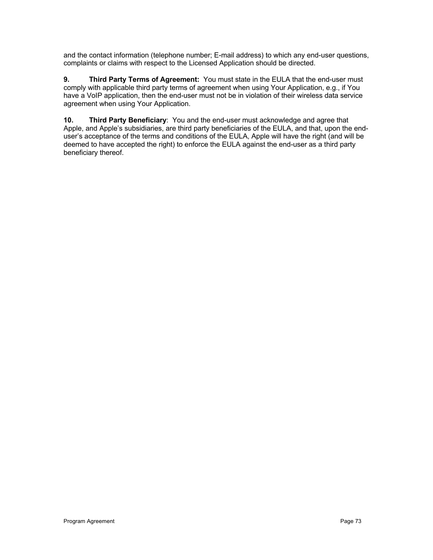and the contact information (telephone number; E-mail address) to which any end-user questions, complaints or claims with respect to the Licensed Application should be directed.

**9. Third Party Terms of Agreement:** You must state in the EULA that the end-user must comply with applicable third party terms of agreement when using Your Application, e.g., if You have a VoIP application, then the end-user must not be in violation of their wireless data service agreement when using Your Application.

**10. Third Party Beneficiary**: You and the end-user must acknowledge and agree that Apple, and Apple's subsidiaries, are third party beneficiaries of the EULA, and that, upon the enduser's acceptance of the terms and conditions of the EULA, Apple will have the right (and will be deemed to have accepted the right) to enforce the EULA against the end-user as a third party beneficiary thereof.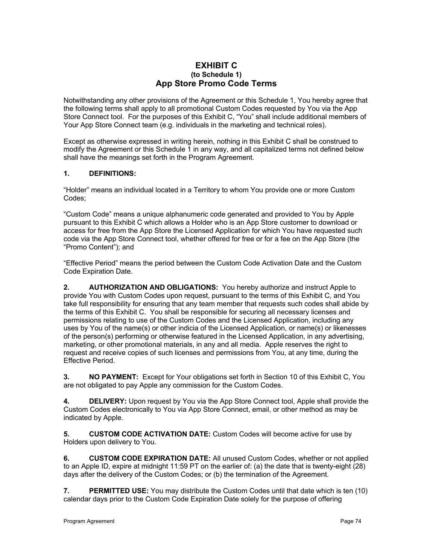## **EXHIBIT C (to Schedule 1) App Store Promo Code Terms**

Notwithstanding any other provisions of the Agreement or this Schedule 1, You hereby agree that the following terms shall apply to all promotional Custom Codes requested by You via the App Store Connect tool. For the purposes of this Exhibit C, "You" shall include additional members of Your App Store Connect team (e.g. individuals in the marketing and technical roles).

Except as otherwise expressed in writing herein, nothing in this Exhibit C shall be construed to modify the Agreement or this Schedule 1 in any way, and all capitalized terms not defined below shall have the meanings set forth in the Program Agreement.

## **1. DEFINITIONS:**

"Holder" means an individual located in a Territory to whom You provide one or more Custom Codes;

"Custom Code" means a unique alphanumeric code generated and provided to You by Apple pursuant to this Exhibit C which allows a Holder who is an App Store customer to download or access for free from the App Store the Licensed Application for which You have requested such code via the App Store Connect tool, whether offered for free or for a fee on the App Store (the "Promo Content"); and

"Effective Period" means the period between the Custom Code Activation Date and the Custom Code Expiration Date.

**2. AUTHORIZATION AND OBLIGATIONS:** You hereby authorize and instruct Apple to provide You with Custom Codes upon request, pursuant to the terms of this Exhibit C, and You take full responsibility for ensuring that any team member that requests such codes shall abide by the terms of this Exhibit C. You shall be responsible for securing all necessary licenses and permissions relating to use of the Custom Codes and the Licensed Application, including any uses by You of the name(s) or other indicia of the Licensed Application, or name(s) or likenesses of the person(s) performing or otherwise featured in the Licensed Application, in any advertising, marketing, or other promotional materials, in any and all media. Apple reserves the right to request and receive copies of such licenses and permissions from You, at any time, during the Effective Period.

**3. NO PAYMENT:** Except for Your obligations set forth in Section 10 of this Exhibit C, You are not obligated to pay Apple any commission for the Custom Codes.

**4. DELIVERY:** Upon request by You via the App Store Connect tool, Apple shall provide the Custom Codes electronically to You via App Store Connect, email, or other method as may be indicated by Apple.

**5. CUSTOM CODE ACTIVATION DATE:** Custom Codes will become active for use by Holders upon delivery to You.

**6. CUSTOM CODE EXPIRATION DATE:** All unused Custom Codes, whether or not applied to an Apple ID, expire at midnight 11:59 PT on the earlier of: (a) the date that is twenty-eight (28) days after the delivery of the Custom Codes; or (b) the termination of the Agreement.

**7. PERMITTED USE:** You may distribute the Custom Codes until that date which is ten (10) calendar days prior to the Custom Code Expiration Date solely for the purpose of offering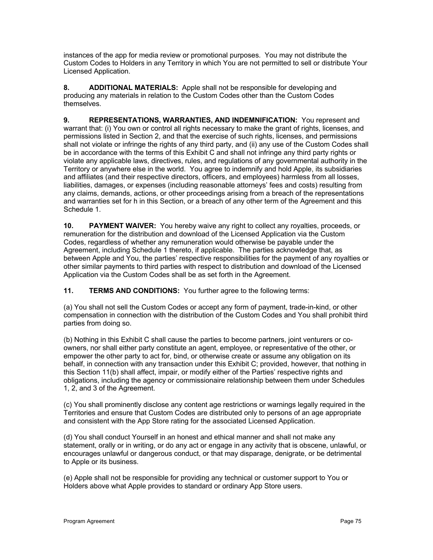instances of the app for media review or promotional purposes. You may not distribute the Custom Codes to Holders in any Territory in which You are not permitted to sell or distribute Your Licensed Application.

**8. ADDITIONAL MATERIALS:** Apple shall not be responsible for developing and producing any materials in relation to the Custom Codes other than the Custom Codes themselves.

**9. REPRESENTATIONS, WARRANTIES, AND INDEMNIFICATION:** You represent and warrant that: (i) You own or control all rights necessary to make the grant of rights, licenses, and permissions listed in Section 2, and that the exercise of such rights, licenses, and permissions shall not violate or infringe the rights of any third party, and (ii) any use of the Custom Codes shall be in accordance with the terms of this Exhibit C and shall not infringe any third party rights or violate any applicable laws, directives, rules, and regulations of any governmental authority in the Territory or anywhere else in the world. You agree to indemnify and hold Apple, its subsidiaries and affiliates (and their respective directors, officers, and employees) harmless from all losses, liabilities, damages, or expenses (including reasonable attorneys' fees and costs) resulting from any claims, demands, actions, or other proceedings arising from a breach of the representations and warranties set for h in this Section, or a breach of any other term of the Agreement and this Schedule 1.

**10. PAYMENT WAIVER:** You hereby waive any right to collect any royalties, proceeds, or remuneration for the distribution and download of the Licensed Application via the Custom Codes, regardless of whether any remuneration would otherwise be payable under the Agreement, including Schedule 1 thereto, if applicable. The parties acknowledge that, as between Apple and You, the parties' respective responsibilities for the payment of any royalties or other similar payments to third parties with respect to distribution and download of the Licensed Application via the Custom Codes shall be as set forth in the Agreement.

**11. TERMS AND CONDITIONS:** You further agree to the following terms:

(a) You shall not sell the Custom Codes or accept any form of payment, trade-in-kind, or other compensation in connection with the distribution of the Custom Codes and You shall prohibit third parties from doing so.

(b) Nothing in this Exhibit C shall cause the parties to become partners, joint venturers or coowners, nor shall either party constitute an agent, employee, or representative of the other, or empower the other party to act for, bind, or otherwise create or assume any obligation on its behalf, in connection with any transaction under this Exhibit C; provided, however, that nothing in this Section 11(b) shall affect, impair, or modify either of the Parties' respective rights and obligations, including the agency or commissionaire relationship between them under Schedules 1, 2, and 3 of the Agreement.

(c) You shall prominently disclose any content age restrictions or warnings legally required in the Territories and ensure that Custom Codes are distributed only to persons of an age appropriate and consistent with the App Store rating for the associated Licensed Application.

(d) You shall conduct Yourself in an honest and ethical manner and shall not make any statement, orally or in writing, or do any act or engage in any activity that is obscene, unlawful, or encourages unlawful or dangerous conduct, or that may disparage, denigrate, or be detrimental to Apple or its business.

(e) Apple shall not be responsible for providing any technical or customer support to You or Holders above what Apple provides to standard or ordinary App Store users.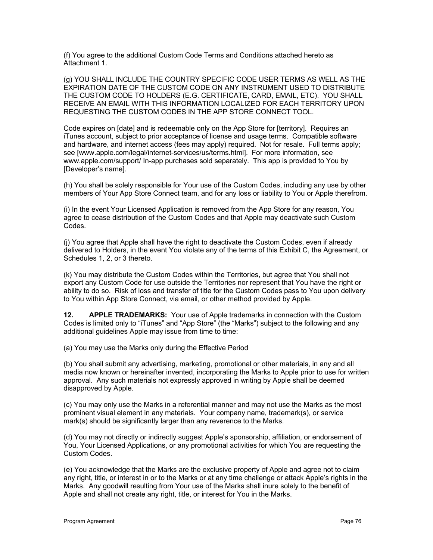(f) You agree to the additional Custom Code Terms and Conditions attached hereto as Attachment 1.

(g) YOU SHALL INCLUDE THE COUNTRY SPECIFIC CODE USER TERMS AS WELL AS THE EXPIRATION DATE OF THE CUSTOM CODE ON ANY INSTRUMENT USED TO DISTRIBUTE THE CUSTOM CODE TO HOLDERS (E.G. CERTIFICATE, CARD, EMAIL, ETC). YOU SHALL RECEIVE AN EMAIL WITH THIS INFORMATION LOCALIZED FOR EACH TERRITORY UPON REQUESTING THE CUSTOM CODES IN THE APP STORE CONNECT TOOL.

Code expires on [date] and is redeemable only on the App Store for [territory]. Requires an iTunes account, subject to prior acceptance of license and usage terms. Compatible software and hardware, and internet access (fees may apply) required. Not for resale. Full terms apply; see [www.apple.com/legal/internet-services/us/terms.html]. For more information, see www.apple.com/support/ In-app purchases sold separately. This app is provided to You by [Developer's name].

(h) You shall be solely responsible for Your use of the Custom Codes, including any use by other members of Your App Store Connect team, and for any loss or liability to You or Apple therefrom.

(i) In the event Your Licensed Application is removed from the App Store for any reason, You agree to cease distribution of the Custom Codes and that Apple may deactivate such Custom Codes.

(j) You agree that Apple shall have the right to deactivate the Custom Codes, even if already delivered to Holders, in the event You violate any of the terms of this Exhibit C, the Agreement, or Schedules 1, 2, or 3 thereto.

(k) You may distribute the Custom Codes within the Territories, but agree that You shall not export any Custom Code for use outside the Territories nor represent that You have the right or ability to do so. Risk of loss and transfer of title for the Custom Codes pass to You upon delivery to You within App Store Connect, via email, or other method provided by Apple.

**12. APPLE TRADEMARKS:** Your use of Apple trademarks in connection with the Custom Codes is limited only to "iTunes" and "App Store" (the "Marks") subject to the following and any additional guidelines Apple may issue from time to time:

(a) You may use the Marks only during the Effective Period

(b) You shall submit any advertising, marketing, promotional or other materials, in any and all media now known or hereinafter invented, incorporating the Marks to Apple prior to use for written approval. Any such materials not expressly approved in writing by Apple shall be deemed disapproved by Apple.

(c) You may only use the Marks in a referential manner and may not use the Marks as the most prominent visual element in any materials. Your company name, trademark(s), or service mark(s) should be significantly larger than any reverence to the Marks.

(d) You may not directly or indirectly suggest Apple's sponsorship, affiliation, or endorsement of You, Your Licensed Applications, or any promotional activities for which You are requesting the Custom Codes.

(e) You acknowledge that the Marks are the exclusive property of Apple and agree not to claim any right, title, or interest in or to the Marks or at any time challenge or attack Apple's rights in the Marks. Any goodwill resulting from Your use of the Marks shall inure solely to the benefit of Apple and shall not create any right, title, or interest for You in the Marks.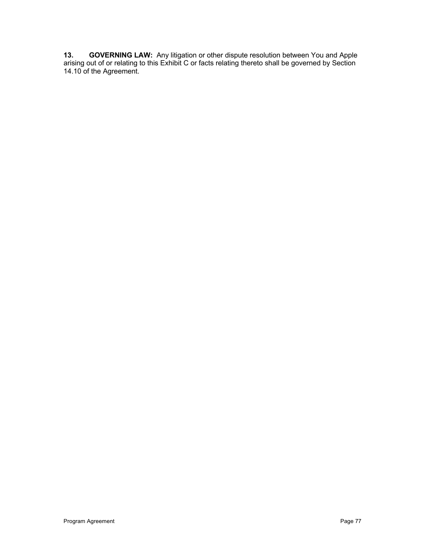**13. GOVERNING LAW:** Any litigation or other dispute resolution between You and Apple arising out of or relating to this Exhibit C or facts relating thereto shall be governed by Section 14.10 of the Agreement.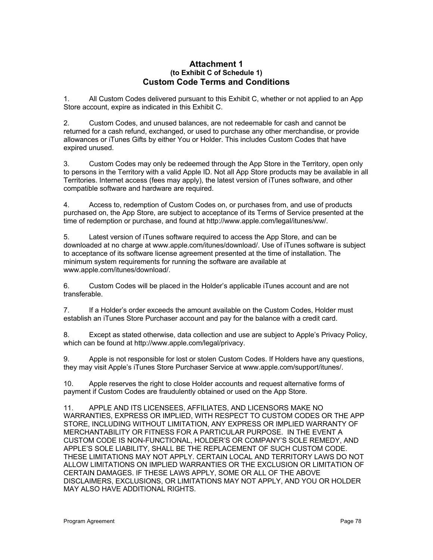## **Attachment 1 (to Exhibit C of Schedule 1) Custom Code Terms and Conditions**

1. All Custom Codes delivered pursuant to this Exhibit C, whether or not applied to an App Store account, expire as indicated in this Exhibit C.

2. Custom Codes, and unused balances, are not redeemable for cash and cannot be returned for a cash refund, exchanged, or used to purchase any other merchandise, or provide allowances or iTunes Gifts by either You or Holder. This includes Custom Codes that have expired unused.

3. Custom Codes may only be redeemed through the App Store in the Territory, open only to persons in the Territory with a valid Apple ID. Not all App Store products may be available in all Territories. Internet access (fees may apply), the latest version of iTunes software, and other compatible software and hardware are required.

4. Access to, redemption of Custom Codes on, or purchases from, and use of products purchased on, the App Store, are subject to acceptance of its Terms of Service presented at the time of redemption or purchase, and found at http://www.apple.com/legal/itunes/ww/.

5. Latest version of iTunes software required to access the App Store, and can be downloaded at no charge at www.apple.com/itunes/download/. Use of iTunes software is subject to acceptance of its software license agreement presented at the time of installation. The minimum system requirements for running the software are available at www.apple.com/itunes/download/.

6. Custom Codes will be placed in the Holder's applicable iTunes account and are not transferable.

7. If a Holder's order exceeds the amount available on the Custom Codes, Holder must establish an iTunes Store Purchaser account and pay for the balance with a credit card.

8. Except as stated otherwise, data collection and use are subject to Apple's Privacy Policy, which can be found at http://www.apple.com/legal/privacy.

9. Apple is not responsible for lost or stolen Custom Codes. If Holders have any questions, they may visit Apple's iTunes Store Purchaser Service at www.apple.com/support/itunes/.

10. Apple reserves the right to close Holder accounts and request alternative forms of payment if Custom Codes are fraudulently obtained or used on the App Store.

11. APPLE AND ITS LICENSEES, AFFILIATES, AND LICENSORS MAKE NO WARRANTIES, EXPRESS OR IMPLIED, WITH RESPECT TO CUSTOM CODES OR THE APP STORE, INCLUDING WITHOUT LIMITATION, ANY EXPRESS OR IMPLIED WARRANTY OF MERCHANTABILITY OR FITNESS FOR A PARTICULAR PURPOSE. IN THE EVENT A CUSTOM CODE IS NON-FUNCTIONAL, HOLDER'S OR COMPANY'S SOLE REMEDY, AND APPLE'S SOLE LIABILITY, SHALL BE THE REPLACEMENT OF SUCH CUSTOM CODE. THESE LIMITATIONS MAY NOT APPLY. CERTAIN LOCAL AND TERRITORY LAWS DO NOT ALLOW LIMITATIONS ON IMPLIED WARRANTIES OR THE EXCLUSION OR LIMITATION OF CERTAIN DAMAGES. IF THESE LAWS APPLY, SOME OR ALL OF THE ABOVE DISCLAIMERS, EXCLUSIONS, OR LIMITATIONS MAY NOT APPLY, AND YOU OR HOLDER MAY ALSO HAVE ADDITIONAL RIGHTS.